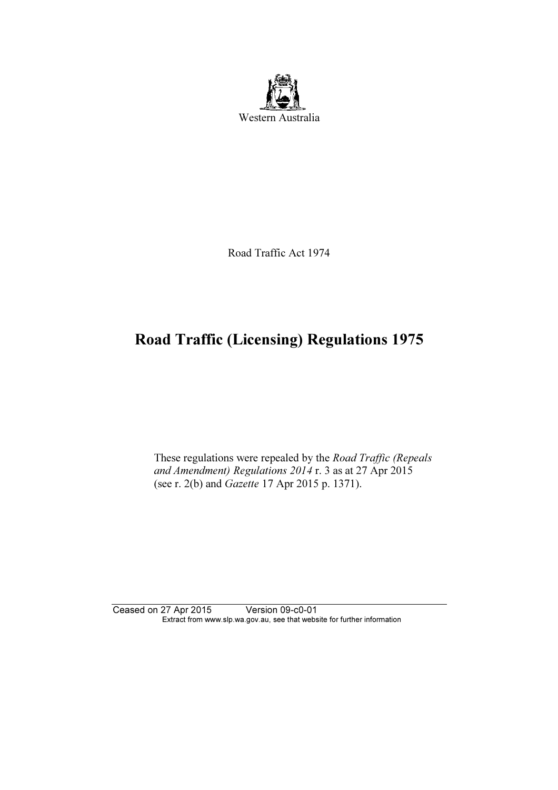

Road Traffic Act 1974

# Road Traffic (Licensing) Regulations 1975

 These regulations were repealed by the Road Traffic (Repeals and Amendment) Regulations 2014 r. 3 as at 27 Apr 2015 (see r. 2(b) and Gazette 17 Apr 2015 p. 1371).

Ceased on 27 Apr 2015 Version 09-c0-01 Extract from www.slp.wa.gov.au, see that website for further information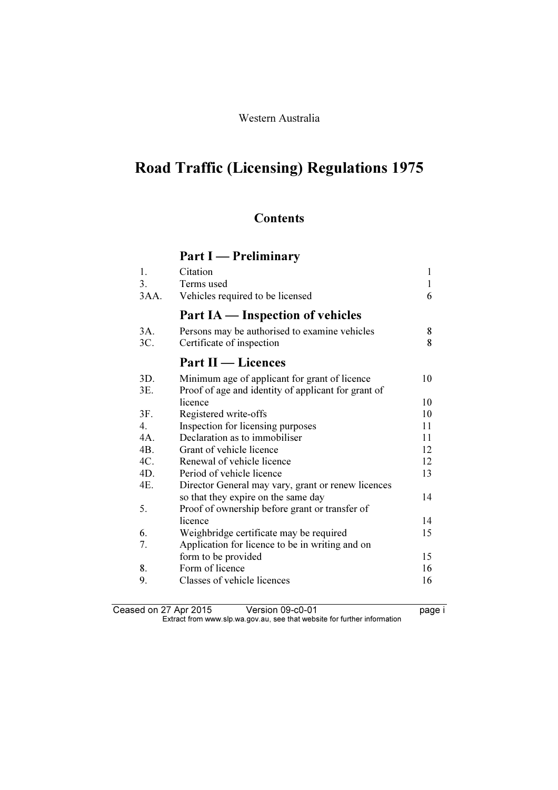#### Western Australia

# Road Traffic (Licensing) Regulations 1975

### **Contents**

## Part I — Preliminary

| 1.   | Citation                                            | 1  |
|------|-----------------------------------------------------|----|
| 3.   | Terms used                                          | 1  |
| 3AA. | Vehicles required to be licensed                    | 6  |
|      | Part IA — Inspection of vehicles                    |    |
| 3A.  | Persons may be authorised to examine vehicles       | 8  |
| 3C.  | Certificate of inspection                           | 8  |
|      | <b>Part II</b> — Licences                           |    |
| 3D.  | Minimum age of applicant for grant of licence       | 10 |
| 3E.  | Proof of age and identity of applicant for grant of |    |
|      | licence                                             | 10 |
| 3F.  | Registered write-offs                               | 10 |
| 4.   | Inspection for licensing purposes                   | 11 |
| 4A.  | Declaration as to immobiliser                       | 11 |
| 4B.  | Grant of vehicle licence                            | 12 |
| 4C.  | Renewal of vehicle licence                          | 12 |
| 4D.  | Period of vehicle licence                           | 13 |
| 4E.  | Director General may vary, grant or renew licences  |    |
|      | so that they expire on the same day                 | 14 |
| 5.   | Proof of ownership before grant or transfer of      |    |
|      | licence                                             | 14 |
| 6.   | Weighbridge certificate may be required             | 15 |
| 7.   | Application for licence to be in writing and on     |    |
|      | form to be provided                                 | 15 |
| 8.   | Form of licence                                     | 16 |
| 9.   | Classes of vehicle licences                         | 16 |
|      |                                                     |    |

Ceased on 27 Apr 2015 Version 09-c0-01 **page i**  $\mathbf{F}$  from which was the set that we besite for further information  $\mathbf{F}$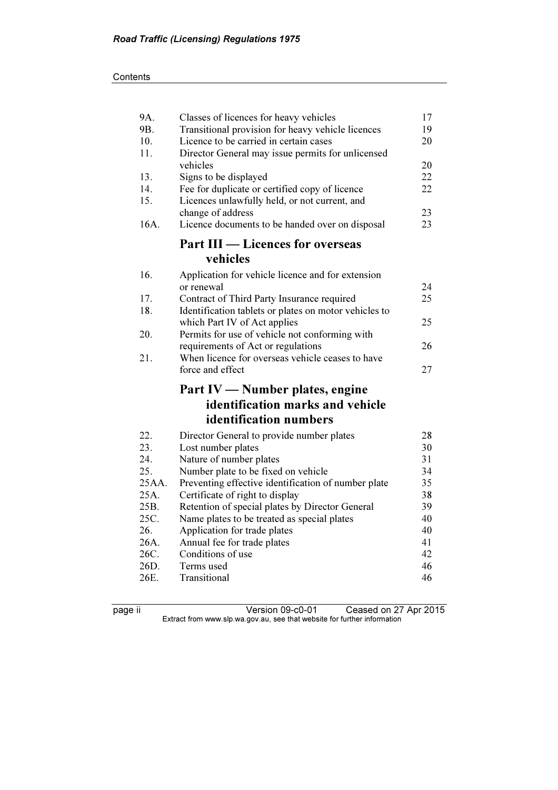| 9A.   | Classes of licences for heavy vehicles                | 17 |
|-------|-------------------------------------------------------|----|
| 9B.   | Transitional provision for heavy vehicle licences     | 19 |
| 10.   | Licence to be carried in certain cases                | 20 |
| 11.   | Director General may issue permits for unlicensed     |    |
|       | vehicles                                              | 20 |
| 13.   | Signs to be displayed                                 | 22 |
| 14.   | Fee for duplicate or certified copy of licence        | 22 |
| 15.   | Licences unlawfully held, or not current, and         |    |
|       | change of address                                     | 23 |
| 16A.  | Licence documents to be handed over on disposal       | 23 |
|       | <b>Part III — Licences for overseas</b>               |    |
|       | vehicles                                              |    |
| 16.   | Application for vehicle licence and for extension     |    |
|       | or renewal                                            | 24 |
| 17.   | Contract of Third Party Insurance required            | 25 |
| 18.   | Identification tablets or plates on motor vehicles to |    |
|       | which Part IV of Act applies                          | 25 |
| 20.   | Permits for use of vehicle not conforming with        |    |
|       | requirements of Act or regulations                    | 26 |
| 21.   | When licence for overseas vehicle ceases to have      |    |
|       | force and effect                                      | 27 |
|       | Part IV - Number plates, engine                       |    |
|       | identification marks and vehicle                      |    |
|       | identification numbers                                |    |
| 22.   | Director General to provide number plates             | 28 |
| 23.   | Lost number plates                                    | 30 |
| 24.   | Nature of number plates                               | 31 |
| 25.   | Number plate to be fixed on vehicle                   | 34 |
| 25AA. | Preventing effective identification of number plate   | 35 |
| 25A.  | Certificate of right to display                       | 38 |
| 25B.  | Retention of special plates by Director General       | 39 |
| 25C.  | Name plates to be treated as special plates           | 40 |
| 26.   | Application for trade plates                          | 40 |
| 26A.  | Annual fee for trade plates                           | 41 |
| 26C.  | Conditions of use                                     | 42 |
| 26D.  | Terms used                                            | 46 |
| 26E.  | Transitional                                          | 46 |

page ii Version 09-c0-01 Ceased on 27 Apr 2015  $\mathbf{F}$  from which was the set that we besite for further information  $\mathbf{F}$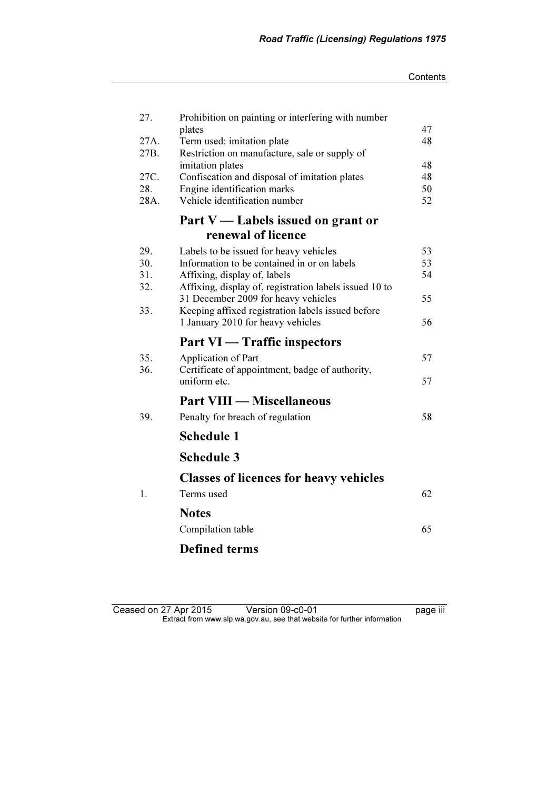| 27.  | Prohibition on painting or interfering with number     |    |
|------|--------------------------------------------------------|----|
|      | plates                                                 | 47 |
| 27A. | Term used: imitation plate                             | 48 |
| 27B. | Restriction on manufacture, sale or supply of          |    |
|      | imitation plates                                       | 48 |
| 27C. | Confiscation and disposal of imitation plates          | 48 |
| 28.  | Engine identification marks                            | 50 |
| 28A. | Vehicle identification number                          | 52 |
|      | Part V — Labels issued on grant or                     |    |
|      | renewal of licence                                     |    |
| 29.  | Labels to be issued for heavy vehicles                 | 53 |
| 30.  | Information to be contained in or on labels            | 53 |
| 31.  | Affixing, display of, labels                           | 54 |
| 32.  | Affixing, display of, registration labels issued 10 to |    |
|      | 31 December 2009 for heavy vehicles                    | 55 |
| 33.  | Keeping affixed registration labels issued before      |    |
|      | 1 January 2010 for heavy vehicles                      | 56 |
|      | <b>Part VI</b> — Traffic inspectors                    |    |
| 35.  | Application of Part                                    | 57 |
| 36.  | Certificate of appointment, badge of authority,        |    |
|      | uniform etc.                                           | 57 |
|      |                                                        |    |
|      | <b>Part VIII — Miscellaneous</b>                       |    |
| 39.  | Penalty for breach of regulation                       | 58 |
|      | <b>Schedule 1</b>                                      |    |
|      | <b>Schedule 3</b>                                      |    |
|      | <b>Classes of licences for heavy vehicles</b>          |    |
|      |                                                        |    |
| 1.   | Terms used                                             | 62 |
|      | <b>Notes</b>                                           |    |
|      | Compilation table                                      | 65 |
|      |                                                        |    |
|      | <b>Defined terms</b>                                   |    |

Ceased on 27 Apr 2015 Version 09-c0-01 page iii  $\mathbf{F}$  from which was the set that we besite for further information  $\mathbf{F}$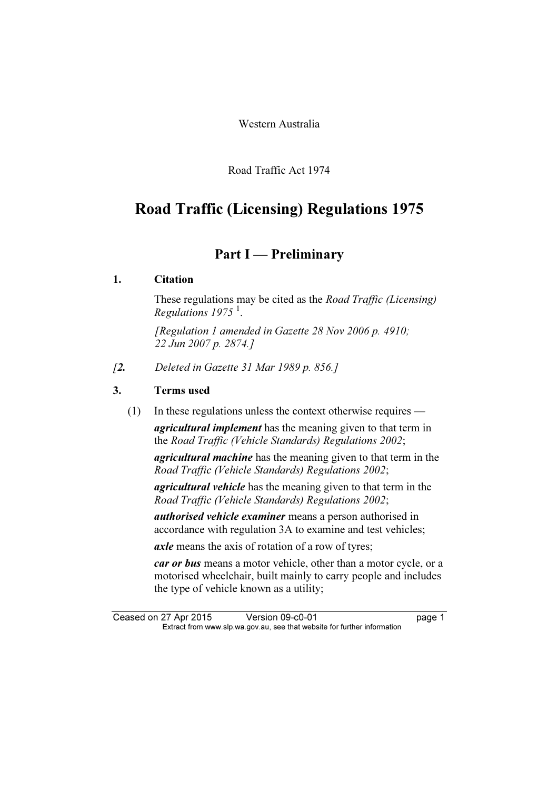Western Australia

Road Traffic Act 1974

## Road Traffic (Licensing) Regulations 1975

### Part I — Preliminary

#### 1. Citation

 These regulations may be cited as the Road Traffic (Licensing) Regulations  $1975<sup>1</sup>$ .

 [Regulation 1 amended in Gazette 28 Nov 2006 p. 4910; 22 Jun 2007 p. 2874.]

[2. Deleted in Gazette 31 Mar 1989 p. 856.]

#### 3. Terms used

(1) In these regulations unless the context otherwise requires —

agricultural implement has the meaning given to that term in the Road Traffic (Vehicle Standards) Regulations 2002;

agricultural machine has the meaning given to that term in the Road Traffic (Vehicle Standards) Regulations 2002;

agricultural vehicle has the meaning given to that term in the Road Traffic (Vehicle Standards) Regulations 2002;

authorised vehicle examiner means a person authorised in accordance with regulation 3A to examine and test vehicles;

axle means the axis of rotation of a row of tyres;

car or bus means a motor vehicle, other than a motor cycle, or a motorised wheelchair, built mainly to carry people and includes the type of vehicle known as a utility;

Ceased on 27 Apr 2015 Version 09-c0-01 page 1<br>Extract from www.slp.wa.gov.au, see that website for further information  $\mathbf{F}$  from which was the set that we besite for further information  $\mathbf{F}$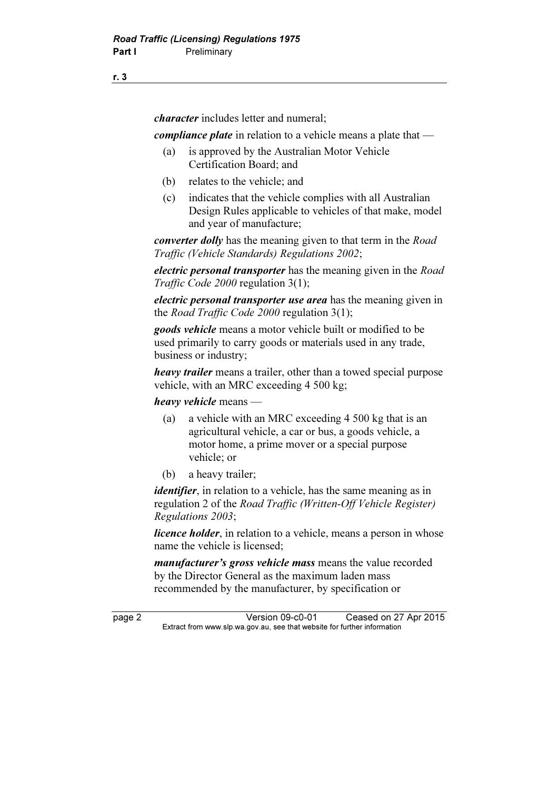character includes letter and numeral;

compliance plate in relation to a vehicle means a plate that —

- (a) is approved by the Australian Motor Vehicle Certification Board; and
- (b) relates to the vehicle; and
- (c) indicates that the vehicle complies with all Australian Design Rules applicable to vehicles of that make, model and year of manufacture;

converter dolly has the meaning given to that term in the Road Traffic (Vehicle Standards) Regulations 2002;

electric personal transporter has the meaning given in the Road Traffic Code 2000 regulation 3(1);

electric personal transporter use area has the meaning given in the *Road Traffic Code 2000* regulation 3(1);

goods vehicle means a motor vehicle built or modified to be used primarily to carry goods or materials used in any trade, business or industry;

heavy trailer means a trailer, other than a towed special purpose vehicle, with an MRC exceeding 4 500 kg;

heavy vehicle means —

- (a) a vehicle with an MRC exceeding 4 500 kg that is an agricultural vehicle, a car or bus, a goods vehicle, a motor home, a prime mover or a special purpose vehicle; or
- (b) a heavy trailer;

*identifier*, in relation to a vehicle, has the same meaning as in regulation 2 of the Road Traffic (Written-Off Vehicle Register) Regulations 2003;

*licence holder*, in relation to a vehicle, means a person in whose name the vehicle is licensed;

manufacturer's gross vehicle mass means the value recorded by the Director General as the maximum laden mass recommended by the manufacturer, by specification or

page 2 Version 09-c0-01 Ceased on 27 Apr 2015<br>Extract from www.slp.wa.gov.au, see that website for further information  $\mathbf{F}$  from which was the set that we besite for further information  $\mathbf{F}$ 

r. 3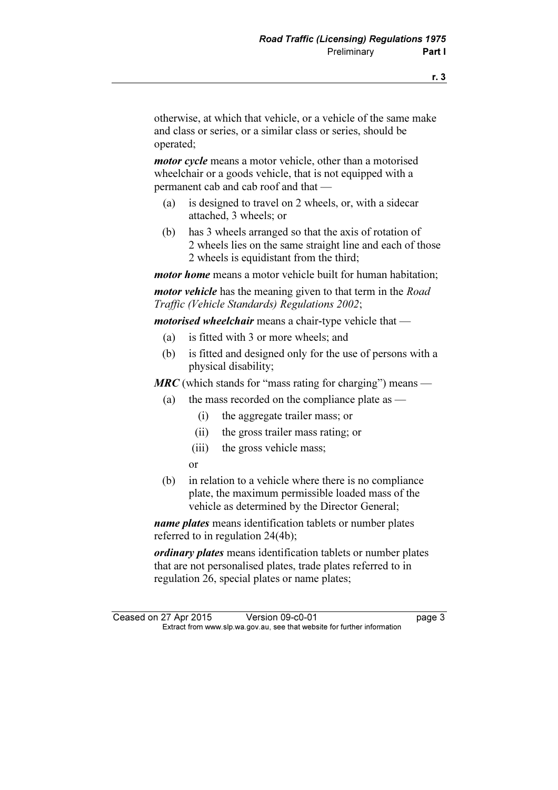otherwise, at which that vehicle, or a vehicle of the same make and class or series, or a similar class or series, should be operated;

*motor cycle* means a motor vehicle, other than a motorised wheelchair or a goods vehicle, that is not equipped with a permanent cab and cab roof and that —

- (a) is designed to travel on 2 wheels, or, with a sidecar attached, 3 wheels; or
- (b) has 3 wheels arranged so that the axis of rotation of 2 wheels lies on the same straight line and each of those 2 wheels is equidistant from the third;

*motor home* means a motor vehicle built for human habitation:

*motor vehicle* has the meaning given to that term in the *Road* Traffic (Vehicle Standards) Regulations 2002;

*motorised wheelchair* means a chair-type vehicle that —

- (a) is fitted with 3 or more wheels; and
- (b) is fitted and designed only for the use of persons with a physical disability;

**MRC** (which stands for "mass rating for charging") means —

- (a) the mass recorded on the compliance plate as
	- (i) the aggregate trailer mass; or
	- (ii) the gross trailer mass rating; or
	- (iii) the gross vehicle mass;
	- or
- (b) in relation to a vehicle where there is no compliance plate, the maximum permissible loaded mass of the vehicle as determined by the Director General;

name plates means identification tablets or number plates referred to in regulation 24(4b);

ordinary plates means identification tablets or number plates that are not personalised plates, trade plates referred to in regulation 26, special plates or name plates;

Ceased on 27 Apr 2015 Version 09-c0-01 page 3<br>Extract from www.slp.wa.gov.au, see that website for further information  $\mathbf{F}$  from which was the set that we besite for further information  $\mathbf{F}$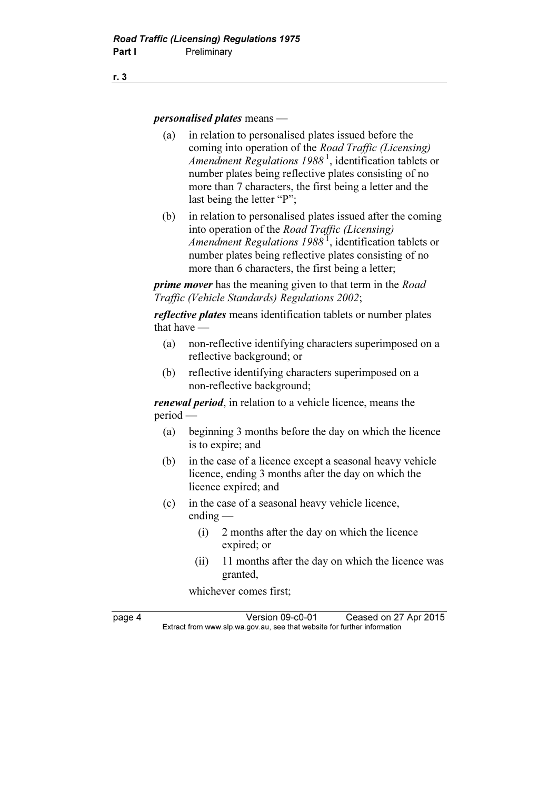personalised plates means —

- (a) in relation to personalised plates issued before the coming into operation of the Road Traffic (Licensing) Amendment Regulations  $1988<sup>1</sup>$ , identification tablets or number plates being reflective plates consisting of no more than 7 characters, the first being a letter and the last being the letter "P";
- (b) in relation to personalised plates issued after the coming into operation of the Road Traffic (Licensing) Amendment Regulations  $1988<sup>1</sup>$ , identification tablets or number plates being reflective plates consisting of no more than 6 characters, the first being a letter;

**prime mover** has the meaning given to that term in the *Road* Traffic (Vehicle Standards) Regulations 2002;

reflective plates means identification tablets or number plates that have —

- (a) non-reflective identifying characters superimposed on a reflective background; or
- (b) reflective identifying characters superimposed on a non-reflective background;

renewal period, in relation to a vehicle licence, means the period —

- (a) beginning 3 months before the day on which the licence is to expire; and
- (b) in the case of a licence except a seasonal heavy vehicle licence, ending 3 months after the day on which the licence expired; and
- (c) in the case of a seasonal heavy vehicle licence, ending —
	- (i) 2 months after the day on which the licence expired; or
	- (ii) 11 months after the day on which the licence was granted,

whichever comes first;

page 4 Version 09-c0-01 Ceased on 27 Apr 2015<br>Extract from www.slp.wa.gov.au, see that website for further information  $\mathbf{F}$  from which was the set that we besite for further information  $\mathbf{F}$ 

r. 3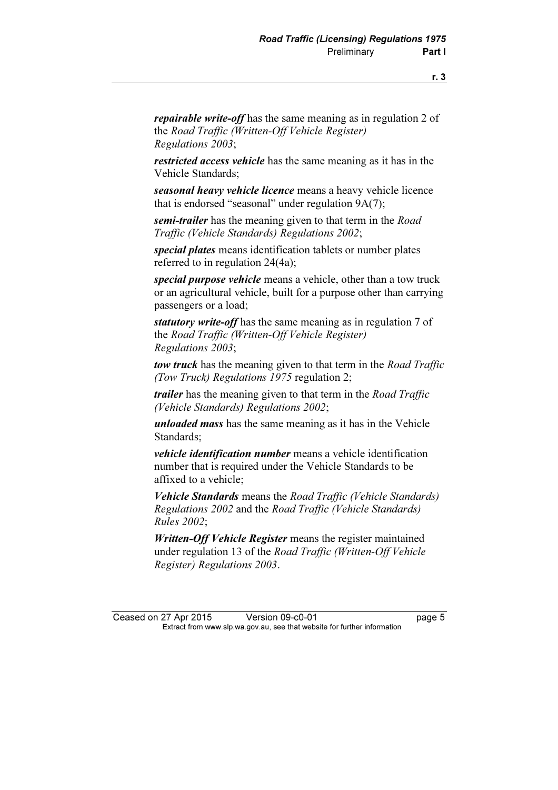repairable write-off has the same meaning as in regulation 2 of the Road Traffic (Written-Off Vehicle Register) Regulations 2003;

restricted access vehicle has the same meaning as it has in the Vehicle Standards;

seasonal heavy vehicle licence means a heavy vehicle licence that is endorsed "seasonal" under regulation 9A(7);

semi-trailer has the meaning given to that term in the Road Traffic (Vehicle Standards) Regulations 2002;

special plates means identification tablets or number plates referred to in regulation 24(4a);

special purpose vehicle means a vehicle, other than a tow truck or an agricultural vehicle, built for a purpose other than carrying passengers or a load;

statutory write-off has the same meaning as in regulation 7 of the Road Traffic (Written-Off Vehicle Register) Regulations 2003;

tow truck has the meaning given to that term in the Road Traffic (Tow Truck) Regulations 1975 regulation 2;

**trailer** has the meaning given to that term in the *Road Traffic* (Vehicle Standards) Regulations 2002;

unloaded mass has the same meaning as it has in the Vehicle Standards;

vehicle identification number means a vehicle identification number that is required under the Vehicle Standards to be affixed to a vehicle;

Vehicle Standards means the Road Traffic (Vehicle Standards) Regulations 2002 and the Road Traffic (Vehicle Standards) Rules 2002;

Written-Off Vehicle Register means the register maintained under regulation 13 of the Road Traffic (Written-Off Vehicle Register) Regulations 2003.

Ceased on 27 Apr 2015 Version 09-c0-01 page 5<br>Extract from www.slp.wa.gov.au, see that website for further information  $\mathbf{F}$  from which was the set that we besite for further information  $\mathbf{F}$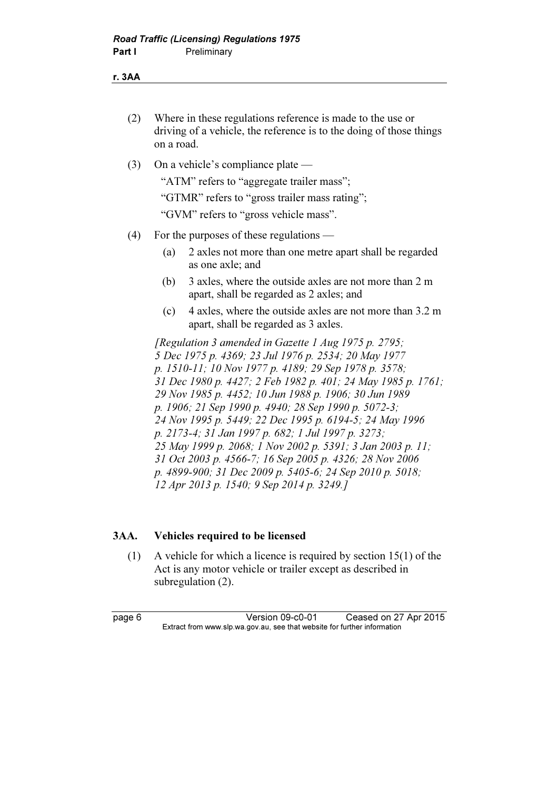r. 3AA

| Where in these regulations reference is made to the use or          |
|---------------------------------------------------------------------|
| driving of a vehicle, the reference is to the doing of those things |
| on a road.                                                          |

(3) On a vehicle's compliance plate —

"ATM" refers to "aggregate trailer mass";

"GTMR" refers to "gross trailer mass rating";

"GVM" refers to "gross vehicle mass".

- (4) For the purposes of these regulations
	- (a) 2 axles not more than one metre apart shall be regarded as one axle; and
	- (b) 3 axles, where the outside axles are not more than 2 m apart, shall be regarded as 2 axles; and
	- (c) 4 axles, where the outside axles are not more than 3.2 m apart, shall be regarded as 3 axles.

 [Regulation 3 amended in Gazette 1 Aug 1975 p. 2795; 5 Dec 1975 p. 4369; 23 Jul 1976 p. 2534; 20 May 1977 p. 1510-11; 10 Nov 1977 p. 4189; 29 Sep 1978 p. 3578; 31 Dec 1980 p. 4427; 2 Feb 1982 p. 401; 24 May 1985 p. 1761; 29 Nov 1985 p. 4452; 10 Jun 1988 p. 1906; 30 Jun 1989 p. 1906; 21 Sep 1990 p. 4940; 28 Sep 1990 p. 5072-3; 24 Nov 1995 p. 5449; 22 Dec 1995 p. 6194-5; 24 May 1996 p. 2173-4; 31 Jan 1997 p. 682; 1 Jul 1997 p. 3273; 25 May 1999 p. 2068; 1 Nov 2002 p. 5391; 3 Jan 2003 p. 11; 31 Oct 2003 p. 4566-7; 16 Sep 2005 p. 4326; 28 Nov 2006 p. 4899-900; 31 Dec 2009 p. 5405-6; 24 Sep 2010 p. 5018; 12 Apr 2013 p. 1540; 9 Sep 2014 p. 3249.]

#### 3AA. Vehicles required to be licensed

 (1) A vehicle for which a licence is required by section 15(1) of the Act is any motor vehicle or trailer except as described in subregulation (2).

page 6 Version 09-c0-01 Ceased on 27 Apr 2015<br>Extract from www.slp.wa.gov.au, see that website for further information  $\mathbf{F}$  from which was the set that we besite for further information  $\mathbf{F}$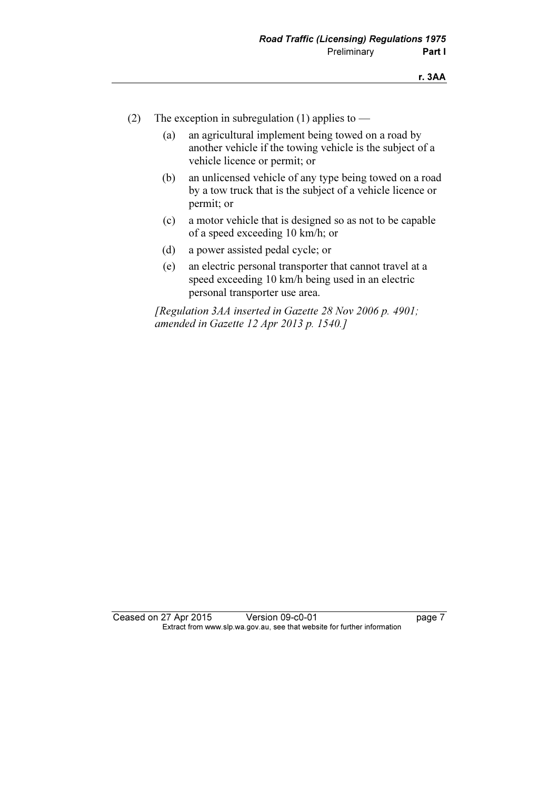- (2) The exception in subregulation (1) applies to
	- (a) an agricultural implement being towed on a road by another vehicle if the towing vehicle is the subject of a vehicle licence or permit; or
	- (b) an unlicensed vehicle of any type being towed on a road by a tow truck that is the subject of a vehicle licence or permit; or
	- (c) a motor vehicle that is designed so as not to be capable of a speed exceeding 10 km/h; or
	- (d) a power assisted pedal cycle; or
	- (e) an electric personal transporter that cannot travel at a speed exceeding 10 km/h being used in an electric personal transporter use area.

 [Regulation 3AA inserted in Gazette 28 Nov 2006 p. 4901; amended in Gazette 12 Apr 2013 p. 1540.]

Ceased on 27 Apr 2015 Version 09-c0-01 page 7<br>Extract from www.slp.wa.gov.au, see that website for further information  $\mathbf{F}$  from which was the set that we besite for further information  $\mathbf{F}$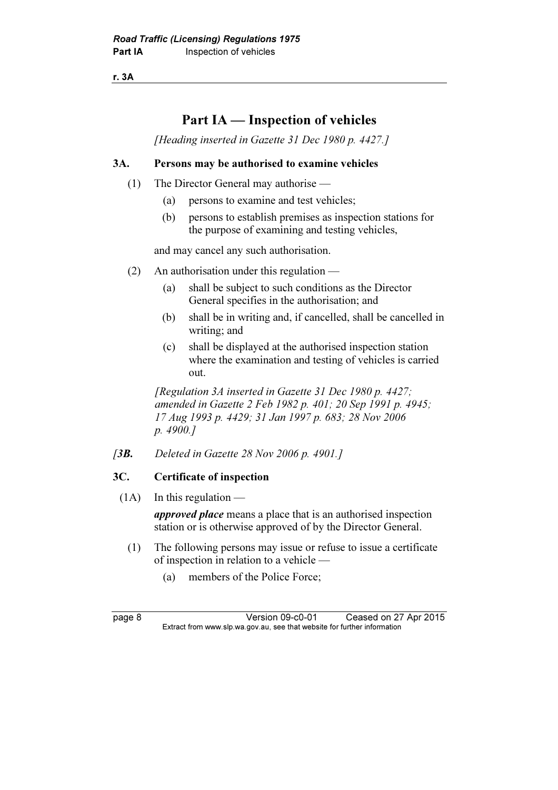r. 3A

## Part IA — Inspection of vehicles

[Heading inserted in Gazette 31 Dec 1980 p. 4427.]

#### 3A. Persons may be authorised to examine vehicles

- (1) The Director General may authorise
	- (a) persons to examine and test vehicles;
	- (b) persons to establish premises as inspection stations for the purpose of examining and testing vehicles,

and may cancel any such authorisation.

- (2) An authorisation under this regulation
	- (a) shall be subject to such conditions as the Director General specifies in the authorisation; and
	- (b) shall be in writing and, if cancelled, shall be cancelled in writing; and
	- (c) shall be displayed at the authorised inspection station where the examination and testing of vehicles is carried out.

 [Regulation 3A inserted in Gazette 31 Dec 1980 p. 4427; amended in Gazette 2 Feb 1982 p. 401; 20 Sep 1991 p. 4945; 17 Aug 1993 p. 4429; 31 Jan 1997 p. 683; 28 Nov 2006 p. 4900.]

[3**B.** Deleted in Gazette 28 Nov 2006 p. 4901.]

#### 3C. Certificate of inspection

 $(1A)$  In this regulation —

approved place means a place that is an authorised inspection station or is otherwise approved of by the Director General.

- (1) The following persons may issue or refuse to issue a certificate of inspection in relation to a vehicle —
	- (a) members of the Police Force;

page 8 Version 09-c0-01 Ceased on 27 Apr 2015<br>Extract from www.slp.wa.gov.au, see that website for further information  $\mathbf{F}$  from which was the set that we besite for further information  $\mathbf{F}$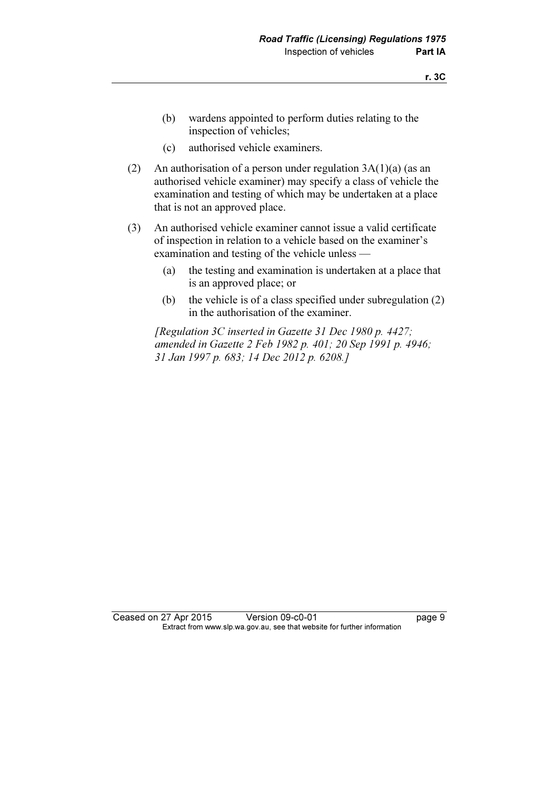- (b) wardens appointed to perform duties relating to the inspection of vehicles;
- (c) authorised vehicle examiners.
- (2) An authorisation of a person under regulation  $3A(1)(a)$  (as an authorised vehicle examiner) may specify a class of vehicle the examination and testing of which may be undertaken at a place that is not an approved place.
- (3) An authorised vehicle examiner cannot issue a valid certificate of inspection in relation to a vehicle based on the examiner's examination and testing of the vehicle unless —
	- (a) the testing and examination is undertaken at a place that is an approved place; or
	- (b) the vehicle is of a class specified under subregulation (2) in the authorisation of the examiner.

 [Regulation 3C inserted in Gazette 31 Dec 1980 p. 4427; amended in Gazette 2 Feb 1982 p. 401; 20 Sep 1991 p. 4946; 31 Jan 1997 p. 683; 14 Dec 2012 p. 6208.]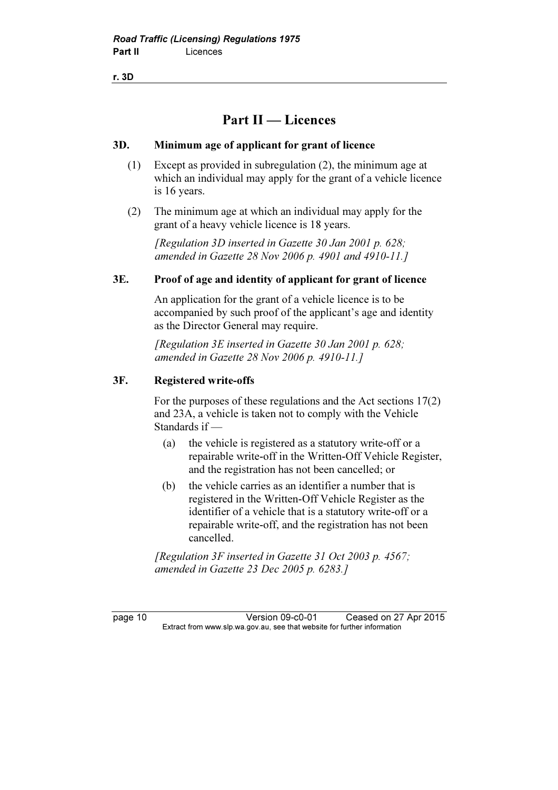r. 3D

### Part II — Licences

#### 3D. Minimum age of applicant for grant of licence

- (1) Except as provided in subregulation (2), the minimum age at which an individual may apply for the grant of a vehicle licence is 16 years.
- (2) The minimum age at which an individual may apply for the grant of a heavy vehicle licence is 18 years.

 [Regulation 3D inserted in Gazette 30 Jan 2001 p. 628; amended in Gazette 28 Nov 2006 p. 4901 and 4910-11.]

#### 3E. Proof of age and identity of applicant for grant of licence

 An application for the grant of a vehicle licence is to be accompanied by such proof of the applicant's age and identity as the Director General may require.

[Regulation 3E inserted in Gazette 30 Jan 2001 p. 628; amended in Gazette 28 Nov 2006 p. 4910-11.]

#### 3F. Registered write-offs

 For the purposes of these regulations and the Act sections 17(2) and 23A, a vehicle is taken not to comply with the Vehicle Standards if —

- (a) the vehicle is registered as a statutory write-off or a repairable write-off in the Written-Off Vehicle Register, and the registration has not been cancelled; or
- (b) the vehicle carries as an identifier a number that is registered in the Written-Off Vehicle Register as the identifier of a vehicle that is a statutory write-off or a repairable write-off, and the registration has not been cancelled.

 [Regulation 3F inserted in Gazette 31 Oct 2003 p. 4567; amended in Gazette 23 Dec 2005 p. 6283.]

page 10 Version 09-c0-01 Ceased on 27 Apr 2015<br>Extract from www.slp.wa.gov.au, see that website for further information  $\mathbf{F}$  from which was the set that we besite for further information  $\mathbf{F}$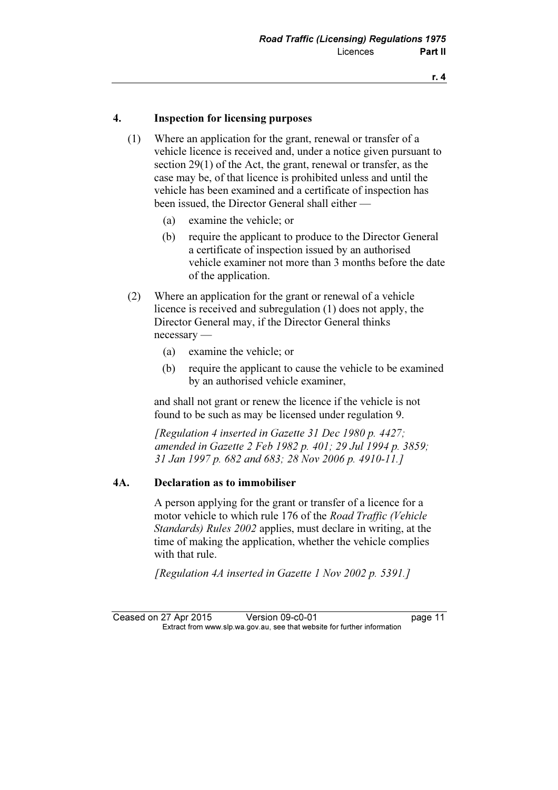#### 4. Inspection for licensing purposes

- (1) Where an application for the grant, renewal or transfer of a vehicle licence is received and, under a notice given pursuant to section 29(1) of the Act, the grant, renewal or transfer, as the case may be, of that licence is prohibited unless and until the vehicle has been examined and a certificate of inspection has been issued, the Director General shall either —
	- (a) examine the vehicle; or
	- (b) require the applicant to produce to the Director General a certificate of inspection issued by an authorised vehicle examiner not more than 3 months before the date of the application.
- (2) Where an application for the grant or renewal of a vehicle licence is received and subregulation (1) does not apply, the Director General may, if the Director General thinks necessary —
	- (a) examine the vehicle; or
	- (b) require the applicant to cause the vehicle to be examined by an authorised vehicle examiner,

 and shall not grant or renew the licence if the vehicle is not found to be such as may be licensed under regulation 9.

 [Regulation 4 inserted in Gazette 31 Dec 1980 p. 4427; amended in Gazette 2 Feb 1982 p. 401; 29 Jul 1994 p. 3859; 31 Jan 1997 p. 682 and 683; 28 Nov 2006 p. 4910-11.]

#### 4A. Declaration as to immobiliser

 A person applying for the grant or transfer of a licence for a motor vehicle to which rule 176 of the Road Traffic (Vehicle Standards) Rules 2002 applies, must declare in writing, at the time of making the application, whether the vehicle complies with that rule.

[Regulation 4A inserted in Gazette 1 Nov 2002 p. 5391.]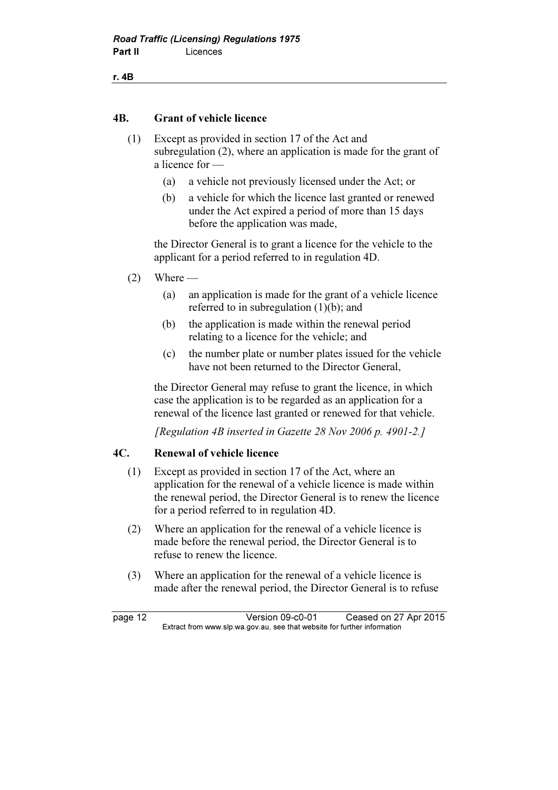#### 4B. Grant of vehicle licence

- (1) Except as provided in section 17 of the Act and subregulation (2), where an application is made for the grant of a licence for —
	- (a) a vehicle not previously licensed under the Act; or
	- (b) a vehicle for which the licence last granted or renewed under the Act expired a period of more than 15 days before the application was made,

 the Director General is to grant a licence for the vehicle to the applicant for a period referred to in regulation 4D.

- $(2)$  Where
	- (a) an application is made for the grant of a vehicle licence referred to in subregulation (1)(b); and
	- (b) the application is made within the renewal period relating to a licence for the vehicle; and
	- (c) the number plate or number plates issued for the vehicle have not been returned to the Director General,

 the Director General may refuse to grant the licence, in which case the application is to be regarded as an application for a renewal of the licence last granted or renewed for that vehicle.

[Regulation 4B inserted in Gazette 28 Nov 2006 p. 4901-2.]

#### 4C. Renewal of vehicle licence

- (1) Except as provided in section 17 of the Act, where an application for the renewal of a vehicle licence is made within the renewal period, the Director General is to renew the licence for a period referred to in regulation 4D.
- (2) Where an application for the renewal of a vehicle licence is made before the renewal period, the Director General is to refuse to renew the licence.
- (3) Where an application for the renewal of a vehicle licence is made after the renewal period, the Director General is to refuse

page 12 Version 09-c0-01 Ceased on 27 Apr 2015<br>Extract from www.slp.wa.gov.au, see that website for further information  $\mathbf{F}$  from which was the set that we besite for further information  $\mathbf{F}$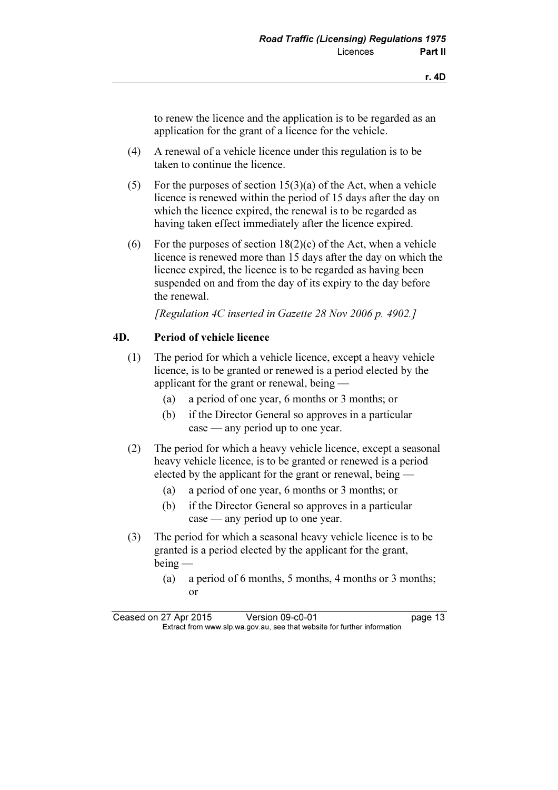to renew the licence and the application is to be regarded as an application for the grant of a licence for the vehicle.

- (4) A renewal of a vehicle licence under this regulation is to be taken to continue the licence.
- (5) For the purposes of section  $15(3)(a)$  of the Act, when a vehicle licence is renewed within the period of 15 days after the day on which the licence expired, the renewal is to be regarded as having taken effect immediately after the licence expired.
- (6) For the purposes of section  $18(2)(c)$  of the Act, when a vehicle licence is renewed more than 15 days after the day on which the licence expired, the licence is to be regarded as having been suspended on and from the day of its expiry to the day before the renewal.

[Regulation 4C inserted in Gazette 28 Nov 2006 p. 4902.]

#### 4D. Period of vehicle licence

- (1) The period for which a vehicle licence, except a heavy vehicle licence, is to be granted or renewed is a period elected by the applicant for the grant or renewal, being —
	- (a) a period of one year, 6 months or 3 months; or
	- (b) if the Director General so approves in a particular case — any period up to one year.
- (2) The period for which a heavy vehicle licence, except a seasonal heavy vehicle licence, is to be granted or renewed is a period elected by the applicant for the grant or renewal, being —
	- (a) a period of one year, 6 months or 3 months; or
	- (b) if the Director General so approves in a particular case — any period up to one year.
- (3) The period for which a seasonal heavy vehicle licence is to be granted is a period elected by the applicant for the grant, being —
	- (a) a period of 6 months, 5 months, 4 months or 3 months; or

Ceased on 27 Apr 2015 Version 09-c0-01 page 13<br>Extract from www.slp.wa.gov.au, see that website for further information  $\mathbf{F}$  from which was the set that we besite for further information  $\mathbf{F}$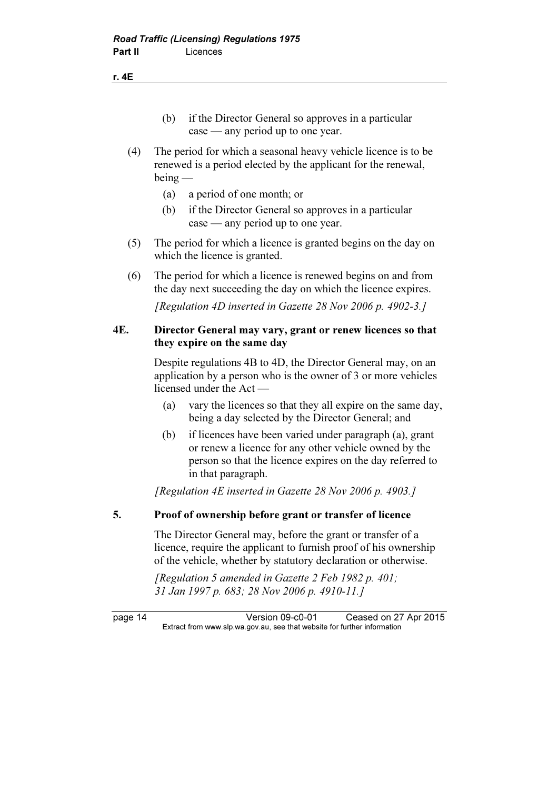(b) if the Director General so approves in a particular case — any period up to one year.

- (4) The period for which a seasonal heavy vehicle licence is to be renewed is a period elected by the applicant for the renewal, being —
	- (a) a period of one month; or
	- (b) if the Director General so approves in a particular case — any period up to one year.
- (5) The period for which a licence is granted begins on the day on which the licence is granted.
- (6) The period for which a licence is renewed begins on and from the day next succeeding the day on which the licence expires.

[Regulation 4D inserted in Gazette 28 Nov 2006 p. 4902-3.]

#### 4E. Director General may vary, grant or renew licences so that they expire on the same day

 Despite regulations 4B to 4D, the Director General may, on an application by a person who is the owner of 3 or more vehicles licensed under the Act —

- (a) vary the licences so that they all expire on the same day, being a day selected by the Director General; and
- (b) if licences have been varied under paragraph (a), grant or renew a licence for any other vehicle owned by the person so that the licence expires on the day referred to in that paragraph.

[Regulation 4E inserted in Gazette 28 Nov 2006 p. 4903.]

#### 5. Proof of ownership before grant or transfer of licence

 The Director General may, before the grant or transfer of a licence, require the applicant to furnish proof of his ownership of the vehicle, whether by statutory declaration or otherwise.

 [Regulation 5 amended in Gazette 2 Feb 1982 p. 401; 31 Jan 1997 p. 683; 28 Nov 2006 p. 4910-11.]

page 14 Version 09-c0-01 Ceased on 27 Apr 2015<br>Extract from www.slp.wa.gov.au, see that website for further information  $\mathbf{F}$  from which was the set that we besite for further information  $\mathbf{F}$ 

#### r. 4E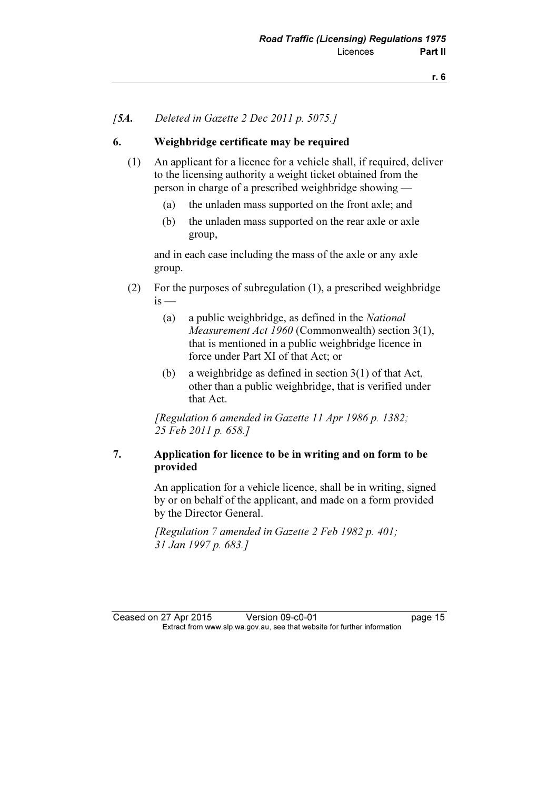#### [5A. Deleted in Gazette 2 Dec 2011 p. 5075.]

#### 6. Weighbridge certificate may be required

- (1) An applicant for a licence for a vehicle shall, if required, deliver to the licensing authority a weight ticket obtained from the person in charge of a prescribed weighbridge showing —
	- (a) the unladen mass supported on the front axle; and
	- (b) the unladen mass supported on the rear axle or axle group,

 and in each case including the mass of the axle or any axle group.

- (2) For the purposes of subregulation (1), a prescribed weighbridge  $is$  —
	- (a) a public weighbridge, as defined in the National Measurement Act 1960 (Commonwealth) section 3(1), that is mentioned in a public weighbridge licence in force under Part XI of that Act; or
	- (b) a weighbridge as defined in section 3(1) of that Act, other than a public weighbridge, that is verified under that Act.

 [Regulation 6 amended in Gazette 11 Apr 1986 p. 1382; 25 Feb 2011 p. 658.]

#### 7. Application for licence to be in writing and on form to be provided

 An application for a vehicle licence, shall be in writing, signed by or on behalf of the applicant, and made on a form provided by the Director General.

[Regulation 7 amended in Gazette 2 Feb 1982 p. 401; 31 Jan 1997 p. 683.]

Ceased on 27 Apr 2015 Version 09-c0-01 page 15<br>Extract from www.slp.wa.gov.au, see that website for further information  $\mathbf{F}$  from which was the set that we besite for further information  $\mathbf{F}$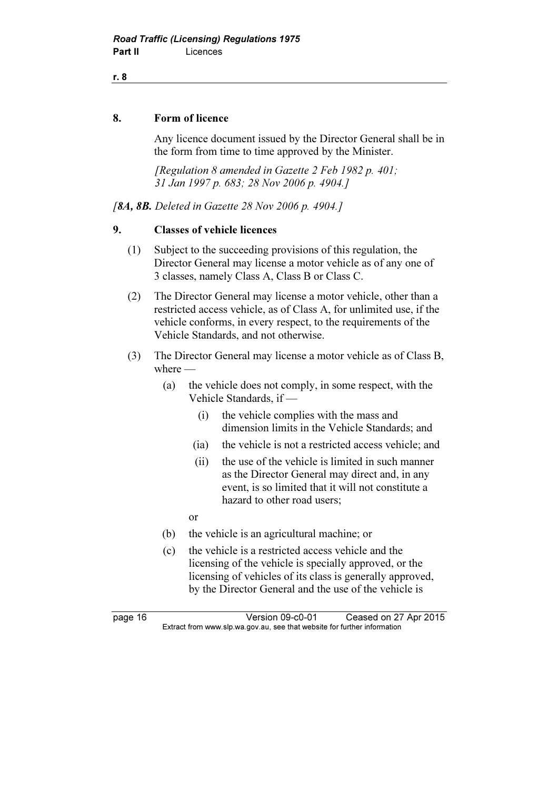8. Form of licence

 Any licence document issued by the Director General shall be in the form from time to time approved by the Minister.

[Regulation 8 amended in Gazette 2 Feb 1982 p. 401; 31 Jan 1997 p. 683; 28 Nov 2006 p. 4904.]

[8A, 8B. Deleted in Gazette 28 Nov 2006 p. 4904.]

#### 9. Classes of vehicle licences

- (1) Subject to the succeeding provisions of this regulation, the Director General may license a motor vehicle as of any one of 3 classes, namely Class A, Class B or Class C.
- (2) The Director General may license a motor vehicle, other than a restricted access vehicle, as of Class A, for unlimited use, if the vehicle conforms, in every respect, to the requirements of the Vehicle Standards, and not otherwise.
- (3) The Director General may license a motor vehicle as of Class B, where —
	- (a) the vehicle does not comply, in some respect, with the Vehicle Standards, if —
		- (i) the vehicle complies with the mass and dimension limits in the Vehicle Standards; and
		- (ia) the vehicle is not a restricted access vehicle; and
		- (ii) the use of the vehicle is limited in such manner as the Director General may direct and, in any event, is so limited that it will not constitute a hazard to other road users;
		- or
	- (b) the vehicle is an agricultural machine; or
	- (c) the vehicle is a restricted access vehicle and the licensing of the vehicle is specially approved, or the licensing of vehicles of its class is generally approved, by the Director General and the use of the vehicle is

page 16 Version 09-c0-01 Ceased on 27 Apr 2015<br>Extract from www.slp.wa.gov.au, see that website for further information  $\mathbf{F}$  from which was the set that we besite for further information  $\mathbf{F}$ 

r. 8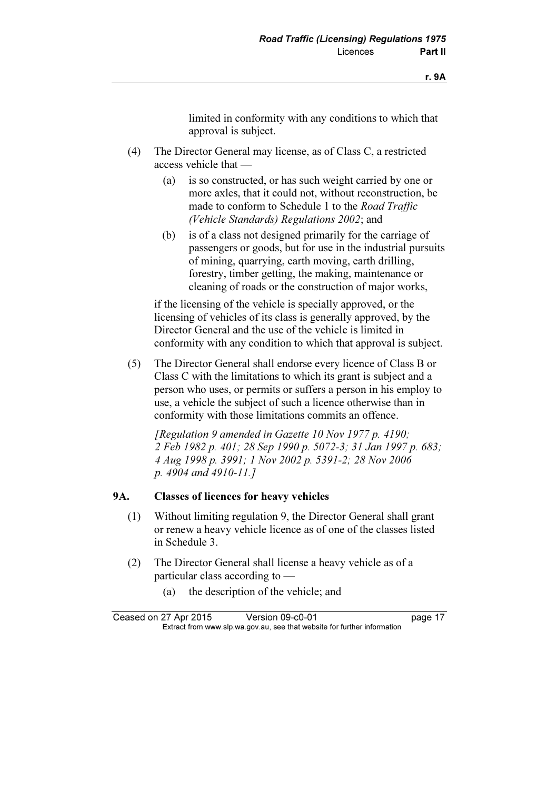limited in conformity with any conditions to which that approval is subject.

- (4) The Director General may license, as of Class C, a restricted access vehicle that —
	- (a) is so constructed, or has such weight carried by one or more axles, that it could not, without reconstruction, be made to conform to Schedule 1 to the Road Traffic (Vehicle Standards) Regulations 2002; and
	- (b) is of a class not designed primarily for the carriage of passengers or goods, but for use in the industrial pursuits of mining, quarrying, earth moving, earth drilling, forestry, timber getting, the making, maintenance or cleaning of roads or the construction of major works,

 if the licensing of the vehicle is specially approved, or the licensing of vehicles of its class is generally approved, by the Director General and the use of the vehicle is limited in conformity with any condition to which that approval is subject.

 (5) The Director General shall endorse every licence of Class B or Class C with the limitations to which its grant is subject and a person who uses, or permits or suffers a person in his employ to use, a vehicle the subject of such a licence otherwise than in conformity with those limitations commits an offence.

 [Regulation 9 amended in Gazette 10 Nov 1977 p. 4190; 2 Feb 1982 p. 401; 28 Sep 1990 p. 5072-3; 31 Jan 1997 p. 683; 4 Aug 1998 p. 3991; 1 Nov 2002 p. 5391-2; 28 Nov 2006 p. 4904 and 4910-11.]

#### 9A. Classes of licences for heavy vehicles

- (1) Without limiting regulation 9, the Director General shall grant or renew a heavy vehicle licence as of one of the classes listed in Schedule 3.
- (2) The Director General shall license a heavy vehicle as of a particular class according to —
	- (a) the description of the vehicle; and

Ceased on 27 Apr 2015 Version 09-c0-01 page 17<br>Extract from www.slp.wa.gov.au, see that website for further information  $\mathbf{F}$  from which was the set that we besite for further information  $\mathbf{F}$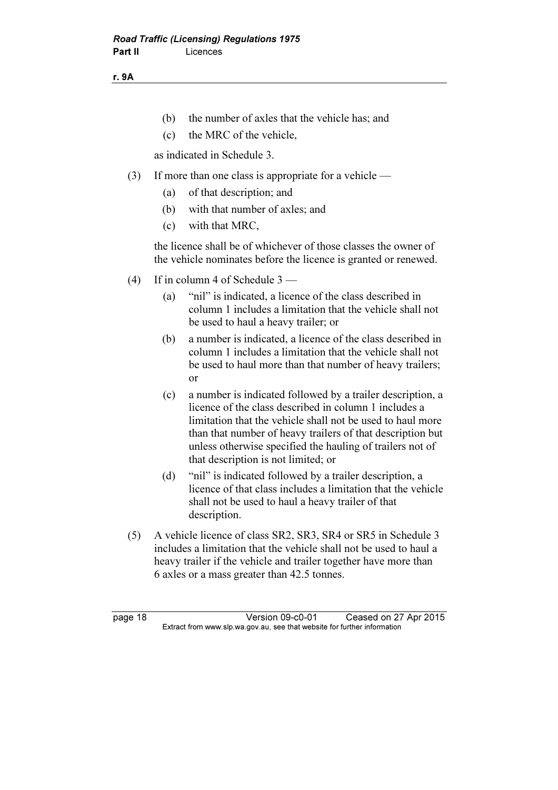r. 9A

- (b) the number of axles that the vehicle has; and
- (c) the MRC of the vehicle,

as indicated in Schedule 3.

- (3) If more than one class is appropriate for a vehicle
	- (a) of that description; and
	- (b) with that number of axles; and
	- (c) with that MRC,

 the licence shall be of whichever of those classes the owner of the vehicle nominates before the licence is granted or renewed.

- (4) If in column 4 of Schedule 3
	- (a) "nil" is indicated, a licence of the class described in column 1 includes a limitation that the vehicle shall not be used to haul a heavy trailer; or
	- (b) a number is indicated, a licence of the class described in column 1 includes a limitation that the vehicle shall not be used to haul more than that number of heavy trailers; or
	- (c) a number is indicated followed by a trailer description, a licence of the class described in column 1 includes a limitation that the vehicle shall not be used to haul more than that number of heavy trailers of that description but unless otherwise specified the hauling of trailers not of that description is not limited; or
	- (d) "nil" is indicated followed by a trailer description, a licence of that class includes a limitation that the vehicle shall not be used to haul a heavy trailer of that description.
- (5) A vehicle licence of class SR2, SR3, SR4 or SR5 in Schedule 3 includes a limitation that the vehicle shall not be used to haul a heavy trailer if the vehicle and trailer together have more than 6 axles or a mass greater than 42.5 tonnes.

page 18 Version 09-c0-01 Ceased on 27 Apr 2015<br>Extract from www.slp.wa.gov.au, see that website for further information  $\mathbf{F}$  from which was the set that we besite for further information  $\mathbf{F}$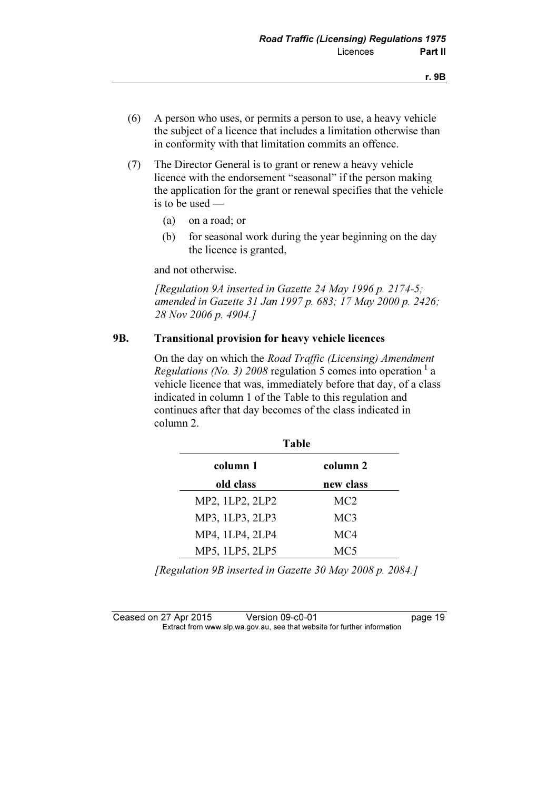- (6) A person who uses, or permits a person to use, a heavy vehicle the subject of a licence that includes a limitation otherwise than in conformity with that limitation commits an offence.
- (7) The Director General is to grant or renew a heavy vehicle licence with the endorsement "seasonal" if the person making the application for the grant or renewal specifies that the vehicle is to be used —
	- (a) on a road; or
	- (b) for seasonal work during the year beginning on the day the licence is granted,

and not otherwise.

 [Regulation 9A inserted in Gazette 24 May 1996 p. 2174-5; amended in Gazette 31 Jan 1997 p. 683; 17 May 2000 p. 2426; 28 Nov 2006 p. 4904.]

#### 9B. Transitional provision for heavy vehicle licences

 On the day on which the Road Traffic (Licensing) Amendment Regulations (No. 3) 2008 regulation 5 comes into operation  $\frac{1}{a}$  a vehicle licence that was, immediately before that day, of a class indicated in column 1 of the Table to this regulation and continues after that day becomes of the class indicated in column 2.

| <b>Table</b>    |                 |  |  |  |
|-----------------|-----------------|--|--|--|
| column 1        | column 2        |  |  |  |
| old class       | new class       |  |  |  |
| MP2, 1LP2, 2LP2 | MC <sub>2</sub> |  |  |  |
| MP3, 1LP3, 2LP3 | MC <sub>3</sub> |  |  |  |
| MP4, 1LP4, 2LP4 | MC4             |  |  |  |
| MP5, 1LP5, 2LP5 | MC5             |  |  |  |

[Regulation 9B inserted in Gazette 30 May 2008 p. 2084.]

Ceased on 27 Apr 2015 Version 09-c0-01 page 19<br>Extract from www.slp.wa.gov.au, see that website for further information  $\mathbf{F}$  from which was the set that we besite for further information  $\mathbf{F}$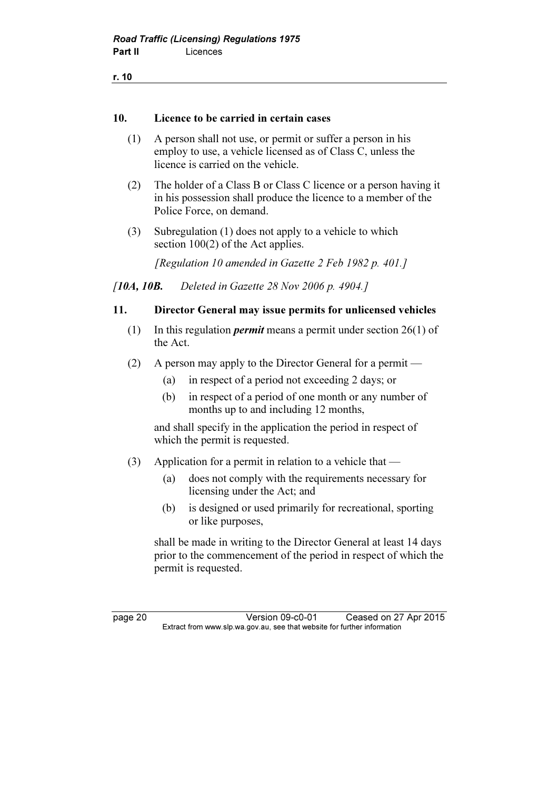| ٠ | ۰.      |  |
|---|---------|--|
|   | ×<br>۰. |  |

#### 10. Licence to be carried in certain cases

- (1) A person shall not use, or permit or suffer a person in his employ to use, a vehicle licensed as of Class C, unless the licence is carried on the vehicle.
- (2) The holder of a Class B or Class C licence or a person having it in his possession shall produce the licence to a member of the Police Force, on demand.
- (3) Subregulation (1) does not apply to a vehicle to which section 100(2) of the Act applies.

[Regulation 10 amended in Gazette 2 Feb 1982 p. 401.]

[10A, 10**B.** Deleted in Gazette 28 Nov 2006 p. 4904.]

#### 11. Director General may issue permits for unlicensed vehicles

- (1) In this regulation *permit* means a permit under section  $26(1)$  of the Act.
- (2) A person may apply to the Director General for a permit
	- (a) in respect of a period not exceeding 2 days; or
	- (b) in respect of a period of one month or any number of months up to and including 12 months,

 and shall specify in the application the period in respect of which the permit is requested.

- (3) Application for a permit in relation to a vehicle that
	- (a) does not comply with the requirements necessary for licensing under the Act; and
	- (b) is designed or used primarily for recreational, sporting or like purposes,

 shall be made in writing to the Director General at least 14 days prior to the commencement of the period in respect of which the permit is requested.

page 20 Version 09-c0-01 Ceased on 27 Apr 2015<br>Extract from www.slp.wa.gov.au, see that website for further information  $\mathbf{F}$  from which was the set that we besite for further information  $\mathbf{F}$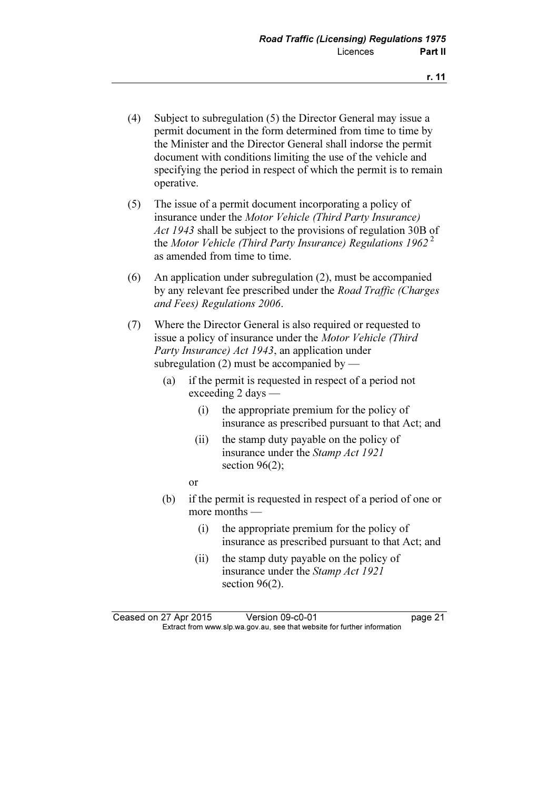- (4) Subject to subregulation (5) the Director General may issue a permit document in the form determined from time to time by the Minister and the Director General shall indorse the permit document with conditions limiting the use of the vehicle and specifying the period in respect of which the permit is to remain operative.
- (5) The issue of a permit document incorporating a policy of insurance under the Motor Vehicle (Third Party Insurance) Act 1943 shall be subject to the provisions of regulation 30B of the Motor Vehicle (Third Party Insurance) Regulations 1962<sup>2</sup> as amended from time to time.
- (6) An application under subregulation (2), must be accompanied by any relevant fee prescribed under the Road Traffic (Charges and Fees) Regulations 2006.
- (7) Where the Director General is also required or requested to issue a policy of insurance under the Motor Vehicle (Third Party Insurance) Act 1943, an application under subregulation  $(2)$  must be accompanied by —
	- (a) if the permit is requested in respect of a period not exceeding 2 days —
		- (i) the appropriate premium for the policy of insurance as prescribed pursuant to that Act; and
		- (ii) the stamp duty payable on the policy of insurance under the Stamp Act 1921 section  $96(2)$ ;
- or
	- (b) if the permit is requested in respect of a period of one or more months —
		- (i) the appropriate premium for the policy of insurance as prescribed pursuant to that Act; and
		- (ii) the stamp duty payable on the policy of insurance under the Stamp Act 1921 section 96(2).

Ceased on 27 Apr 2015 Version 09-c0-01 page 21<br>Extract from www.slp.wa.gov.au, see that website for further information  $\mathbf{F}$  from which was the set that we besite for further information  $\mathbf{F}$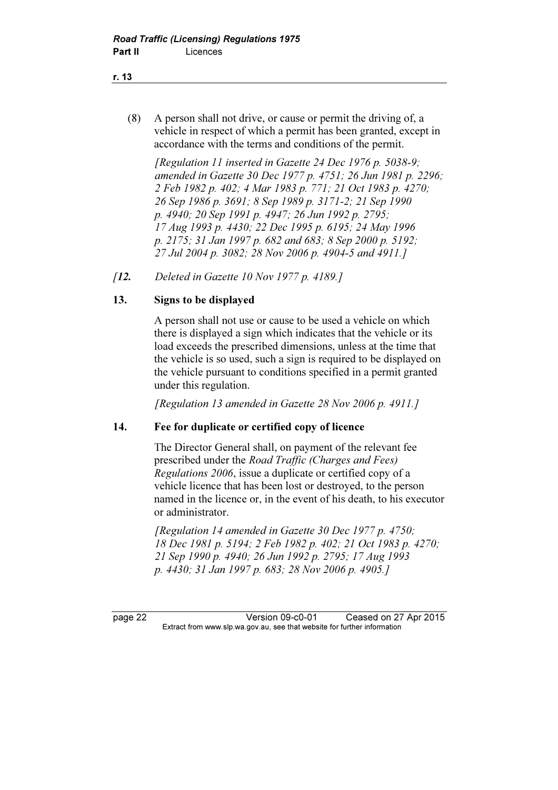(8) A person shall not drive, or cause or permit the driving of, a vehicle in respect of which a permit has been granted, except in accordance with the terms and conditions of the permit.

 [Regulation 11 inserted in Gazette 24 Dec 1976 p. 5038-9; amended in Gazette 30 Dec 1977 p. 4751; 26 Jun 1981 p. 2296; 2 Feb 1982 p. 402; 4 Mar 1983 p. 771; 21 Oct 1983 p. 4270; 26 Sep 1986 p. 3691; 8 Sep 1989 p. 3171-2; 21 Sep 1990 p. 4940; 20 Sep 1991 p. 4947; 26 Jun 1992 p. 2795; 17 Aug 1993 p. 4430; 22 Dec 1995 p. 6195; 24 May 1996 p. 2175; 31 Jan 1997 p. 682 and 683; 8 Sep 2000 p. 5192; 27 Jul 2004 p. 3082; 28 Nov 2006 p. 4904-5 and 4911.]

[12. Deleted in Gazette 10 Nov 1977 p. 4189.]

#### 13. Signs to be displayed

 A person shall not use or cause to be used a vehicle on which there is displayed a sign which indicates that the vehicle or its load exceeds the prescribed dimensions, unless at the time that the vehicle is so used, such a sign is required to be displayed on the vehicle pursuant to conditions specified in a permit granted under this regulation.

[Regulation 13 amended in Gazette 28 Nov 2006 p. 4911.]

#### 14. Fee for duplicate or certified copy of licence

 The Director General shall, on payment of the relevant fee prescribed under the Road Traffic (Charges and Fees) Regulations 2006, issue a duplicate or certified copy of a vehicle licence that has been lost or destroyed, to the person named in the licence or, in the event of his death, to his executor or administrator.

[Regulation 14 amended in Gazette 30 Dec 1977 p. 4750; 18 Dec 1981 p. 5194; 2 Feb 1982 p. 402; 21 Oct 1983 p. 4270; 21 Sep 1990 p. 4940; 26 Jun 1992 p. 2795; 17 Aug 1993 p. 4430; 31 Jan 1997 p. 683; 28 Nov 2006 p. 4905.]

page 22 Version 09-c0-01 Ceased on 27 Apr 2015<br>Extract from www.slp.wa.gov.au, see that website for further information  $\mathbf{F}$  from which was the set that we besite for further information  $\mathbf{F}$ 

#### r. 13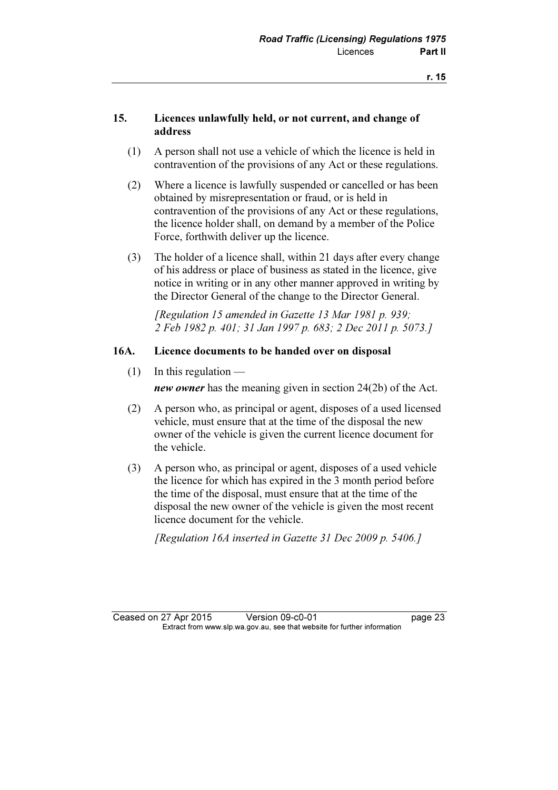#### 15. Licences unlawfully held, or not current, and change of address

- (1) A person shall not use a vehicle of which the licence is held in contravention of the provisions of any Act or these regulations.
- (2) Where a licence is lawfully suspended or cancelled or has been obtained by misrepresentation or fraud, or is held in contravention of the provisions of any Act or these regulations, the licence holder shall, on demand by a member of the Police Force, forthwith deliver up the licence.
- (3) The holder of a licence shall, within 21 days after every change of his address or place of business as stated in the licence, give notice in writing or in any other manner approved in writing by the Director General of the change to the Director General.

 [Regulation 15 amended in Gazette 13 Mar 1981 p. 939; 2 Feb 1982 p. 401; 31 Jan 1997 p. 683; 2 Dec 2011 p. 5073.]

#### 16A. Licence documents to be handed over on disposal

 $(1)$  In this regulation —

new owner has the meaning given in section 24(2b) of the Act.

- (2) A person who, as principal or agent, disposes of a used licensed vehicle, must ensure that at the time of the disposal the new owner of the vehicle is given the current licence document for the vehicle.
- (3) A person who, as principal or agent, disposes of a used vehicle the licence for which has expired in the 3 month period before the time of the disposal, must ensure that at the time of the disposal the new owner of the vehicle is given the most recent licence document for the vehicle.

[Regulation 16A inserted in Gazette 31 Dec 2009 p. 5406.]

Ceased on 27 Apr 2015 Version 09-c0-01 page 23<br>Extract from www.slp.wa.gov.au, see that website for further information  $\mathbf{F}$  from which was the set that we besite for further information  $\mathbf{F}$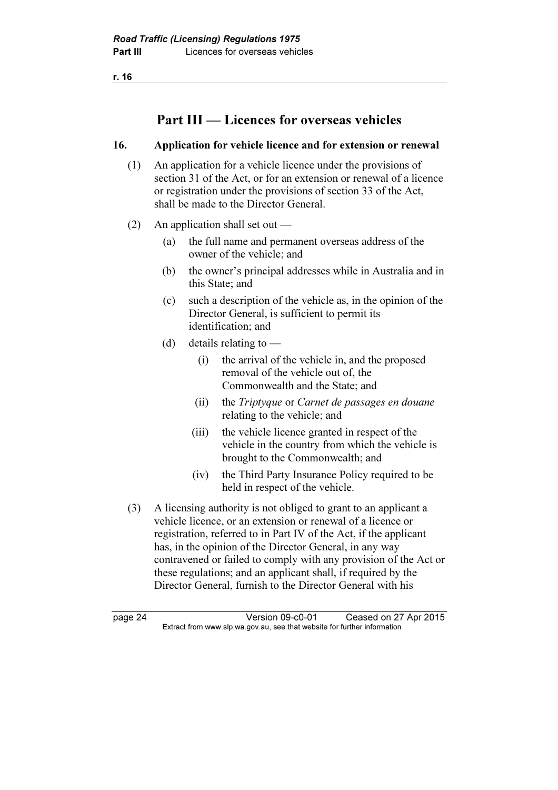r. 16

## Part III — Licences for overseas vehicles

#### 16. Application for vehicle licence and for extension or renewal

- (1) An application for a vehicle licence under the provisions of section 31 of the Act, or for an extension or renewal of a licence or registration under the provisions of section 33 of the Act, shall be made to the Director General.
- (2) An application shall set out
	- (a) the full name and permanent overseas address of the owner of the vehicle; and
	- (b) the owner's principal addresses while in Australia and in this State; and
	- (c) such a description of the vehicle as, in the opinion of the Director General, is sufficient to permit its identification; and
	- (d) details relating to  $-$ 
		- (i) the arrival of the vehicle in, and the proposed removal of the vehicle out of, the Commonwealth and the State; and
		- (ii) the Triptyque or Carnet de passages en douane relating to the vehicle; and
		- (iii) the vehicle licence granted in respect of the vehicle in the country from which the vehicle is brought to the Commonwealth; and
		- (iv) the Third Party Insurance Policy required to be held in respect of the vehicle.
- (3) A licensing authority is not obliged to grant to an applicant a vehicle licence, or an extension or renewal of a licence or registration, referred to in Part IV of the Act, if the applicant has, in the opinion of the Director General, in any way contravened or failed to comply with any provision of the Act or these regulations; and an applicant shall, if required by the Director General, furnish to the Director General with his

page 24 Version 09-c0-01 Ceased on 27 Apr 2015<br>Extract from www.slp.wa.gov.au, see that website for further information  $\mathbf{F}$  from which was the set that we besite for further information  $\mathbf{F}$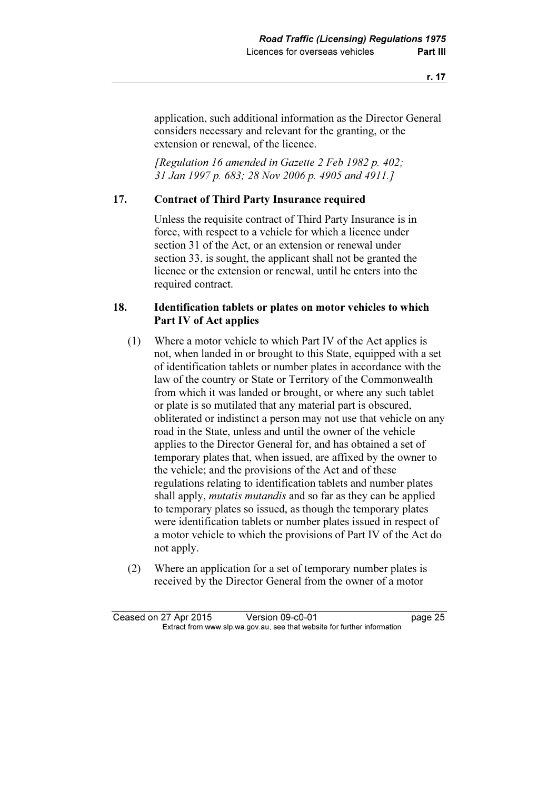application, such additional information as the Director General considers necessary and relevant for the granting, or the extension or renewal, of the licence.

[Regulation 16 amended in Gazette 2 Feb 1982 p. 402; 31 Jan 1997 p. 683; 28 Nov 2006 p. 4905 and 4911.]

#### 17. Contract of Third Party Insurance required

 Unless the requisite contract of Third Party Insurance is in force, with respect to a vehicle for which a licence under section 31 of the Act, or an extension or renewal under section 33, is sought, the applicant shall not be granted the licence or the extension or renewal, until he enters into the required contract.

#### 18. Identification tablets or plates on motor vehicles to which Part IV of Act applies

- (1) Where a motor vehicle to which Part IV of the Act applies is not, when landed in or brought to this State, equipped with a set of identification tablets or number plates in accordance with the law of the country or State or Territory of the Commonwealth from which it was landed or brought, or where any such tablet or plate is so mutilated that any material part is obscured, obliterated or indistinct a person may not use that vehicle on any road in the State, unless and until the owner of the vehicle applies to the Director General for, and has obtained a set of temporary plates that, when issued, are affixed by the owner to the vehicle; and the provisions of the Act and of these regulations relating to identification tablets and number plates shall apply, *mutatis mutandis* and so far as they can be applied to temporary plates so issued, as though the temporary plates were identification tablets or number plates issued in respect of a motor vehicle to which the provisions of Part IV of the Act do not apply.
- (2) Where an application for a set of temporary number plates is received by the Director General from the owner of a motor

Ceased on 27 Apr 2015 Version 09-c0-01 page 25<br>Extract from www.slp.wa.gov.au, see that website for further information  $\mathbf{F}$  from which was the set that we besite for further information  $\mathbf{F}$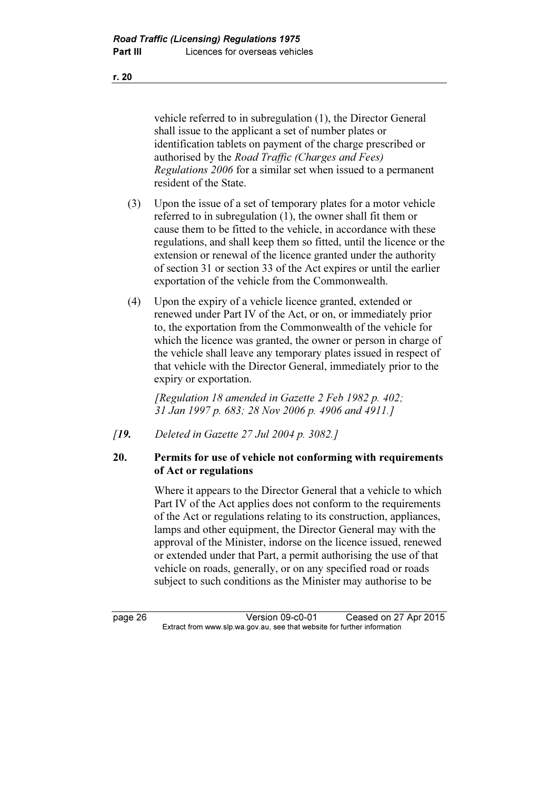vehicle referred to in subregulation (1), the Director General shall issue to the applicant a set of number plates or identification tablets on payment of the charge prescribed or authorised by the Road Traffic (Charges and Fees) Regulations 2006 for a similar set when issued to a permanent resident of the State.

- (3) Upon the issue of a set of temporary plates for a motor vehicle referred to in subregulation (1), the owner shall fit them or cause them to be fitted to the vehicle, in accordance with these regulations, and shall keep them so fitted, until the licence or the extension or renewal of the licence granted under the authority of section 31 or section 33 of the Act expires or until the earlier exportation of the vehicle from the Commonwealth.
- (4) Upon the expiry of a vehicle licence granted, extended or renewed under Part IV of the Act, or on, or immediately prior to, the exportation from the Commonwealth of the vehicle for which the licence was granted, the owner or person in charge of the vehicle shall leave any temporary plates issued in respect of that vehicle with the Director General, immediately prior to the expiry or exportation.

 [Regulation 18 amended in Gazette 2 Feb 1982 p. 402; 31 Jan 1997 p. 683; 28 Nov 2006 p. 4906 and 4911.]

[**19.** Deleted in Gazette 27 Jul 2004 p. 3082.]

#### 20. Permits for use of vehicle not conforming with requirements of Act or regulations

 Where it appears to the Director General that a vehicle to which Part IV of the Act applies does not conform to the requirements of the Act or regulations relating to its construction, appliances, lamps and other equipment, the Director General may with the approval of the Minister, indorse on the licence issued, renewed or extended under that Part, a permit authorising the use of that vehicle on roads, generally, or on any specified road or roads subject to such conditions as the Minister may authorise to be

page 26 Version 09-c0-01 Ceased on 27 Apr 2015<br>Extract from www.slp.wa.gov.au, see that website for further information  $\mathbf{F}$  from which was the set that we besite for further information  $\mathbf{F}$ 

r. 20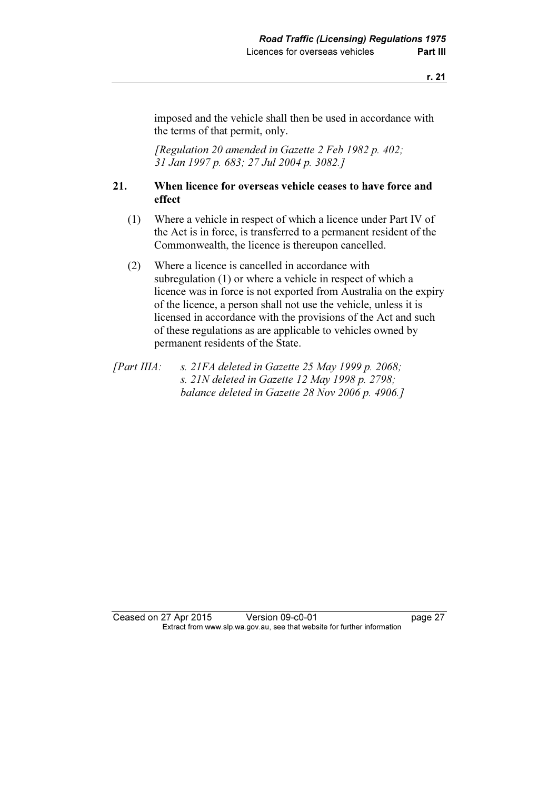imposed and the vehicle shall then be used in accordance with the terms of that permit, only.

 [Regulation 20 amended in Gazette 2 Feb 1982 p. 402; 31 Jan 1997 p. 683; 27 Jul 2004 p. 3082.]

#### 21. When licence for overseas vehicle ceases to have force and effect

- (1) Where a vehicle in respect of which a licence under Part IV of the Act is in force, is transferred to a permanent resident of the Commonwealth, the licence is thereupon cancelled.
- (2) Where a licence is cancelled in accordance with subregulation (1) or where a vehicle in respect of which a licence was in force is not exported from Australia on the expiry of the licence, a person shall not use the vehicle, unless it is licensed in accordance with the provisions of the Act and such of these regulations as are applicable to vehicles owned by permanent residents of the State.
- [Part IIIA: s. 21FA deleted in Gazette 25 May 1999 p. 2068; s. 21N deleted in Gazette 12 May 1998 p. 2798; balance deleted in Gazette 28 Nov 2006 p. 4906.]

Ceased on 27 Apr 2015 Version 09-c0-01 page 27<br>Extract from www.slp.wa.gov.au, see that website for further information  $\mathbf{F}$  from which was the set that we besite for further information  $\mathbf{F}$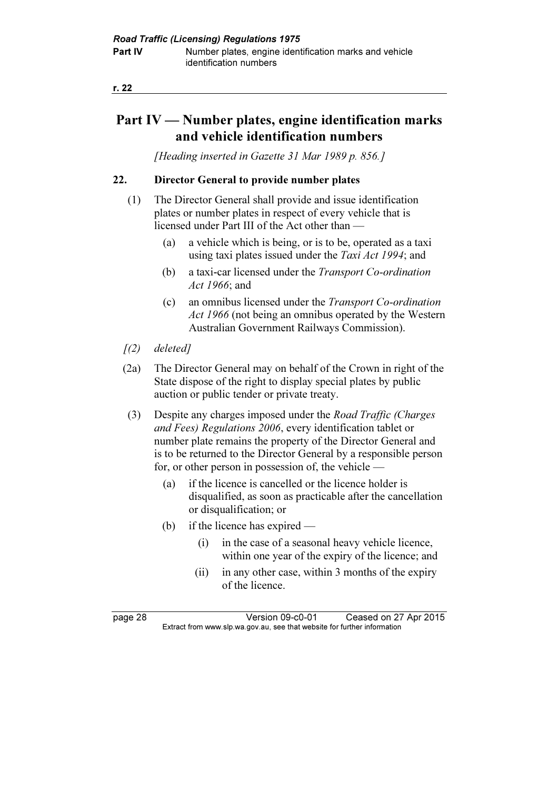### Part IV — Number plates, engine identification marks and vehicle identification numbers

[Heading inserted in Gazette 31 Mar 1989 p. 856.]

#### 22. Director General to provide number plates

- (1) The Director General shall provide and issue identification plates or number plates in respect of every vehicle that is licensed under Part III of the Act other than —
	- (a) a vehicle which is being, or is to be, operated as a taxi using taxi plates issued under the Taxi Act 1994; and
	- (b) a taxi-car licensed under the Transport Co-ordination Act 1966; and
	- (c) an omnibus licensed under the Transport Co-ordination Act 1966 (not being an omnibus operated by the Western Australian Government Railways Commission).
- $(2)$  deleted]
- (2a) The Director General may on behalf of the Crown in right of the State dispose of the right to display special plates by public auction or public tender or private treaty.
- (3) Despite any charges imposed under the Road Traffic (Charges and Fees) Regulations 2006, every identification tablet or number plate remains the property of the Director General and is to be returned to the Director General by a responsible person for, or other person in possession of, the vehicle —
	- (a) if the licence is cancelled or the licence holder is disqualified, as soon as practicable after the cancellation or disqualification; or
	- (b) if the licence has expired
		- (i) in the case of a seasonal heavy vehicle licence, within one year of the expiry of the licence; and
		- (ii) in any other case, within 3 months of the expiry of the licence.

page 28 Version 09-c0-01 Ceased on 27 Apr 2015<br>Extract from www.slp.wa.gov.au, see that website for further information  $\mathbf{F}$  from which was the set that we besite for further information  $\mathbf{F}$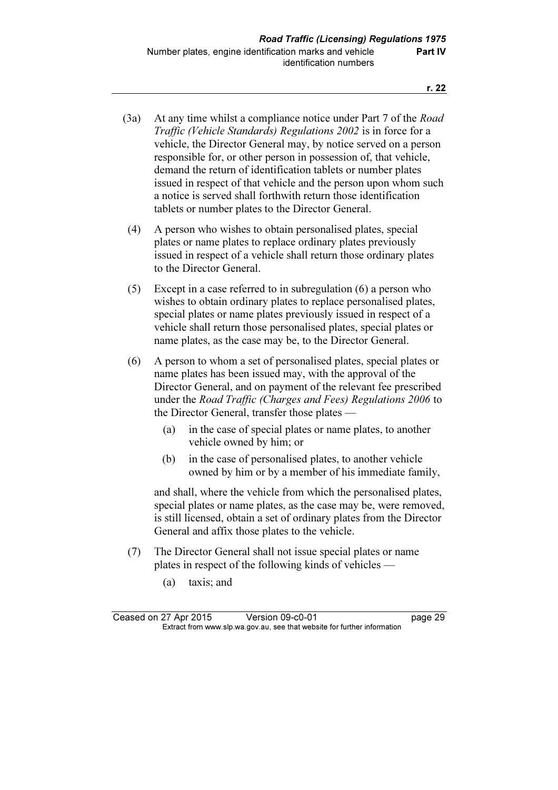- (3a) At any time whilst a compliance notice under Part 7 of the *Road* Traffic (Vehicle Standards) Regulations 2002 is in force for a vehicle, the Director General may, by notice served on a person responsible for, or other person in possession of, that vehicle, demand the return of identification tablets or number plates issued in respect of that vehicle and the person upon whom such a notice is served shall forthwith return those identification tablets or number plates to the Director General.
- (4) A person who wishes to obtain personalised plates, special plates or name plates to replace ordinary plates previously issued in respect of a vehicle shall return those ordinary plates to the Director General.
- (5) Except in a case referred to in subregulation (6) a person who wishes to obtain ordinary plates to replace personalised plates, special plates or name plates previously issued in respect of a vehicle shall return those personalised plates, special plates or name plates, as the case may be, to the Director General.
- (6) A person to whom a set of personalised plates, special plates or name plates has been issued may, with the approval of the Director General, and on payment of the relevant fee prescribed under the Road Traffic (Charges and Fees) Regulations 2006 to the Director General, transfer those plates —
	- (a) in the case of special plates or name plates, to another vehicle owned by him; or
	- (b) in the case of personalised plates, to another vehicle owned by him or by a member of his immediate family,

 and shall, where the vehicle from which the personalised plates, special plates or name plates, as the case may be, were removed, is still licensed, obtain a set of ordinary plates from the Director General and affix those plates to the vehicle.

- (7) The Director General shall not issue special plates or name plates in respect of the following kinds of vehicles —
	- (a) taxis; and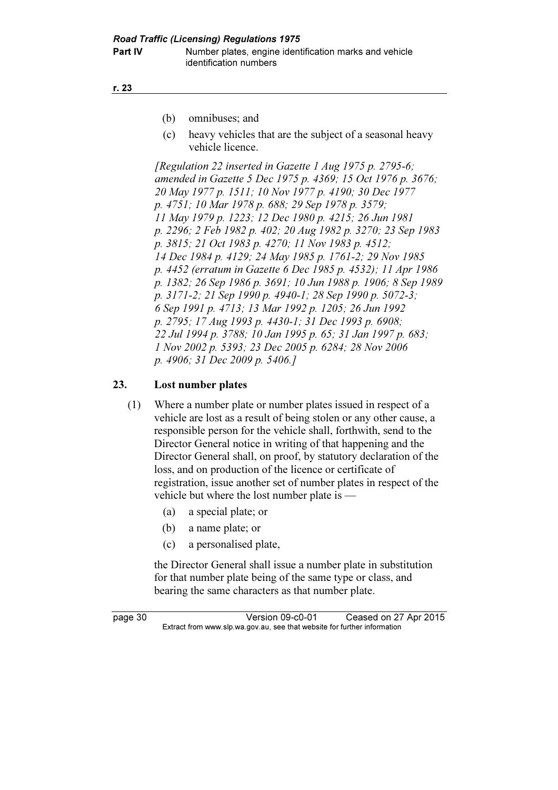r. 23

- (b) omnibuses; and
- (c) heavy vehicles that are the subject of a seasonal heavy vehicle licence.

[Regulation 22 inserted in Gazette 1 Aug 1975 p. 2795-6; amended in Gazette 5 Dec 1975 p. 4369; 15 Oct 1976 p. 3676; 20 May 1977 p. 1511; 10 Nov 1977 p. 4190; 30 Dec 1977 p. 4751; 10 Mar 1978 p. 688; 29 Sep 1978 p. 3579; 11 May 1979 p. 1223; 12 Dec 1980 p. 4215; 26 Jun 1981 p. 2296; 2 Feb 1982 p. 402; 20 Aug 1982 p. 3270; 23 Sep 1983 p. 3815; 21 Oct 1983 p. 4270; 11 Nov 1983 p. 4512; 14 Dec 1984 p. 4129; 24 May 1985 p. 1761-2; 29 Nov 1985 p. 4452 (erratum in Gazette 6 Dec 1985 p. 4532); 11 Apr 1986 p. 1382; 26 Sep 1986 p. 3691; 10 Jun 1988 p. 1906; 8 Sep 1989 p. 3171-2; 21 Sep 1990 p. 4940-1; 28 Sep 1990 p. 5072-3; 6 Sep 1991 p. 4713; 13 Mar 1992 p. 1205; 26 Jun 1992 p. 2795; 17 Aug 1993 p. 4430-1; 31 Dec 1993 p. 6908; 22 Jul 1994 p. 3788; 10 Jan 1995 p. 65; 31 Jan 1997 p. 683; 1 Nov 2002 p. 5393; 23 Dec 2005 p. 6284; 28 Nov 2006 p. 4906; 31 Dec 2009 p. 5406.]

#### 23. Lost number plates

- (1) Where a number plate or number plates issued in respect of a vehicle are lost as a result of being stolen or any other cause, a responsible person for the vehicle shall, forthwith, send to the Director General notice in writing of that happening and the Director General shall, on proof, by statutory declaration of the loss, and on production of the licence or certificate of registration, issue another set of number plates in respect of the vehicle but where the lost number plate is —
	- (a) a special plate; or
	- (b) a name plate; or
	- (c) a personalised plate,

 the Director General shall issue a number plate in substitution for that number plate being of the same type or class, and bearing the same characters as that number plate.

page 30 Version 09-c0-01 Ceased on 27 Apr 2015<br>Extract from www.slp.wa.gov.au, see that website for further information  $\mathbf{F}$  from which was the set that we besite for further information  $\mathbf{F}$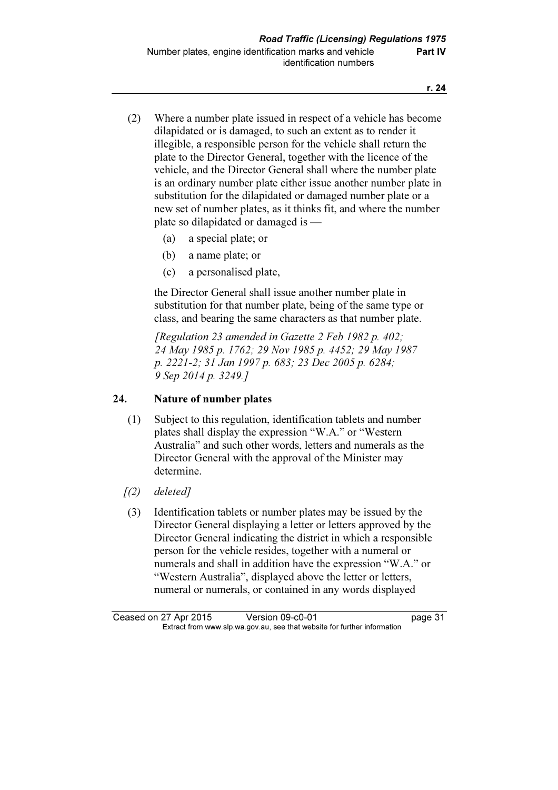r. 24

- (2) Where a number plate issued in respect of a vehicle has become dilapidated or is damaged, to such an extent as to render it illegible, a responsible person for the vehicle shall return the plate to the Director General, together with the licence of the vehicle, and the Director General shall where the number plate is an ordinary number plate either issue another number plate in substitution for the dilapidated or damaged number plate or a new set of number plates, as it thinks fit, and where the number plate so dilapidated or damaged is —
	- (a) a special plate; or
	- (b) a name plate; or
	- (c) a personalised plate,

 the Director General shall issue another number plate in substitution for that number plate, being of the same type or class, and bearing the same characters as that number plate.

 [Regulation 23 amended in Gazette 2 Feb 1982 p. 402; 24 May 1985 p. 1762; 29 Nov 1985 p. 4452; 29 May 1987 p. 2221-2; 31 Jan 1997 p. 683; 23 Dec 2005 p. 6284; 9 Sep 2014 p. 3249.]

# 24. Nature of number plates

- (1) Subject to this regulation, identification tablets and number plates shall display the expression "W.A." or "Western Australia" and such other words, letters and numerals as the Director General with the approval of the Minister may determine.
- $(2)$  deleted]
- (3) Identification tablets or number plates may be issued by the Director General displaying a letter or letters approved by the Director General indicating the district in which a responsible person for the vehicle resides, together with a numeral or numerals and shall in addition have the expression "W.A." or "Western Australia", displayed above the letter or letters, numeral or numerals, or contained in any words displayed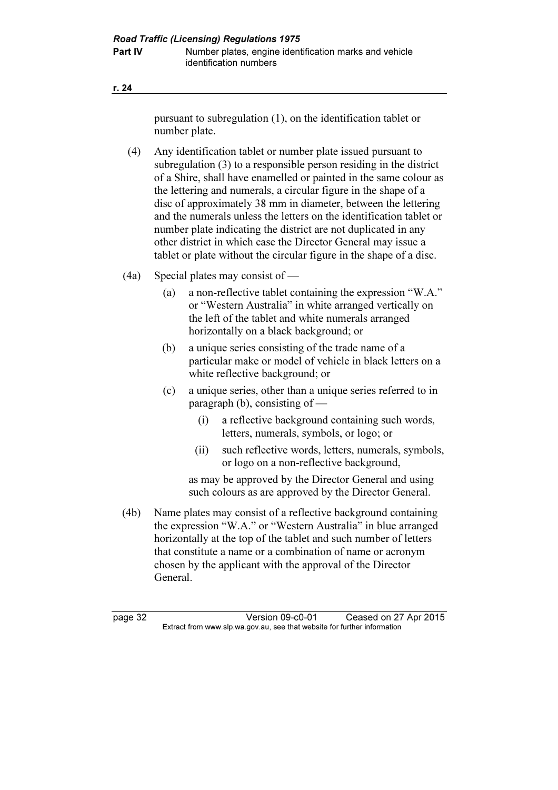| ٠ |  |
|---|--|
|---|--|

pursuant to subregulation (1), on the identification tablet or number plate.

- (4) Any identification tablet or number plate issued pursuant to subregulation (3) to a responsible person residing in the district of a Shire, shall have enamelled or painted in the same colour as the lettering and numerals, a circular figure in the shape of a disc of approximately 38 mm in diameter, between the lettering and the numerals unless the letters on the identification tablet or number plate indicating the district are not duplicated in any other district in which case the Director General may issue a tablet or plate without the circular figure in the shape of a disc.
- (4a) Special plates may consist of
	- (a) a non-reflective tablet containing the expression "W.A." or "Western Australia" in white arranged vertically on the left of the tablet and white numerals arranged horizontally on a black background; or
	- (b) a unique series consisting of the trade name of a particular make or model of vehicle in black letters on a white reflective background; or
	- (c) a unique series, other than a unique series referred to in paragraph (b), consisting of —
		- (i) a reflective background containing such words, letters, numerals, symbols, or logo; or
		- (ii) such reflective words, letters, numerals, symbols, or logo on a non-reflective background,

 as may be approved by the Director General and using such colours as are approved by the Director General.

 (4b) Name plates may consist of a reflective background containing the expression "W.A." or "Western Australia" in blue arranged horizontally at the top of the tablet and such number of letters that constitute a name or a combination of name or acronym chosen by the applicant with the approval of the Director General.

page 32 Version 09-c0-01 Ceased on 27 Apr 2015<br>Extract from www.slp.wa.gov.au, see that website for further information  $\mathbf{F}$  from which was the set that we besite for further information  $\mathbf{F}$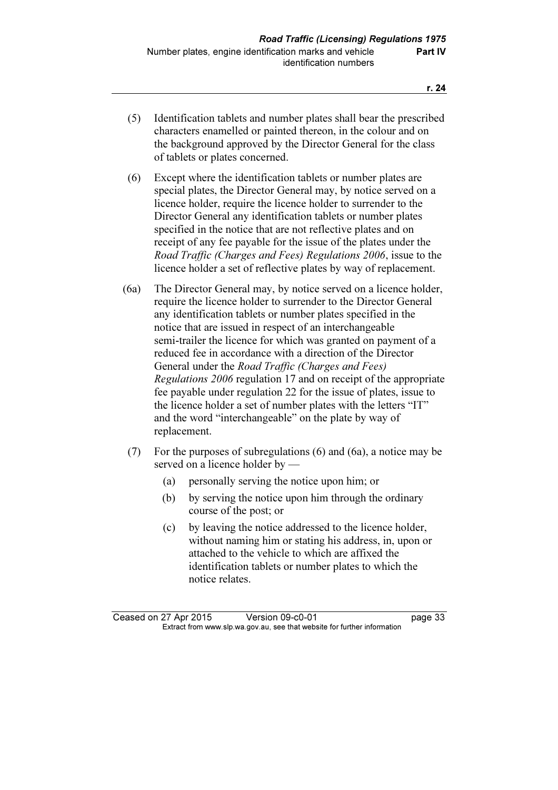- (5) Identification tablets and number plates shall bear the prescribed characters enamelled or painted thereon, in the colour and on the background approved by the Director General for the class of tablets or plates concerned.
- (6) Except where the identification tablets or number plates are special plates, the Director General may, by notice served on a licence holder, require the licence holder to surrender to the Director General any identification tablets or number plates specified in the notice that are not reflective plates and on receipt of any fee payable for the issue of the plates under the Road Traffic (Charges and Fees) Regulations 2006, issue to the licence holder a set of reflective plates by way of replacement.
- (6a) The Director General may, by notice served on a licence holder, require the licence holder to surrender to the Director General any identification tablets or number plates specified in the notice that are issued in respect of an interchangeable semi-trailer the licence for which was granted on payment of a reduced fee in accordance with a direction of the Director General under the Road Traffic (Charges and Fees) Regulations 2006 regulation 17 and on receipt of the appropriate fee payable under regulation 22 for the issue of plates, issue to the licence holder a set of number plates with the letters "IT" and the word "interchangeable" on the plate by way of replacement.
- (7) For the purposes of subregulations (6) and (6a), a notice may be served on a licence holder by —
	- (a) personally serving the notice upon him; or
	- (b) by serving the notice upon him through the ordinary course of the post; or
	- (c) by leaving the notice addressed to the licence holder, without naming him or stating his address, in, upon or attached to the vehicle to which are affixed the identification tablets or number plates to which the notice relates.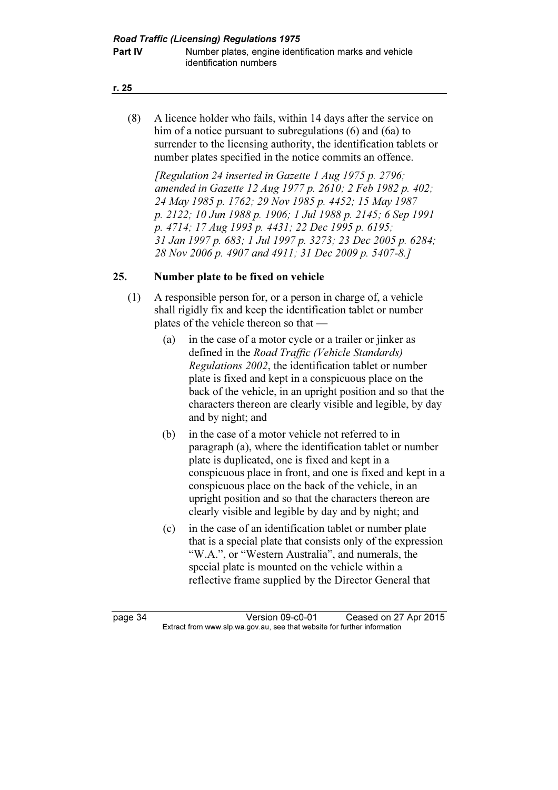#### r. 25

 (8) A licence holder who fails, within 14 days after the service on him of a notice pursuant to subregulations (6) and (6a) to surrender to the licensing authority, the identification tablets or number plates specified in the notice commits an offence.

[Regulation 24 inserted in Gazette 1 Aug 1975 p. 2796; amended in Gazette 12 Aug 1977 p. 2610; 2 Feb 1982 p. 402; 24 May 1985 p. 1762; 29 Nov 1985 p. 4452; 15 May 1987 p. 2122; 10 Jun 1988 p. 1906; 1 Jul 1988 p. 2145; 6 Sep 1991 p. 4714; 17 Aug 1993 p. 4431; 22 Dec 1995 p. 6195; 31 Jan 1997 p. 683; 1 Jul 1997 p. 3273; 23 Dec 2005 p. 6284; 28 Nov 2006 p. 4907 and 4911; 31 Dec 2009 p. 5407-8.]

### 25. Number plate to be fixed on vehicle

- (1) A responsible person for, or a person in charge of, a vehicle shall rigidly fix and keep the identification tablet or number plates of the vehicle thereon so that —
	- (a) in the case of a motor cycle or a trailer or jinker as defined in the Road Traffic (Vehicle Standards) Regulations 2002, the identification tablet or number plate is fixed and kept in a conspicuous place on the back of the vehicle, in an upright position and so that the characters thereon are clearly visible and legible, by day and by night; and
	- (b) in the case of a motor vehicle not referred to in paragraph (a), where the identification tablet or number plate is duplicated, one is fixed and kept in a conspicuous place in front, and one is fixed and kept in a conspicuous place on the back of the vehicle, in an upright position and so that the characters thereon are clearly visible and legible by day and by night; and
	- (c) in the case of an identification tablet or number plate that is a special plate that consists only of the expression "W.A.", or "Western Australia", and numerals, the special plate is mounted on the vehicle within a reflective frame supplied by the Director General that

page 34 Version 09-c0-01 Ceased on 27 Apr 2015<br>Extract from www.slp.wa.gov.au, see that website for further information  $\mathbf{F}$  from which was the set that we besite for further information  $\mathbf{F}$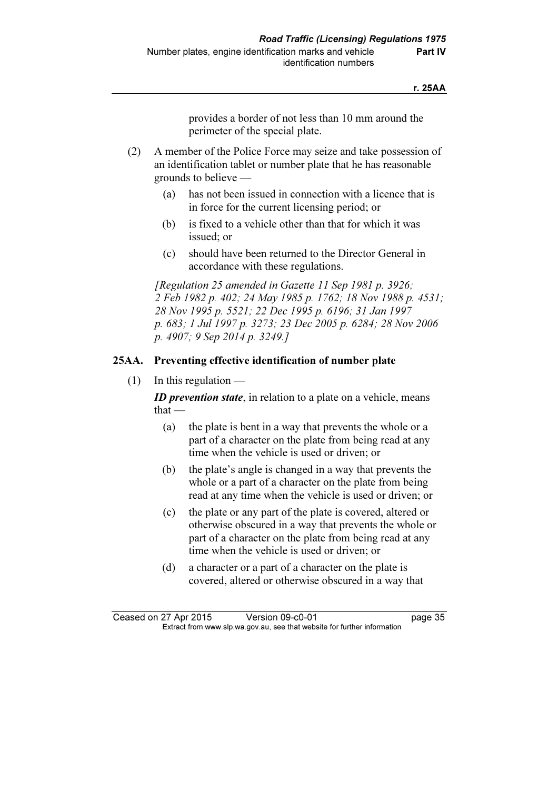provides a border of not less than 10 mm around the perimeter of the special plate.

- (2) A member of the Police Force may seize and take possession of an identification tablet or number plate that he has reasonable grounds to believe —
	- (a) has not been issued in connection with a licence that is in force for the current licensing period; or
	- (b) is fixed to a vehicle other than that for which it was issued; or
	- (c) should have been returned to the Director General in accordance with these regulations.

[Regulation 25 amended in Gazette 11 Sep 1981 p. 3926; 2 Feb 1982 p. 402; 24 May 1985 p. 1762; 18 Nov 1988 p. 4531; 28 Nov 1995 p. 5521; 22 Dec 1995 p. 6196; 31 Jan 1997 p. 683; 1 Jul 1997 p. 3273; 23 Dec 2005 p. 6284; 28 Nov 2006 p. 4907; 9 Sep 2014 p. 3249.]

### 25AA. Preventing effective identification of number plate

 $(1)$  In this regulation —

**ID** prevention state, in relation to a plate on a vehicle, means that —

- (a) the plate is bent in a way that prevents the whole or a part of a character on the plate from being read at any time when the vehicle is used or driven; or
- (b) the plate's angle is changed in a way that prevents the whole or a part of a character on the plate from being read at any time when the vehicle is used or driven; or
- (c) the plate or any part of the plate is covered, altered or otherwise obscured in a way that prevents the whole or part of a character on the plate from being read at any time when the vehicle is used or driven; or
- (d) a character or a part of a character on the plate is covered, altered or otherwise obscured in a way that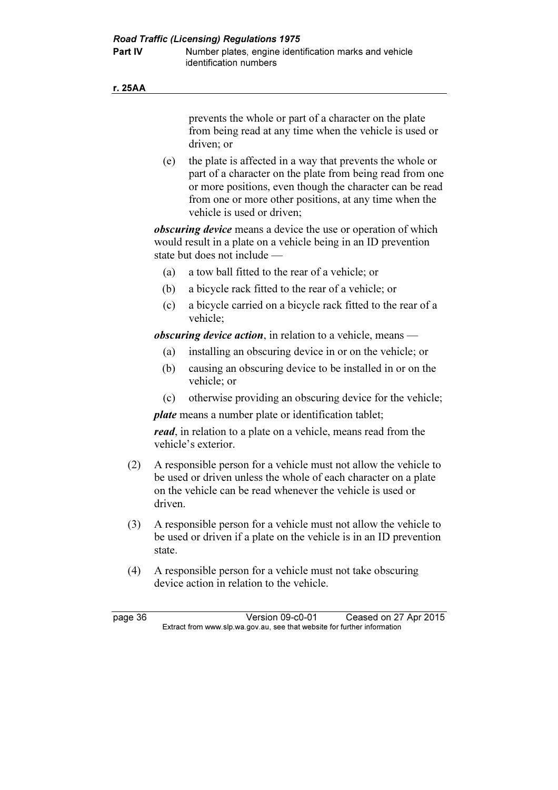#### r. 25AA

prevents the whole or part of a character on the plate from being read at any time when the vehicle is used or driven; or

 (e) the plate is affected in a way that prevents the whole or part of a character on the plate from being read from one or more positions, even though the character can be read from one or more other positions, at any time when the vehicle is used or driven;

*obscuring device* means a device the use or operation of which would result in a plate on a vehicle being in an ID prevention state but does not include —

- (a) a tow ball fitted to the rear of a vehicle; or
- (b) a bicycle rack fitted to the rear of a vehicle; or
- (c) a bicycle carried on a bicycle rack fitted to the rear of a vehicle;

obscuring device action, in relation to a vehicle, means  $-$ 

- (a) installing an obscuring device in or on the vehicle; or
- (b) causing an obscuring device to be installed in or on the vehicle; or
- (c) otherwise providing an obscuring device for the vehicle;

plate means a number plate or identification tablet;

read, in relation to a plate on a vehicle, means read from the vehicle's exterior.

- (2) A responsible person for a vehicle must not allow the vehicle to be used or driven unless the whole of each character on a plate on the vehicle can be read whenever the vehicle is used or driven.
- (3) A responsible person for a vehicle must not allow the vehicle to be used or driven if a plate on the vehicle is in an ID prevention state.
- (4) A responsible person for a vehicle must not take obscuring device action in relation to the vehicle.

page 36 Version 09-c0-01 Ceased on 27 Apr 2015<br>Extract from www.slp.wa.gov.au, see that website for further information  $\mathbf{F}$  from which was the set that we besite for further information  $\mathbf{F}$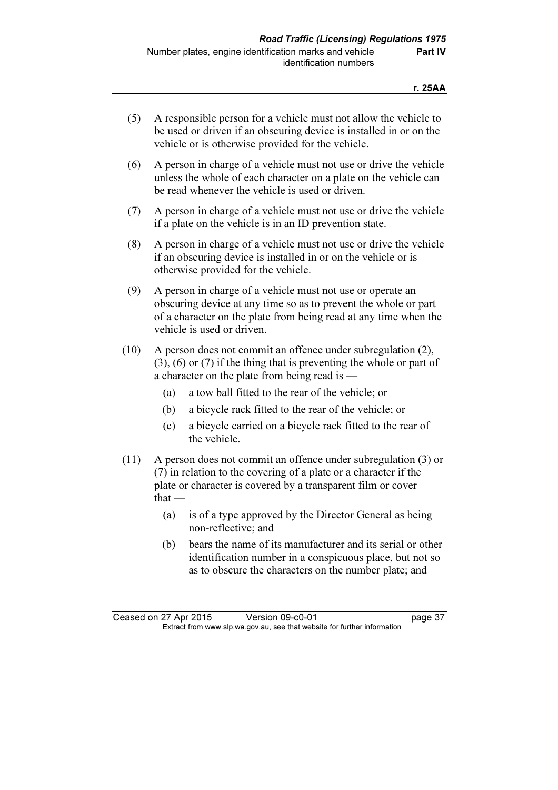- (5) A responsible person for a vehicle must not allow the vehicle to be used or driven if an obscuring device is installed in or on the vehicle or is otherwise provided for the vehicle.
- (6) A person in charge of a vehicle must not use or drive the vehicle unless the whole of each character on a plate on the vehicle can be read whenever the vehicle is used or driven.
- (7) A person in charge of a vehicle must not use or drive the vehicle if a plate on the vehicle is in an ID prevention state.
- (8) A person in charge of a vehicle must not use or drive the vehicle if an obscuring device is installed in or on the vehicle or is otherwise provided for the vehicle.
- (9) A person in charge of a vehicle must not use or operate an obscuring device at any time so as to prevent the whole or part of a character on the plate from being read at any time when the vehicle is used or driven.
- (10) A person does not commit an offence under subregulation (2), (3), (6) or (7) if the thing that is preventing the whole or part of a character on the plate from being read is —
	- (a) a tow ball fitted to the rear of the vehicle; or
	- (b) a bicycle rack fitted to the rear of the vehicle; or
	- (c) a bicycle carried on a bicycle rack fitted to the rear of the vehicle.
- (11) A person does not commit an offence under subregulation (3) or (7) in relation to the covering of a plate or a character if the plate or character is covered by a transparent film or cover  $that -$ 
	- (a) is of a type approved by the Director General as being non-reflective; and
	- (b) bears the name of its manufacturer and its serial or other identification number in a conspicuous place, but not so as to obscure the characters on the number plate; and

Ceased on 27 Apr 2015 Version 09-c0-01 page 37<br>Extract from www.slp.wa.gov.au, see that website for further information  $\mathbf{F}$  from which was the set that we besite for further information  $\mathbf{F}$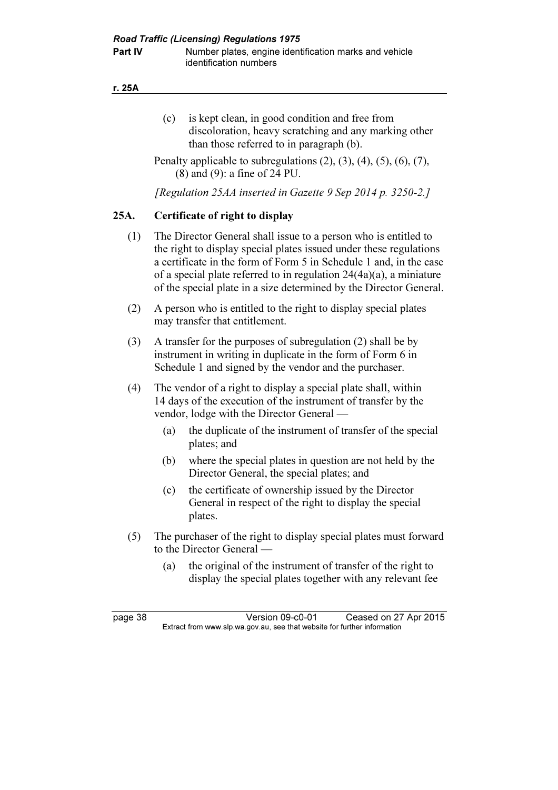- (c) is kept clean, in good condition and free from discoloration, heavy scratching and any marking other than those referred to in paragraph (b).
- Penalty applicable to subregulations  $(2)$ ,  $(3)$ ,  $(4)$ ,  $(5)$ ,  $(6)$ ,  $(7)$ , (8) and (9): a fine of 24 PU.

[Regulation 25AA inserted in Gazette 9 Sep 2014 p. 3250-2.]

# 25A. Certificate of right to display

- (1) The Director General shall issue to a person who is entitled to the right to display special plates issued under these regulations a certificate in the form of Form 5 in Schedule 1 and, in the case of a special plate referred to in regulation 24(4a)(a), a miniature of the special plate in a size determined by the Director General.
- (2) A person who is entitled to the right to display special plates may transfer that entitlement.
- (3) A transfer for the purposes of subregulation (2) shall be by instrument in writing in duplicate in the form of Form 6 in Schedule 1 and signed by the vendor and the purchaser.
- (4) The vendor of a right to display a special plate shall, within 14 days of the execution of the instrument of transfer by the vendor, lodge with the Director General —
	- (a) the duplicate of the instrument of transfer of the special plates; and
	- (b) where the special plates in question are not held by the Director General, the special plates; and
	- (c) the certificate of ownership issued by the Director General in respect of the right to display the special plates.
- (5) The purchaser of the right to display special plates must forward to the Director General —
	- (a) the original of the instrument of transfer of the right to display the special plates together with any relevant fee

page 38 Version 09-c0-01 Ceased on 27 Apr 2015<br>Extract from www.slp.wa.gov.au, see that website for further information  $\mathbf{F}$  from which was the set that we besite for further information  $\mathbf{F}$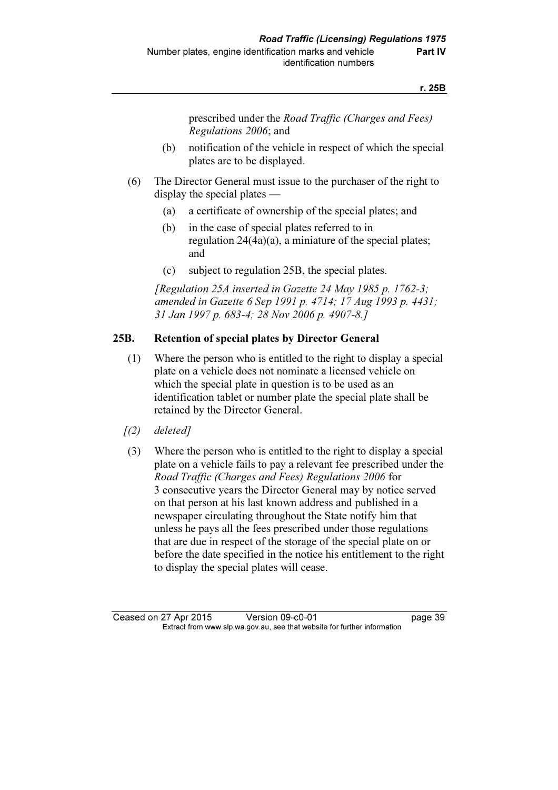prescribed under the Road Traffic (Charges and Fees) Regulations 2006; and

- (b) notification of the vehicle in respect of which the special plates are to be displayed.
- (6) The Director General must issue to the purchaser of the right to display the special plates —
	- (a) a certificate of ownership of the special plates; and
	- (b) in the case of special plates referred to in regulation 24(4a)(a), a miniature of the special plates; and
	- (c) subject to regulation 25B, the special plates.

 [Regulation 25A inserted in Gazette 24 May 1985 p. 1762-3; amended in Gazette 6 Sep 1991 p. 4714; 17 Aug 1993 p. 4431; 31 Jan 1997 p. 683-4; 28 Nov 2006 p. 4907-8.]

### 25B. Retention of special plates by Director General

- (1) Where the person who is entitled to the right to display a special plate on a vehicle does not nominate a licensed vehicle on which the special plate in question is to be used as an identification tablet or number plate the special plate shall be retained by the Director General.
- $(2)$  deleted]
- (3) Where the person who is entitled to the right to display a special plate on a vehicle fails to pay a relevant fee prescribed under the Road Traffic (Charges and Fees) Regulations 2006 for 3 consecutive years the Director General may by notice served on that person at his last known address and published in a newspaper circulating throughout the State notify him that unless he pays all the fees prescribed under those regulations that are due in respect of the storage of the special plate on or before the date specified in the notice his entitlement to the right to display the special plates will cease.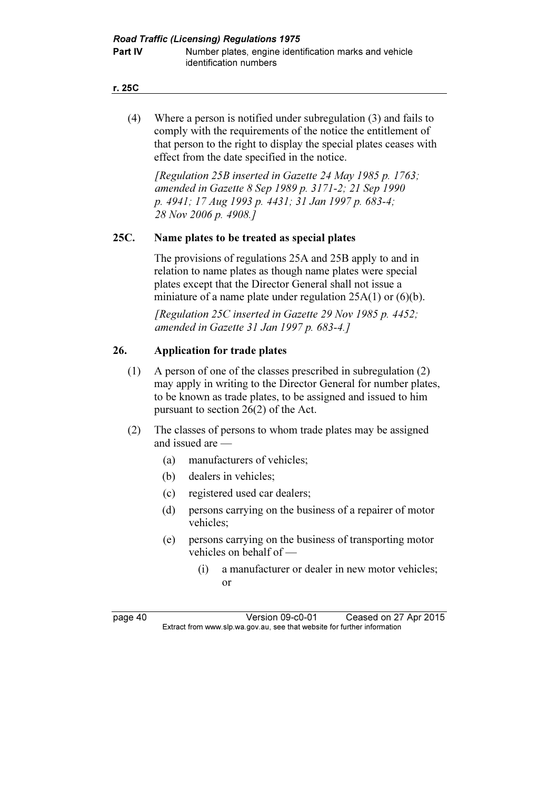#### r. 25C

 (4) Where a person is notified under subregulation (3) and fails to comply with the requirements of the notice the entitlement of that person to the right to display the special plates ceases with effect from the date specified in the notice.

 [Regulation 25B inserted in Gazette 24 May 1985 p. 1763; amended in Gazette 8 Sep 1989 p. 3171-2; 21 Sep 1990 p. 4941; 17 Aug 1993 p. 4431; 31 Jan 1997 p. 683-4; 28 Nov 2006 p. 4908.]

### 25C. Name plates to be treated as special plates

 The provisions of regulations 25A and 25B apply to and in relation to name plates as though name plates were special plates except that the Director General shall not issue a miniature of a name plate under regulation 25A(1) or (6)(b).

[Regulation 25C inserted in Gazette 29 Nov 1985 p. 4452; amended in Gazette 31 Jan 1997 p. 683-4.]

### 26. Application for trade plates

- (1) A person of one of the classes prescribed in subregulation (2) may apply in writing to the Director General for number plates, to be known as trade plates, to be assigned and issued to him pursuant to section 26(2) of the Act.
- (2) The classes of persons to whom trade plates may be assigned and issued are —
	- (a) manufacturers of vehicles;
	- (b) dealers in vehicles;
	- (c) registered used car dealers;
	- (d) persons carrying on the business of a repairer of motor vehicles;
	- (e) persons carrying on the business of transporting motor vehicles on behalf of —
		- (i) a manufacturer or dealer in new motor vehicles; or

page 40 Version 09-c0-01 Ceased on 27 Apr 2015<br>Extract from www.slp.wa.gov.au, see that website for further information  $\mathbf{F}$  from which was the set that we besite for further information  $\mathbf{F}$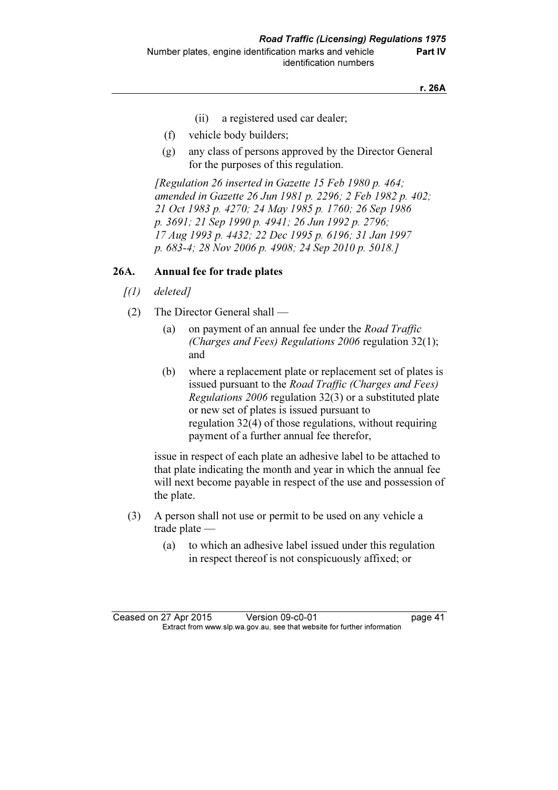- (ii) a registered used car dealer;
- (f) vehicle body builders;
- (g) any class of persons approved by the Director General for the purposes of this regulation.

[Regulation 26 inserted in Gazette 15 Feb 1980 p. 464; amended in Gazette 26 Jun 1981 p. 2296; 2 Feb 1982 p. 402; 21 Oct 1983 p. 4270; 24 May 1985 p. 1760; 26 Sep 1986 p. 3691; 21 Sep 1990 p. 4941; 26 Jun 1992 p. 2796; 17 Aug 1993 p. 4432; 22 Dec 1995 p. 6196; 31 Jan 1997 p. 683-4; 28 Nov 2006 p. 4908; 24 Sep 2010 p. 5018.]

#### 26A. Annual fee for trade plates

- $\int(1)$  deleted]
- (2) The Director General shall
	- (a) on payment of an annual fee under the *Road Traffic* (Charges and Fees) Regulations 2006 regulation 32(1); and
	- (b) where a replacement plate or replacement set of plates is issued pursuant to the Road Traffic (Charges and Fees) Regulations 2006 regulation 32(3) or a substituted plate or new set of plates is issued pursuant to regulation 32(4) of those regulations, without requiring payment of a further annual fee therefor,

 issue in respect of each plate an adhesive label to be attached to that plate indicating the month and year in which the annual fee will next become payable in respect of the use and possession of the plate.

- (3) A person shall not use or permit to be used on any vehicle a trade plate —
	- (a) to which an adhesive label issued under this regulation in respect thereof is not conspicuously affixed; or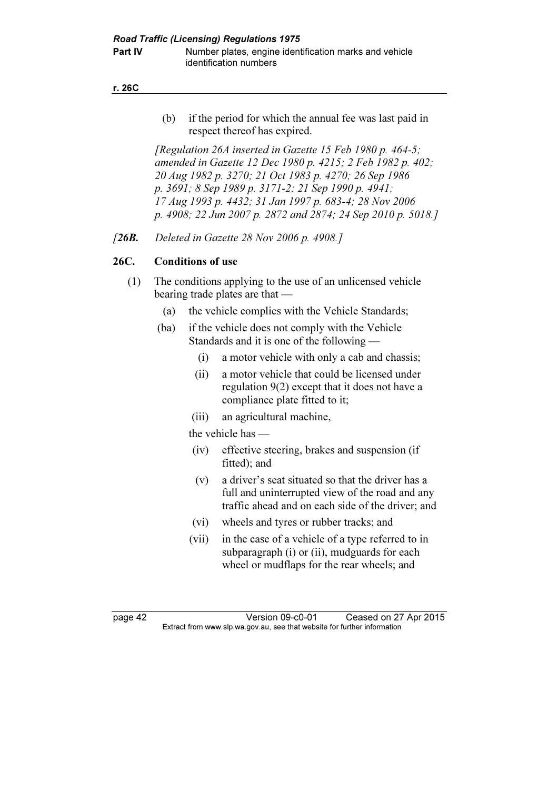**Part IV** Number plates, engine identification marks and vehicle identification numbers

r. 26C

 (b) if the period for which the annual fee was last paid in respect thereof has expired.

[Regulation 26A inserted in Gazette 15 Feb 1980 p. 464-5; amended in Gazette 12 Dec 1980 p. 4215; 2 Feb 1982 p. 402; 20 Aug 1982 p. 3270; 21 Oct 1983 p. 4270; 26 Sep 1986 p. 3691; 8 Sep 1989 p. 3171-2; 21 Sep 1990 p. 4941; 17 Aug 1993 p. 4432; 31 Jan 1997 p. 683-4; 28 Nov 2006 p. 4908; 22 Jun 2007 p. 2872 and 2874; 24 Sep 2010 p. 5018.]

[26**B.** Deleted in Gazette 28 Nov 2006 p. 4908.]

# 26C. Conditions of use

- (1) The conditions applying to the use of an unlicensed vehicle bearing trade plates are that —
	- (a) the vehicle complies with the Vehicle Standards;
	- (ba) if the vehicle does not comply with the Vehicle Standards and it is one of the following —
		- (i) a motor vehicle with only a cab and chassis;
		- (ii) a motor vehicle that could be licensed under regulation 9(2) except that it does not have a compliance plate fitted to it;
		- (iii) an agricultural machine,

the vehicle has —

- (iv) effective steering, brakes and suspension (if fitted); and
- (v) a driver's seat situated so that the driver has a full and uninterrupted view of the road and any traffic ahead and on each side of the driver; and
- (vi) wheels and tyres or rubber tracks; and
- (vii) in the case of a vehicle of a type referred to in subparagraph (i) or (ii), mudguards for each wheel or mudflaps for the rear wheels; and

page 42 Version 09-c0-01 Ceased on 27 Apr 2015<br>Extract from www.slp.wa.gov.au, see that website for further information  $\mathbf{F}$  from which was the set that we besite for further information  $\mathbf{F}$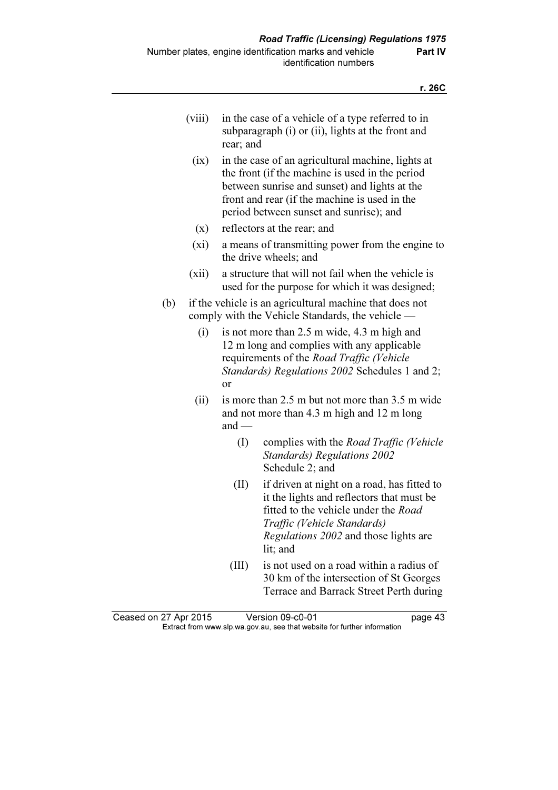| (V111) | in the case of a vehicle of a type referred to in<br>subparagraph (i) or (ii), lights at the front and<br>rear; and |
|--------|---------------------------------------------------------------------------------------------------------------------|
|        | (ix) in the case of an agricultural machine, lights at<br>the front (if the machine is used in the neriod           |

the front (if the machine is used in the period between sunrise and sunset) and lights at the front and rear (if the machine is used in the period between sunset and sunrise); and

- (x) reflectors at the rear; and
- (xi) a means of transmitting power from the engine to the drive wheels; and
- (xii) a structure that will not fail when the vehicle is used for the purpose for which it was designed;
- (b) if the vehicle is an agricultural machine that does not comply with the Vehicle Standards, the vehicle —
	- (i) is not more than 2.5 m wide, 4.3 m high and 12 m long and complies with any applicable requirements of the Road Traffic (Vehicle Standards) Regulations 2002 Schedules 1 and 2; or
	- (ii) is more than 2.5 m but not more than 3.5 m wide and not more than 4.3 m high and 12 m long and —
		- (I) complies with the Road Traffic (Vehicle Standards) Regulations 2002 Schedule 2; and
		- (II) if driven at night on a road, has fitted to it the lights and reflectors that must be fitted to the vehicle under the Road Traffic (Vehicle Standards) Regulations 2002 and those lights are lit; and
		- (III) is not used on a road within a radius of 30 km of the intersection of St Georges Terrace and Barrack Street Perth during

| Ceased on 27 Apr 2015 | Version 09-c0-01                                                         | page 43 |
|-----------------------|--------------------------------------------------------------------------|---------|
|                       | Extract from www.slp.wa.gov.au, see that website for further information |         |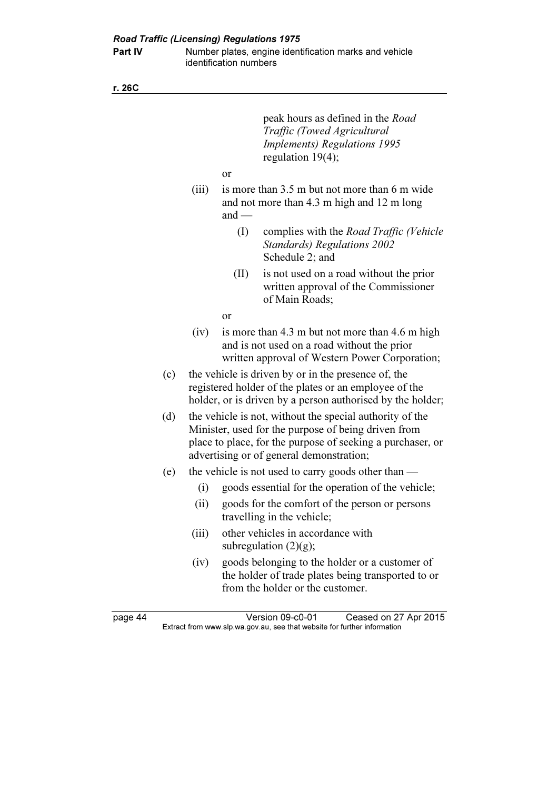Part IV Number plates, engine identification marks and vehicle identification numbers

r. 26C

|     |       |               | peak hours as defined in the <i>Road</i><br>Traffic (Towed Agricultural<br><b>Implements) Regulations 1995</b><br>regulation $19(4)$ ;                                                                                    |
|-----|-------|---------------|---------------------------------------------------------------------------------------------------------------------------------------------------------------------------------------------------------------------------|
|     |       | or            |                                                                                                                                                                                                                           |
|     | (iii) | and $-$       | is more than 3.5 m but not more than 6 m wide<br>and not more than 4.3 m high and 12 m long                                                                                                                               |
|     |       | (I)           | complies with the <i>Road Traffic (Vehicle</i> )<br><b>Standards</b> ) Regulations 2002<br>Schedule 2; and                                                                                                                |
|     |       | (II)          | is not used on a road without the prior<br>written approval of the Commissioner<br>of Main Roads;                                                                                                                         |
|     |       | <sub>or</sub> |                                                                                                                                                                                                                           |
|     | (iv)  |               | is more than 4.3 m but not more than 4.6 m high<br>and is not used on a road without the prior<br>written approval of Western Power Corporation;                                                                          |
| (c) |       |               | the vehicle is driven by or in the presence of, the<br>registered holder of the plates or an employee of the<br>holder, or is driven by a person authorised by the holder;                                                |
| (d) |       |               | the vehicle is not, without the special authority of the<br>Minister, used for the purpose of being driven from<br>place to place, for the purpose of seeking a purchaser, or<br>advertising or of general demonstration; |
| (e) |       |               | the vehicle is not used to carry goods other than $-$                                                                                                                                                                     |
|     | (i)   |               | goods essential for the operation of the vehicle;                                                                                                                                                                         |
|     | (ii)  |               | goods for the comfort of the person or persons<br>travelling in the vehicle;                                                                                                                                              |
|     | (iii) |               | other vehicles in accordance with<br>subregulation $(2)(g)$ ;                                                                                                                                                             |
|     | (iv)  |               | goods belonging to the holder or a customer of<br>the holder of trade plates being transported to or<br>from the holder or the customer.                                                                                  |
|     |       |               |                                                                                                                                                                                                                           |

page 44 Version 09-c0-01 Ceased on 27 Apr 2015 Extract from www.slp.wa.gov.au, see that website for further information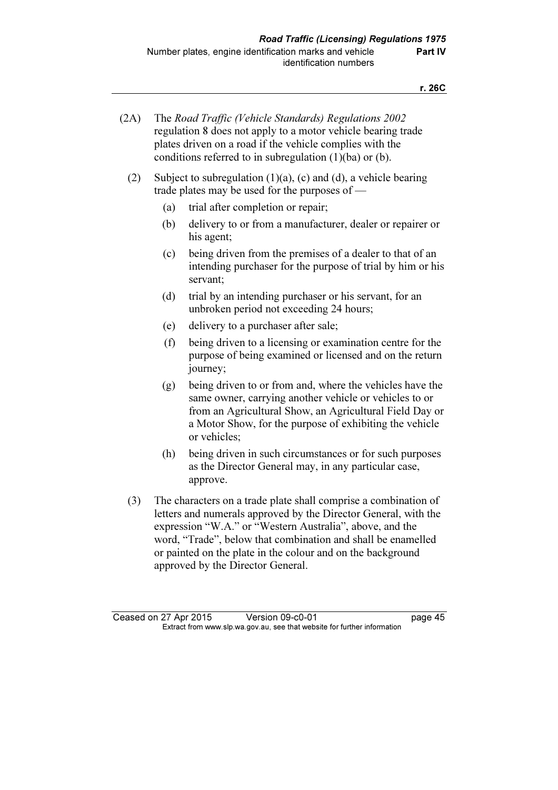| (2A) | The Road Traffic (Vehicle Standards) Regulations 2002        |
|------|--------------------------------------------------------------|
|      | regulation 8 does not apply to a motor vehicle bearing trade |
|      | plates driven on a road if the vehicle complies with the     |
|      | conditions referred to in subregulation $(1)(ba)$ or $(b)$ . |

- (2) Subject to subregulation (1)(a), (c) and (d), a vehicle bearing trade plates may be used for the purposes of —
	- (a) trial after completion or repair;
	- (b) delivery to or from a manufacturer, dealer or repairer or his agent;
	- (c) being driven from the premises of a dealer to that of an intending purchaser for the purpose of trial by him or his servant;
	- (d) trial by an intending purchaser or his servant, for an unbroken period not exceeding 24 hours;
	- (e) delivery to a purchaser after sale;
	- (f) being driven to a licensing or examination centre for the purpose of being examined or licensed and on the return journey;
	- (g) being driven to or from and, where the vehicles have the same owner, carrying another vehicle or vehicles to or from an Agricultural Show, an Agricultural Field Day or a Motor Show, for the purpose of exhibiting the vehicle or vehicles;
	- (h) being driven in such circumstances or for such purposes as the Director General may, in any particular case, approve.
- (3) The characters on a trade plate shall comprise a combination of letters and numerals approved by the Director General, with the expression "W.A." or "Western Australia", above, and the word, "Trade", below that combination and shall be enamelled or painted on the plate in the colour and on the background approved by the Director General.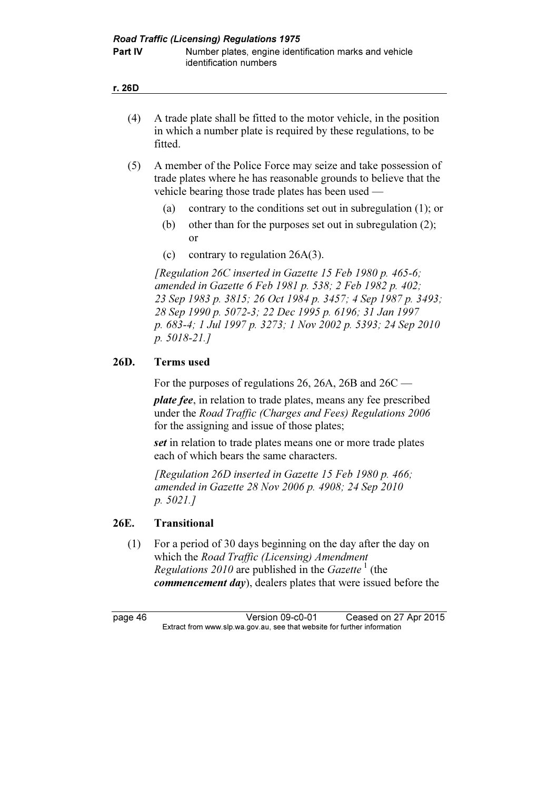|  | × |
|--|---|
|--|---|

- (4) A trade plate shall be fitted to the motor vehicle, in the position in which a number plate is required by these regulations, to be fitted.
- (5) A member of the Police Force may seize and take possession of trade plates where he has reasonable grounds to believe that the vehicle bearing those trade plates has been used —
	- (a) contrary to the conditions set out in subregulation (1); or
	- (b) other than for the purposes set out in subregulation (2); or
	- (c) contrary to regulation 26A(3).

[Regulation 26C inserted in Gazette 15 Feb 1980 p. 465-6; amended in Gazette 6 Feb 1981 p. 538; 2 Feb 1982 p. 402; 23 Sep 1983 p. 3815; 26 Oct 1984 p. 3457; 4 Sep 1987 p. 3493; 28 Sep 1990 p. 5072-3; 22 Dec 1995 p. 6196; 31 Jan 1997 p. 683-4; 1 Jul 1997 p. 3273; 1 Nov 2002 p. 5393; 24 Sep 2010 p. 5018-21.]

# 26D. Terms used

For the purposes of regulations 26, 26A, 26B and 26C —

plate fee, in relation to trade plates, means any fee prescribed under the Road Traffic (Charges and Fees) Regulations 2006 for the assigning and issue of those plates;

set in relation to trade plates means one or more trade plates each of which bears the same characters.

[Regulation 26D inserted in Gazette 15 Feb 1980 p. 466; amended in Gazette 28 Nov 2006 p. 4908; 24 Sep 2010 p. 5021.]

# 26E. Transitional

 (1) For a period of 30 days beginning on the day after the day on which the Road Traffic (Licensing) Amendment *Regulations 2010* are published in the *Gazette*<sup>1</sup> (the *commencement day*), dealers plates that were issued before the

page 46 Version 09-c0-01 Ceased on 27 Apr 2015<br>Extract from www.slp.wa.gov.au, see that website for further information  $\mathbf{F}$  from which was the set that we besite for further information  $\mathbf{F}$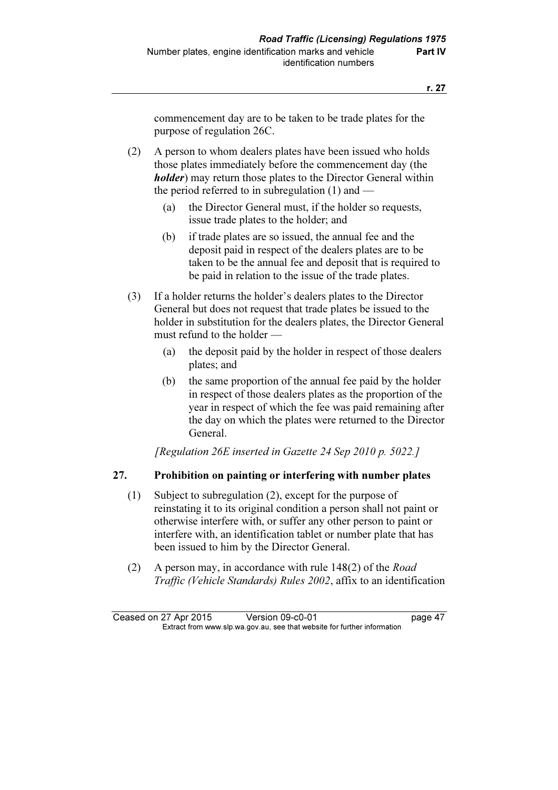commencement day are to be taken to be trade plates for the purpose of regulation 26C.

 (2) A person to whom dealers plates have been issued who holds those plates immediately before the commencement day (the **holder**) may return those plates to the Director General within the period referred to in subregulation (1) and —

- (a) the Director General must, if the holder so requests, issue trade plates to the holder; and
- (b) if trade plates are so issued, the annual fee and the deposit paid in respect of the dealers plates are to be taken to be the annual fee and deposit that is required to be paid in relation to the issue of the trade plates.
- (3) If a holder returns the holder's dealers plates to the Director General but does not request that trade plates be issued to the holder in substitution for the dealers plates, the Director General must refund to the holder —
	- (a) the deposit paid by the holder in respect of those dealers plates; and
	- (b) the same proportion of the annual fee paid by the holder in respect of those dealers plates as the proportion of the year in respect of which the fee was paid remaining after the day on which the plates were returned to the Director General.

[Regulation 26E inserted in Gazette 24 Sep 2010 p. 5022.]

# 27. Prohibition on painting or interfering with number plates

- (1) Subject to subregulation (2), except for the purpose of reinstating it to its original condition a person shall not paint or otherwise interfere with, or suffer any other person to paint or interfere with, an identification tablet or number plate that has been issued to him by the Director General.
- (2) A person may, in accordance with rule 148(2) of the Road Traffic (Vehicle Standards) Rules 2002, affix to an identification

Ceased on 27 Apr 2015 Version 09-c0-01 page 47<br>Extract from www.slp.wa.gov.au, see that website for further information  $\mathbf{F}$  from which was the set that we besite for further information  $\mathbf{F}$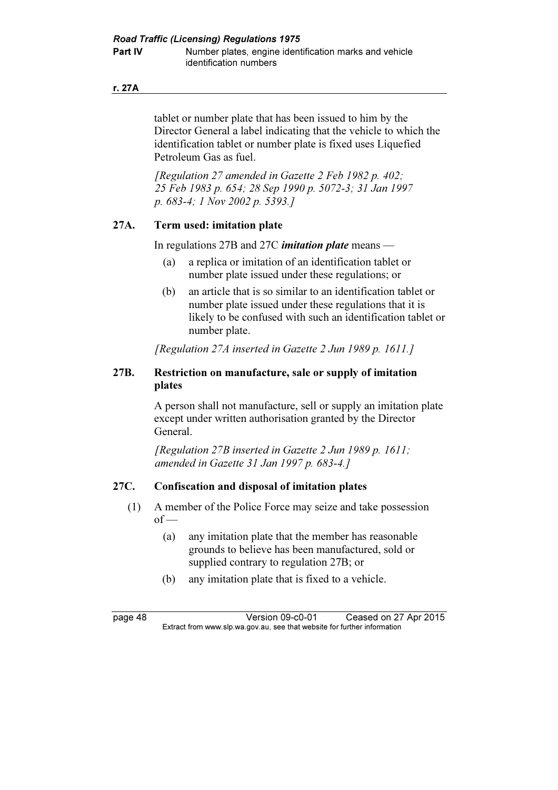#### r. 27A

tablet or number plate that has been issued to him by the Director General a label indicating that the vehicle to which the identification tablet or number plate is fixed uses Liquefied Petroleum Gas as fuel.

[Regulation 27 amended in Gazette 2 Feb 1982 p. 402; 25 Feb 1983 p. 654; 28 Sep 1990 p. 5072-3; 31 Jan 1997 p. 683-4; 1 Nov 2002 p. 5393.]

### 27A. Term used: imitation plate

In regulations 27B and 27C *imitation plate* means  $-$ 

- (a) a replica or imitation of an identification tablet or number plate issued under these regulations; or
- (b) an article that is so similar to an identification tablet or number plate issued under these regulations that it is likely to be confused with such an identification tablet or number plate.

[Regulation 27A inserted in Gazette 2 Jun 1989 p. 1611.]

### 27B. Restriction on manufacture, sale or supply of imitation plates

 A person shall not manufacture, sell or supply an imitation plate except under written authorisation granted by the Director General.

[Regulation 27B inserted in Gazette 2 Jun 1989 p. 1611; amended in Gazette 31 Jan 1997 p. 683-4.]

### 27C. Confiscation and disposal of imitation plates

- (1) A member of the Police Force may seize and take possession  $of$  —
	- (a) any imitation plate that the member has reasonable grounds to believe has been manufactured, sold or supplied contrary to regulation 27B; or
	- (b) any imitation plate that is fixed to a vehicle.

page 48 Version 09-c0-01 Ceased on 27 Apr 2015<br>Extract from www.slp.wa.gov.au, see that website for further information  $\mathbf{F}$  from which was the set that we besite for further information  $\mathbf{F}$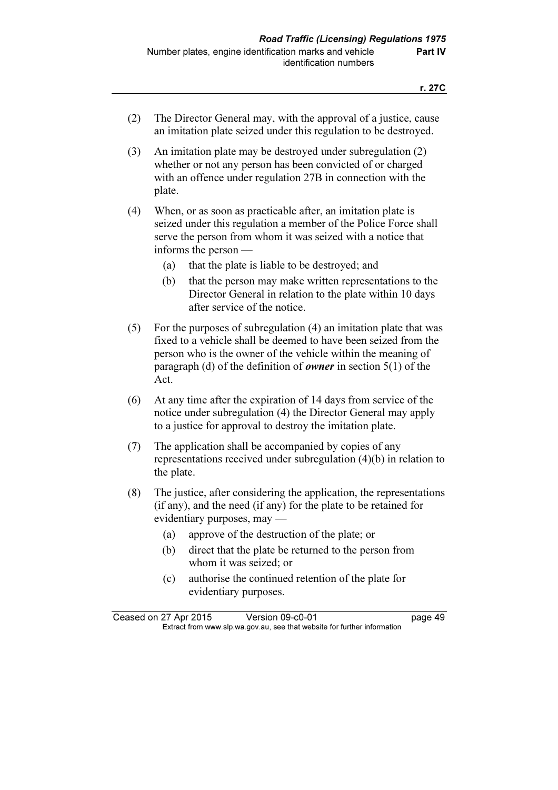- (2) The Director General may, with the approval of a justice, cause an imitation plate seized under this regulation to be destroyed.
- (3) An imitation plate may be destroyed under subregulation (2) whether or not any person has been convicted of or charged with an offence under regulation 27B in connection with the plate.
- (4) When, or as soon as practicable after, an imitation plate is seized under this regulation a member of the Police Force shall serve the person from whom it was seized with a notice that informs the person —
	- (a) that the plate is liable to be destroyed; and
	- (b) that the person may make written representations to the Director General in relation to the plate within 10 days after service of the notice.
- (5) For the purposes of subregulation (4) an imitation plate that was fixed to a vehicle shall be deemed to have been seized from the person who is the owner of the vehicle within the meaning of paragraph (d) of the definition of *owner* in section  $5(1)$  of the Act.
- (6) At any time after the expiration of 14 days from service of the notice under subregulation (4) the Director General may apply to a justice for approval to destroy the imitation plate.
- (7) The application shall be accompanied by copies of any representations received under subregulation (4)(b) in relation to the plate.
- (8) The justice, after considering the application, the representations (if any), and the need (if any) for the plate to be retained for evidentiary purposes, may —
	- (a) approve of the destruction of the plate; or
	- (b) direct that the plate be returned to the person from whom it was seized; or
	- (c) authorise the continued retention of the plate for evidentiary purposes.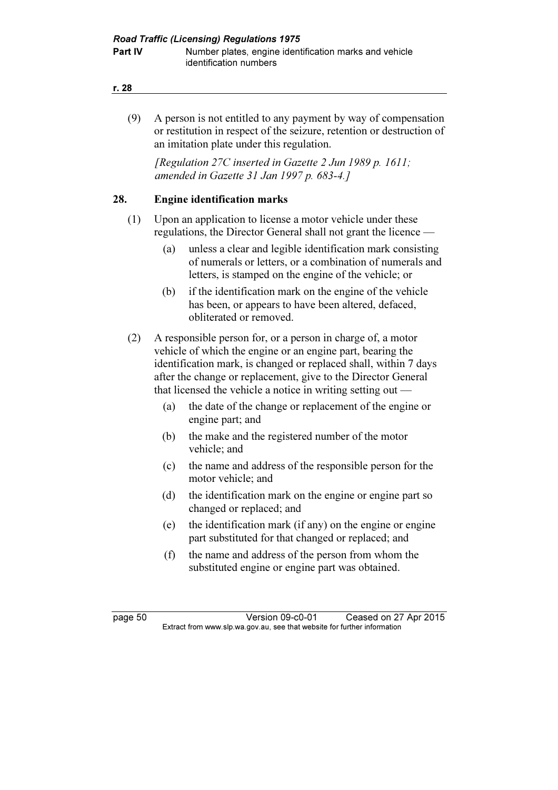#### r. 28

 (9) A person is not entitled to any payment by way of compensation or restitution in respect of the seizure, retention or destruction of an imitation plate under this regulation.

[Regulation 27C inserted in Gazette 2 Jun 1989 p. 1611; amended in Gazette 31 Jan 1997 p. 683-4.]

### 28. Engine identification marks

- (1) Upon an application to license a motor vehicle under these regulations, the Director General shall not grant the licence —
	- (a) unless a clear and legible identification mark consisting of numerals or letters, or a combination of numerals and letters, is stamped on the engine of the vehicle; or
	- (b) if the identification mark on the engine of the vehicle has been, or appears to have been altered, defaced, obliterated or removed.
- (2) A responsible person for, or a person in charge of, a motor vehicle of which the engine or an engine part, bearing the identification mark, is changed or replaced shall, within 7 days after the change or replacement, give to the Director General that licensed the vehicle a notice in writing setting out —
	- (a) the date of the change or replacement of the engine or engine part; and
	- (b) the make and the registered number of the motor vehicle; and
	- (c) the name and address of the responsible person for the motor vehicle; and
	- (d) the identification mark on the engine or engine part so changed or replaced; and
	- (e) the identification mark (if any) on the engine or engine part substituted for that changed or replaced; and
	- (f) the name and address of the person from whom the substituted engine or engine part was obtained.

page 50 Version 09-c0-01 Ceased on 27 Apr 2015<br>Extract from www.slp.wa.gov.au, see that website for further information  $\mathbf{F}$  from which was the set that we besite for further information  $\mathbf{F}$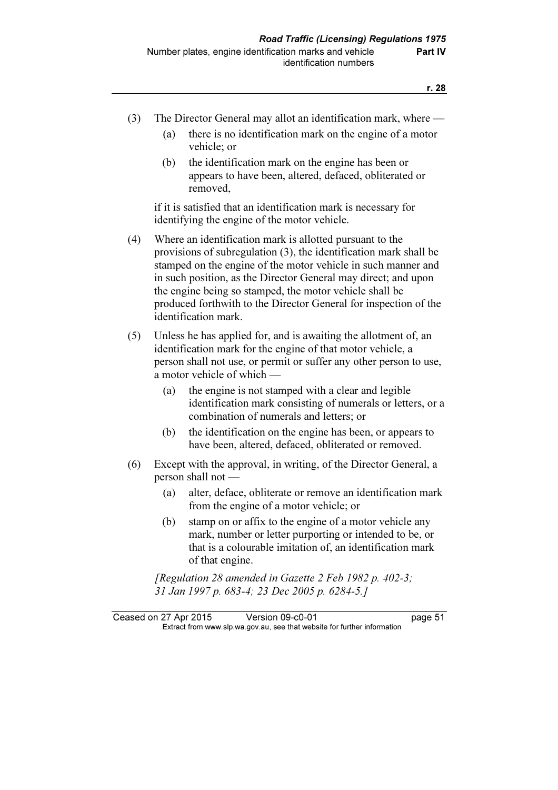- (3) The Director General may allot an identification mark, where
	- (a) there is no identification mark on the engine of a motor vehicle; or
	- (b) the identification mark on the engine has been or appears to have been, altered, defaced, obliterated or removed,

 if it is satisfied that an identification mark is necessary for identifying the engine of the motor vehicle.

- (4) Where an identification mark is allotted pursuant to the provisions of subregulation (3), the identification mark shall be stamped on the engine of the motor vehicle in such manner and in such position, as the Director General may direct; and upon the engine being so stamped, the motor vehicle shall be produced forthwith to the Director General for inspection of the identification mark.
- (5) Unless he has applied for, and is awaiting the allotment of, an identification mark for the engine of that motor vehicle, a person shall not use, or permit or suffer any other person to use, a motor vehicle of which —
	- (a) the engine is not stamped with a clear and legible identification mark consisting of numerals or letters, or a combination of numerals and letters; or
	- (b) the identification on the engine has been, or appears to have been, altered, defaced, obliterated or removed.
- (6) Except with the approval, in writing, of the Director General, a person shall not —
	- (a) alter, deface, obliterate or remove an identification mark from the engine of a motor vehicle; or
	- (b) stamp on or affix to the engine of a motor vehicle any mark, number or letter purporting or intended to be, or that is a colourable imitation of, an identification mark of that engine.

[Regulation 28 amended in Gazette 2 Feb 1982 p. 402-3; 31 Jan 1997 p. 683-4; 23 Dec 2005 p. 6284-5.]

Ceased on 27 Apr 2015 Version 09-c0-01 page 51<br>Extract from www.slp.wa.gov.au, see that website for further information  $\mathbf{F}$  from which was the set that we besite for further information  $\mathbf{F}$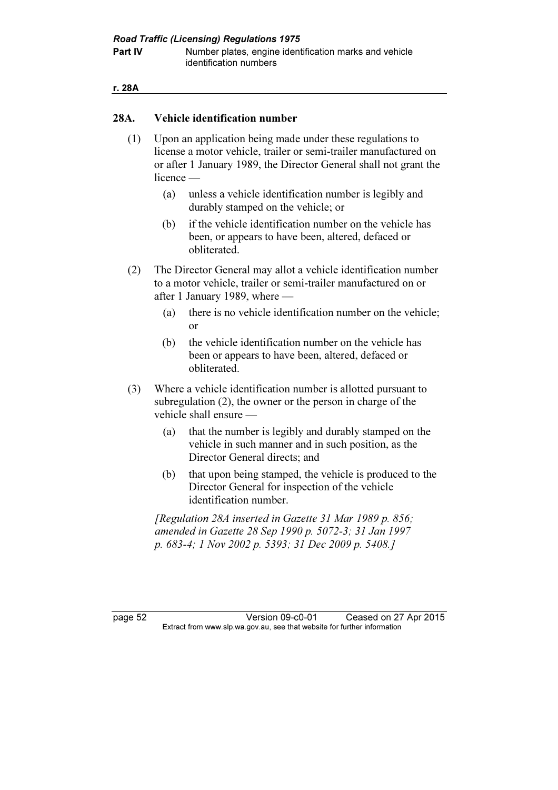**Part IV** Number plates, engine identification marks and vehicle identification numbers

#### r. 28A

### 28A. Vehicle identification number

- (1) Upon an application being made under these regulations to license a motor vehicle, trailer or semi-trailer manufactured on or after 1 January 1989, the Director General shall not grant the licence —
	- (a) unless a vehicle identification number is legibly and durably stamped on the vehicle; or
	- (b) if the vehicle identification number on the vehicle has been, or appears to have been, altered, defaced or obliterated.
- (2) The Director General may allot a vehicle identification number to a motor vehicle, trailer or semi-trailer manufactured on or after 1 January 1989, where —
	- (a) there is no vehicle identification number on the vehicle; or
	- (b) the vehicle identification number on the vehicle has been or appears to have been, altered, defaced or obliterated.
- (3) Where a vehicle identification number is allotted pursuant to subregulation (2), the owner or the person in charge of the vehicle shall ensure —
	- (a) that the number is legibly and durably stamped on the vehicle in such manner and in such position, as the Director General directs; and
	- (b) that upon being stamped, the vehicle is produced to the Director General for inspection of the vehicle identification number.

 [Regulation 28A inserted in Gazette 31 Mar 1989 p. 856; amended in Gazette 28 Sep 1990 p. 5072-3; 31 Jan 1997 p. 683-4; 1 Nov 2002 p. 5393; 31 Dec 2009 p. 5408.]

page 52 Version 09-c0-01 Ceased on 27 Apr 2015<br>Extract from www.slp.wa.gov.au, see that website for further information  $\mathbf{F}$  from which was the set that we besite for further information  $\mathbf{F}$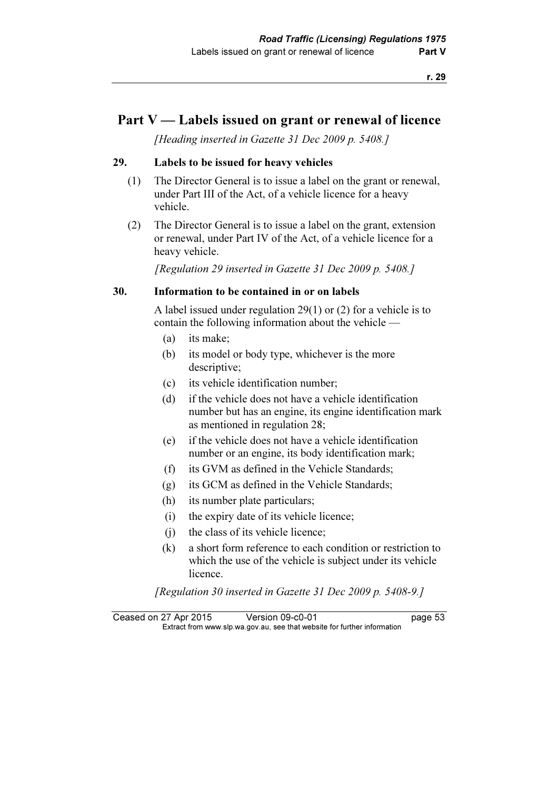# Part V — Labels issued on grant or renewal of licence

[Heading inserted in Gazette 31 Dec 2009 p. 5408.]

### 29. Labels to be issued for heavy vehicles

- (1) The Director General is to issue a label on the grant or renewal, under Part III of the Act, of a vehicle licence for a heavy vehicle.
- (2) The Director General is to issue a label on the grant, extension or renewal, under Part IV of the Act, of a vehicle licence for a heavy vehicle.

[Regulation 29 inserted in Gazette 31 Dec 2009 p. 5408.]

#### 30. Information to be contained in or on labels

 A label issued under regulation 29(1) or (2) for a vehicle is to contain the following information about the vehicle —

- (a) its make;
- (b) its model or body type, whichever is the more descriptive;
- (c) its vehicle identification number;
- (d) if the vehicle does not have a vehicle identification number but has an engine, its engine identification mark as mentioned in regulation 28;
- (e) if the vehicle does not have a vehicle identification number or an engine, its body identification mark;
- (f) its GVM as defined in the Vehicle Standards;
- (g) its GCM as defined in the Vehicle Standards;
- (h) its number plate particulars;
- (i) the expiry date of its vehicle licence;
- (j) the class of its vehicle licence;
- (k) a short form reference to each condition or restriction to which the use of the vehicle is subject under its vehicle licence.

[Regulation 30 inserted in Gazette 31 Dec 2009 p. 5408-9.]

Ceased on 27 Apr 2015 Version 09-c0-01 page 53<br>Extract from www.slp.wa.gov.au, see that website for further information  $\mathbf{F}$  from which was the set that we besite for further information  $\mathbf{F}$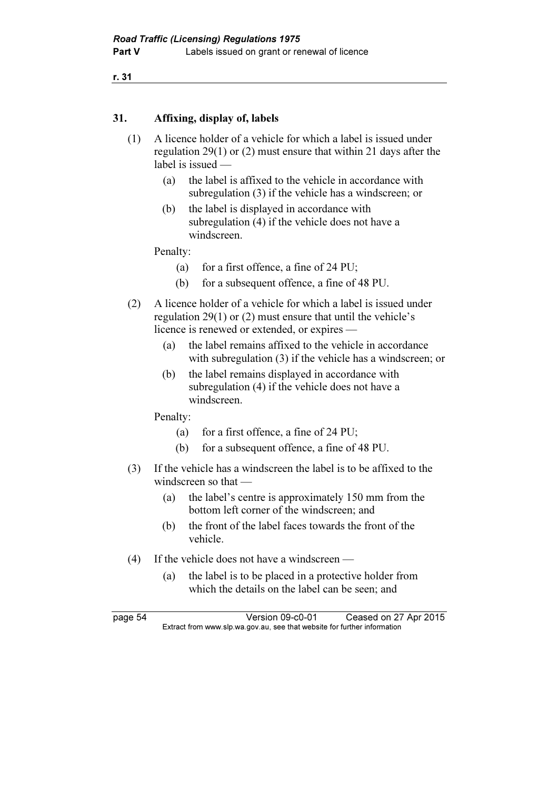r. 31

## 31. Affixing, display of, labels

- (1) A licence holder of a vehicle for which a label is issued under regulation 29(1) or (2) must ensure that within 21 days after the label is issued —
	- (a) the label is affixed to the vehicle in accordance with subregulation (3) if the vehicle has a windscreen; or
	- (b) the label is displayed in accordance with subregulation (4) if the vehicle does not have a windscreen.

Penalty:

- (a) for a first offence, a fine of  $24$  PU;
- (b) for a subsequent offence, a fine of 48 PU.
- (2) A licence holder of a vehicle for which a label is issued under regulation 29(1) or (2) must ensure that until the vehicle's licence is renewed or extended, or expires —
	- (a) the label remains affixed to the vehicle in accordance with subregulation (3) if the vehicle has a windscreen; or
	- (b) the label remains displayed in accordance with subregulation (4) if the vehicle does not have a windscreen.

Penalty:

- (a) for a first offence, a fine of 24 PU;
- (b) for a subsequent offence, a fine of 48 PU.
- (3) If the vehicle has a windscreen the label is to be affixed to the windscreen so that —
	- (a) the label's centre is approximately 150 mm from the bottom left corner of the windscreen; and
	- (b) the front of the label faces towards the front of the vehicle.
- (4) If the vehicle does not have a windscreen
	- (a) the label is to be placed in a protective holder from which the details on the label can be seen; and

page 54 Version 09-c0-01 Ceased on 27 Apr 2015<br>Extract from www.slp.wa.gov.au, see that website for further information  $\mathbf{F}$  from which was the set that we besite for further information  $\mathbf{F}$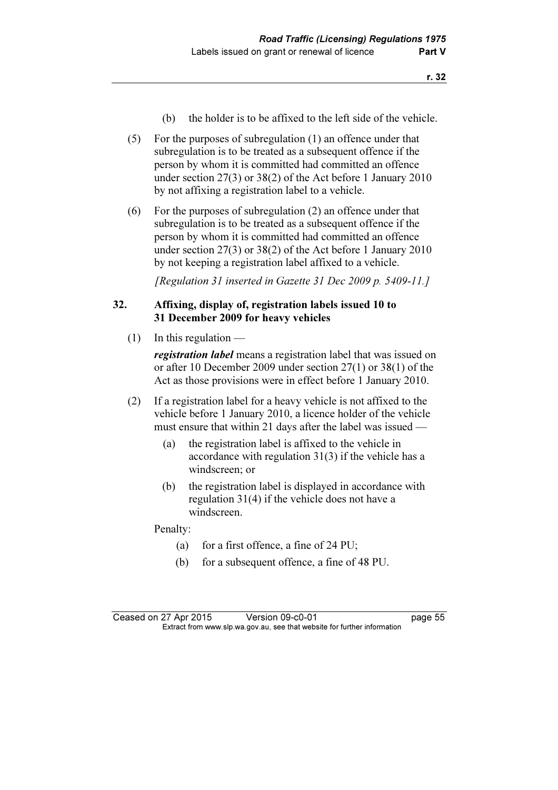- (b) the holder is to be affixed to the left side of the vehicle.
- (5) For the purposes of subregulation (1) an offence under that subregulation is to be treated as a subsequent offence if the person by whom it is committed had committed an offence under section 27(3) or 38(2) of the Act before 1 January 2010 by not affixing a registration label to a vehicle.
- (6) For the purposes of subregulation (2) an offence under that subregulation is to be treated as a subsequent offence if the person by whom it is committed had committed an offence under section 27(3) or 38(2) of the Act before 1 January 2010 by not keeping a registration label affixed to a vehicle.

[Regulation 31 inserted in Gazette 31 Dec 2009 p. 5409-11.]

# 32. Affixing, display of, registration labels issued 10 to 31 December 2009 for heavy vehicles

 $(1)$  In this regulation —

**registration label** means a registration label that was issued on or after 10 December 2009 under section 27(1) or 38(1) of the Act as those provisions were in effect before 1 January 2010.

- (2) If a registration label for a heavy vehicle is not affixed to the vehicle before 1 January 2010, a licence holder of the vehicle must ensure that within 21 days after the label was issued —
	- (a) the registration label is affixed to the vehicle in accordance with regulation 31(3) if the vehicle has a windscreen; or
	- (b) the registration label is displayed in accordance with regulation 31(4) if the vehicle does not have a windscreen.

Penalty:

- (a) for a first offence, a fine of 24 PU;
- (b) for a subsequent offence, a fine of 48 PU.

Ceased on 27 Apr 2015 Version 09-c0-01 page 55<br>Extract from www.slp.wa.gov.au, see that website for further information  $\mathbf{F}$  from which was the set that we besite for further information  $\mathbf{F}$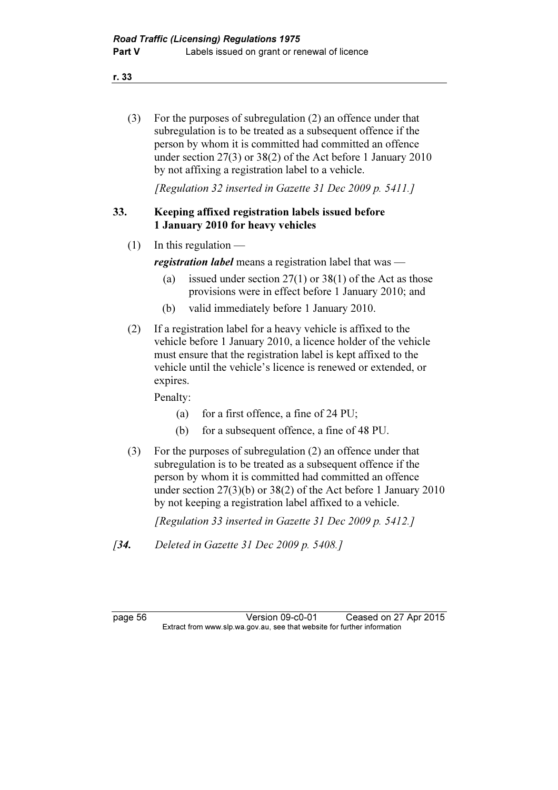r. 33

 (3) For the purposes of subregulation (2) an offence under that subregulation is to be treated as a subsequent offence if the person by whom it is committed had committed an offence under section 27(3) or 38(2) of the Act before 1 January 2010 by not affixing a registration label to a vehicle.

[Regulation 32 inserted in Gazette 31 Dec 2009 p. 5411.]

# 33. Keeping affixed registration labels issued before 1 January 2010 for heavy vehicles

 $(1)$  In this regulation —

registration label means a registration label that was —

- (a) issued under section  $27(1)$  or  $38(1)$  of the Act as those provisions were in effect before 1 January 2010; and
- (b) valid immediately before 1 January 2010.
- (2) If a registration label for a heavy vehicle is affixed to the vehicle before 1 January 2010, a licence holder of the vehicle must ensure that the registration label is kept affixed to the vehicle until the vehicle's licence is renewed or extended, or expires.

Penalty:

- (a) for a first offence, a fine of 24 PU;
- (b) for a subsequent offence, a fine of 48 PU.
- (3) For the purposes of subregulation (2) an offence under that subregulation is to be treated as a subsequent offence if the person by whom it is committed had committed an offence under section 27(3)(b) or 38(2) of the Act before 1 January 2010 by not keeping a registration label affixed to a vehicle.

[Regulation 33 inserted in Gazette 31 Dec 2009 p. 5412.]

[34. Deleted in Gazette 31 Dec 2009 p. 5408.]

page 56 Version 09-c0-01 Ceased on 27 Apr 2015<br>Extract from www.slp.wa.gov.au, see that website for further information  $\mathbf{F}$  from which was the set that we besite for further information  $\mathbf{F}$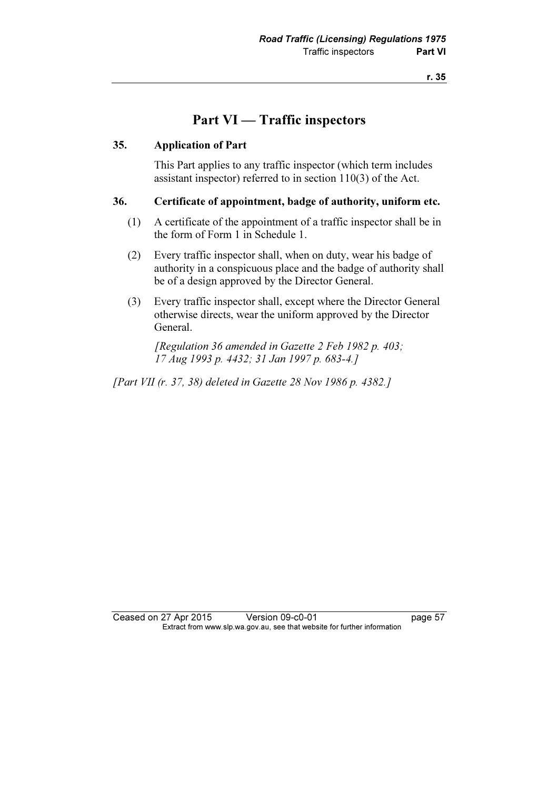# Part VI — Traffic inspectors

### 35. Application of Part

 This Part applies to any traffic inspector (which term includes assistant inspector) referred to in section 110(3) of the Act.

### 36. Certificate of appointment, badge of authority, uniform etc.

- (1) A certificate of the appointment of a traffic inspector shall be in the form of Form 1 in Schedule 1.
- (2) Every traffic inspector shall, when on duty, wear his badge of authority in a conspicuous place and the badge of authority shall be of a design approved by the Director General.
- (3) Every traffic inspector shall, except where the Director General otherwise directs, wear the uniform approved by the Director General.

 [Regulation 36 amended in Gazette 2 Feb 1982 p. 403; 17 Aug 1993 p. 4432; 31 Jan 1997 p. 683-4.]

[Part VII (r. 37, 38) deleted in Gazette 28 Nov 1986 p. 4382.]

Ceased on 27 Apr 2015 Version 09-c0-01 page 57<br>Extract from www.slp.wa.gov.au, see that website for further information  $\mathbf{F}$  from which was the set that we besite for further information  $\mathbf{F}$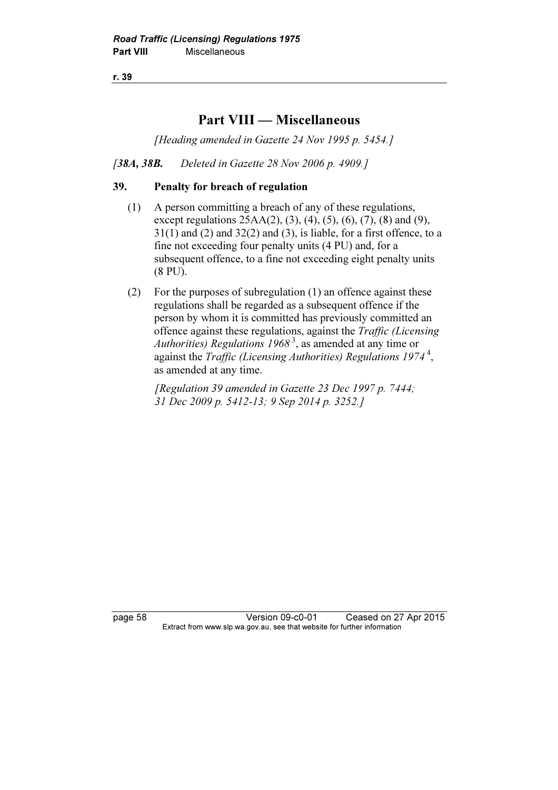r. 39

# Part VIII — Miscellaneous

[Heading amended in Gazette 24 Nov 1995 p. 5454.]

[38A, 38B. Deleted in Gazette 28 Nov 2006 p. 4909.]

### 39. Penalty for breach of regulation

- (1) A person committing a breach of any of these regulations, except regulations  $25AA(2)$ ,  $(3)$ ,  $(4)$ ,  $(5)$ ,  $(6)$ ,  $(7)$ ,  $(8)$  and  $(9)$ ,  $31(1)$  and (2) and  $32(2)$  and (3), is liable, for a first offence, to a fine not exceeding four penalty units (4 PU) and, for a subsequent offence, to a fine not exceeding eight penalty units (8 PU).
- (2) For the purposes of subregulation (1) an offence against these regulations shall be regarded as a subsequent offence if the person by whom it is committed has previously committed an offence against these regulations, against the Traffic (Licensing Authorities) Regulations 1968<sup>3</sup>, as amended at any time or against the *Traffic (Licensing Authorities)* Regulations  $1974<sup>4</sup>$ , as amended at any time.

 [Regulation 39 amended in Gazette 23 Dec 1997 p. 7444; 31 Dec 2009 p. 5412-13; 9 Sep 2014 p. 3252.]

page 58 Version 09-c0-01 Ceased on 27 Apr 2015<br>Extract from www.slp.wa.gov.au, see that website for further information  $\mathbf{F}$  from which was the set that we besite for further information  $\mathbf{F}$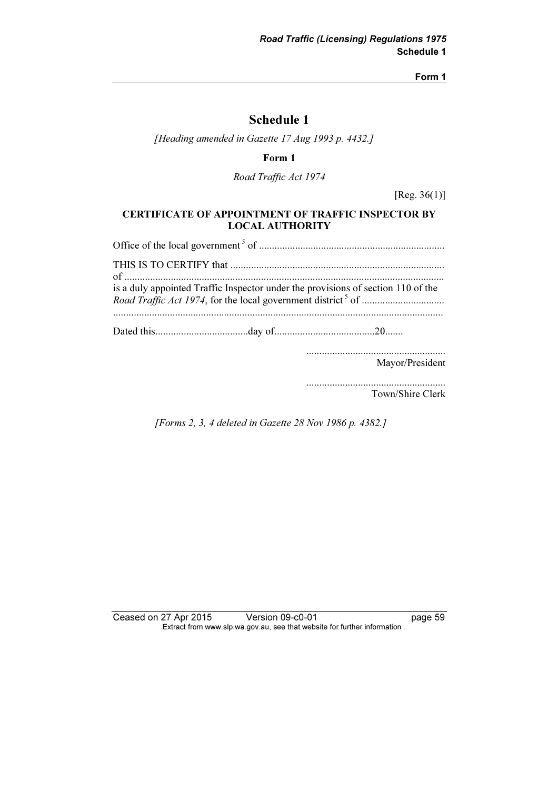Form 1

# Schedule 1

[Heading amended in Gazette 17 Aug 1993 p. 4432.]

Form 1

Road Traffic Act 1974

[Reg. 36(1)]

### CERTIFICATE OF APPOINTMENT OF TRAFFIC INSPECTOR BY LOCAL AUTHORITY

Office of the local government<sup>5</sup> of ........................................................................ THIS IS TO CERTIFY that ................................................................................... of ............................................................................................................................ is a duly appointed Traffic Inspector under the provisions of section 110 of the Road Traffic Act 1974, for the local government district<sup>5</sup> of ................................ ................................................................................................................................ Dated this....................................day of.......................................20....... ...................................................... Mayor/President

> ...................................................... Town/Shire Clerk

[Forms 2, 3, 4 deleted in Gazette 28 Nov 1986 p. 4382.]

Ceased on 27 Apr 2015 Version 09-c0-01 page 59 Extract from www.slp.wa.gov.au, see that website for further information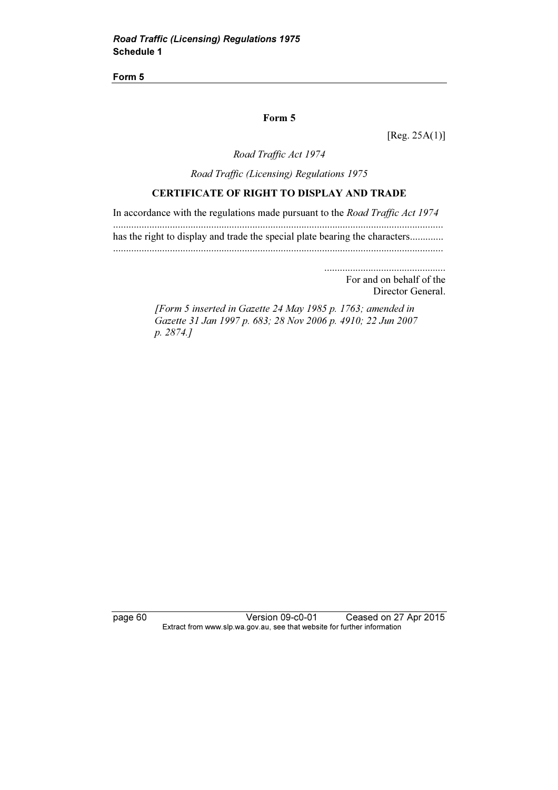Form 5

#### Form 5

[Reg. 25A(1)]

Road Traffic Act 1974

Road Traffic (Licensing) Regulations 1975

### CERTIFICATE OF RIGHT TO DISPLAY AND TRADE

In accordance with the regulations made pursuant to the Road Traffic Act 1974

................................................................................................................................ has the right to display and trade the special plate bearing the characters.............

................................................................................................................................

............................................... For and on behalf of the

Director General.

 [Form 5 inserted in Gazette 24 May 1985 p. 1763; amended in Gazette 31 Jan 1997 p. 683; 28 Nov 2006 p. 4910; 22 Jun 2007 p. 2874.]

page 60 Version 09-c0-01 Ceased on 27 Apr 2015 Extract from www.slp.wa.gov.au, see that website for further information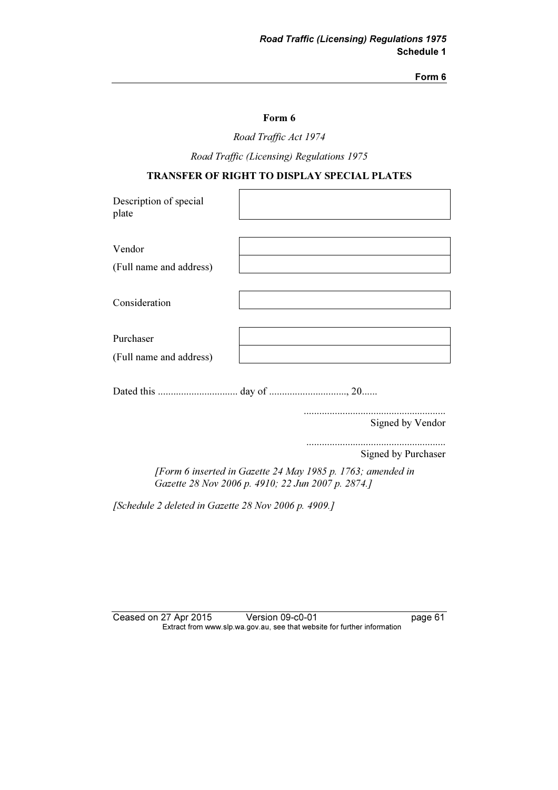#### Form 6

#### Form 6

Road Traffic Act 1974

Road Traffic (Licensing) Regulations 1975

### TRANSFER OF RIGHT TO DISPLAY SPECIAL PLATES

| Description of special<br>plate |  |
|---------------------------------|--|
|                                 |  |
| Vendor                          |  |
| (Full name and address)         |  |
|                                 |  |
| Consideration                   |  |
|                                 |  |
| Purchaser                       |  |
| (Full name and address)         |  |
|                                 |  |
|                                 |  |
|                                 |  |

Signed by Vendor

...................................................... Signed by Purchaser

 [Form 6 inserted in Gazette 24 May 1985 p. 1763; amended in Gazette 28 Nov 2006 p. 4910; 22 Jun 2007 p. 2874.]

[Schedule 2 deleted in Gazette 28 Nov 2006 p. 4909.]

| Ceased on 27 Apr 2015 | Version 09-c0-01                                                         | page 61 |
|-----------------------|--------------------------------------------------------------------------|---------|
|                       | Extract from www.slp.wa.gov.au, see that website for further information |         |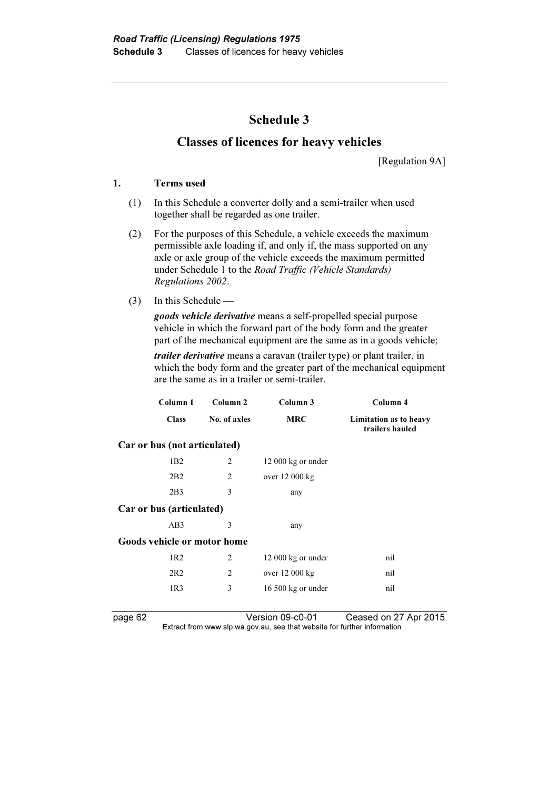# Schedule 3

# Classes of licences for heavy vehicles

[Regulation 9A]

#### 1. Terms used

- (1) In this Schedule a converter dolly and a semi-trailer when used together shall be regarded as one trailer.
- (2) For the purposes of this Schedule, a vehicle exceeds the maximum permissible axle loading if, and only if, the mass supported on any axle or axle group of the vehicle exceeds the maximum permitted under Schedule 1 to the Road Traffic (Vehicle Standards) Regulations 2002.
- (3) In this Schedule —

goods vehicle derivative means a self-propelled special purpose vehicle in which the forward part of the body form and the greater part of the mechanical equipment are the same as in a goods vehicle;

trailer derivative means a caravan (trailer type) or plant trailer, in which the body form and the greater part of the mechanical equipment are the same as in a trailer or semi-trailer.

| Column 1                     | Column <sub>2</sub> | Column 3                    | Column 4                                  |
|------------------------------|---------------------|-----------------------------|-------------------------------------------|
| <b>Class</b>                 | No. of axles        | <b>MRC</b>                  | Limitation as to heavy<br>trailers hauled |
| Car or bus (not articulated) |                     |                             |                                           |
| 1B2                          | 2                   | $12000 \text{ kg}$ or under |                                           |
| 2B2                          | 2                   | over 12 000 kg              |                                           |
| 2B <sub>3</sub>              | 3                   | any                         |                                           |
| Car or bus (articulated)     |                     |                             |                                           |
| AB3                          | 3                   | any                         |                                           |
| Goods vehicle or motor home  |                     |                             |                                           |
| 1R2                          | 2                   | $12000 \text{ kg}$ or under | nil                                       |
| 2R2                          | 2                   | over 12 000 kg              | nil                                       |
| 1R <sub>3</sub>              | 3                   | $16500 \text{ kg}$ or under | nil                                       |
|                              |                     |                             |                                           |

page 62 Version 09-c0-01 Ceased on 27 Apr 2015 Extract from www.slp.wa.gov.au, see that website for further information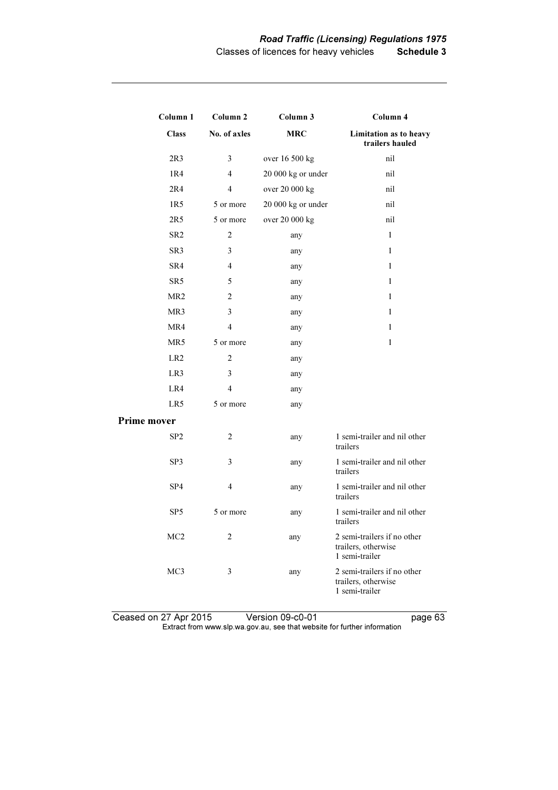| Column 1           | Column <sub>2</sub>     | Column 3           | Column 4                                                             |
|--------------------|-------------------------|--------------------|----------------------------------------------------------------------|
| <b>Class</b>       | No. of axles            | <b>MRC</b>         | Limitation as to heavy<br>trailers hauled                            |
| 2R3                | 3                       | over 16 500 kg     | nil                                                                  |
| 1R4                | $\overline{4}$          | 20 000 kg or under | nil                                                                  |
| 2R4                | $\overline{4}$          | over 20 000 kg     | nil                                                                  |
| 1R5                | 5 or more               | 20 000 kg or under | nil                                                                  |
| 2R5                | 5 or more               | over 20 000 kg     | nil                                                                  |
| SR <sub>2</sub>    | $\overline{c}$          | any                | $\mathbf{1}$                                                         |
| SR3                | 3                       | any                | $\mathbf{1}$                                                         |
| SR4                | $\overline{4}$          | any                | $\mathbf{1}$                                                         |
| SR <sub>5</sub>    | 5                       | any                | $\mathbf{1}$                                                         |
| MR <sub>2</sub>    | 2                       | any                | $\mathbf{1}$                                                         |
| MR3                | 3                       | any                | $\mathbf{1}$                                                         |
| MR4                | $\overline{4}$          | any                | 1                                                                    |
| MR5                | 5 or more               | any                | $\mathbf{1}$                                                         |
| LR <sub>2</sub>    | $\overline{c}$          | any                |                                                                      |
| LR3                | 3                       | any                |                                                                      |
| LR4                | $\overline{4}$          | any                |                                                                      |
| LR5                | 5 or more               | any                |                                                                      |
| <b>Prime mover</b> |                         |                    |                                                                      |
| SP <sub>2</sub>    | $\overline{2}$          | any                | 1 semi-trailer and nil other<br>trailers                             |
| SP3                | 3                       | any                | 1 semi-trailer and nil other<br>trailers                             |
| SP4                | $\overline{\mathbf{4}}$ | any                | 1 semi-trailer and nil other<br>trailers                             |
| SP <sub>5</sub>    | 5 or more               | any                | 1 semi-trailer and nil other<br>trailers                             |
| MC <sub>2</sub>    | 2                       | any                | 2 semi-trailers if no other<br>trailers, otherwise<br>1 semi-trailer |
| MC <sub>3</sub>    | 3                       | any                | 2 semi-trailers if no other<br>trailers, otherwise<br>1 semi-trailer |

Ceased on 27 Apr 2015 Version 09-c0-01 page 63  $\mathbf{F}$  from which was the set that we besite for further information  $\mathbf{F}$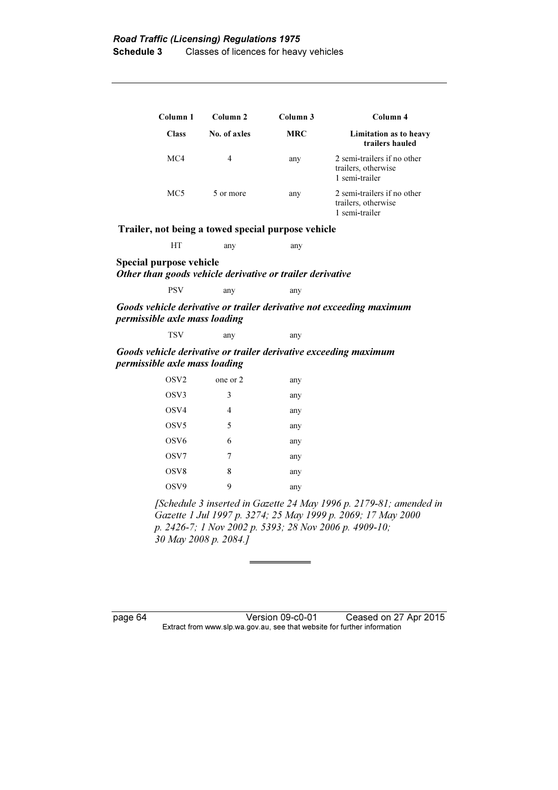| Column 1     | Column <sub>2</sub> | Column 3   | Column 4                                                             |
|--------------|---------------------|------------|----------------------------------------------------------------------|
| <b>Class</b> | No. of axles        | <b>MRC</b> | Limitation as to heavy<br>trailers hauled                            |
| MC4          | 4                   | any        | 2 semi-trailers if no other<br>trailers, otherwise<br>1 semi-trailer |
| MC5          | 5 or more           | any        | 2 semi-trailers if no other<br>trailers, otherwise<br>1 semi-trailer |

Trailer, not being a towed special purpose vehicle

HT any any

Special purpose vehicle Other than goods vehicle derivative or trailer derivative

PSV any any

Goods vehicle derivative or trailer derivative not exceeding maximum permissible axle mass loading

| any |
|-----|
|-----|

Goods vehicle derivative or trailer derivative exceeding maximum permissible axle mass loading

| OSV <sub>2</sub> | one or 2 | any |
|------------------|----------|-----|
| OSV3             | 3        | any |
| OSV4             | 4        | any |
| OSV <sub>5</sub> | 5        | any |
| OSV <sub>6</sub> | 6        | any |
| OSV7             | 7        | any |
| OSV <sub>8</sub> | 8        | any |
| OSV9             | 9        | any |

 [Schedule 3 inserted in Gazette 24 May 1996 p. 2179-81; amended in Gazette 1 Jul 1997 p. 3274; 25 May 1999 p. 2069; 17 May 2000 p. 2426-7; 1 Nov 2002 p. 5393; 28 Nov 2006 p. 4909-10; 30 May 2008 p. 2084.]

page 64 Version 09-c0-01 Ceased on 27 Apr 2015 Extract from www.slp.wa.gov.au, see that website for further information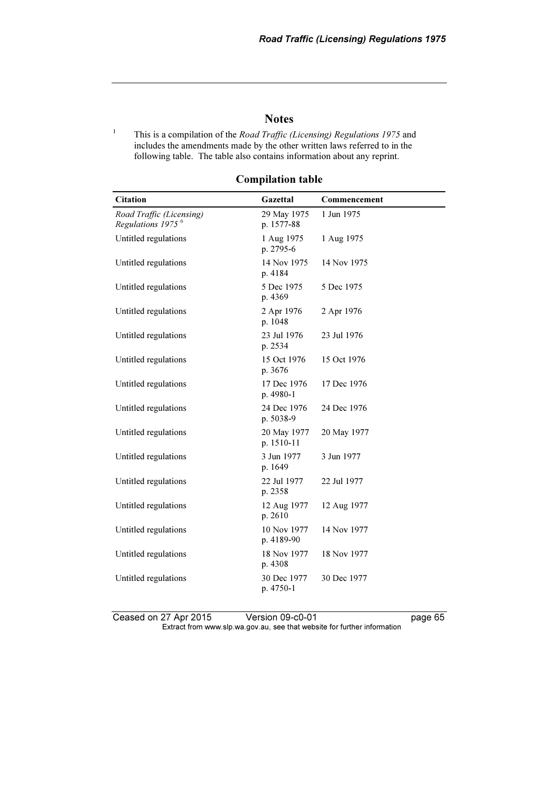### **Notes**

 This is a compilation of the Road Traffic (Licensing) Regulations 1975 and includes the amendments made by the other written laws referred to in the following table. The table also contains information about any reprint.

1

| <b>Citation</b>                                           | Gazettal                  | Commencement |
|-----------------------------------------------------------|---------------------------|--------------|
| Road Traffic (Licensing)<br>Regulations 1975 <sup>6</sup> | 29 May 1975<br>p. 1577-88 | 1 Jun 1975   |
| Untitled regulations                                      | 1 Aug 1975<br>p. 2795-6   | 1 Aug 1975   |
| Untitled regulations                                      | 14 Nov 1975<br>p. 4184    | 14 Nov 1975  |
| Untitled regulations                                      | 5 Dec 1975<br>p. 4369     | 5 Dec 1975   |
| Untitled regulations                                      | 2 Apr 1976<br>p. 1048     | 2 Apr 1976   |
| Untitled regulations                                      | 23 Jul 1976<br>p. 2534    | 23 Jul 1976  |
| Untitled regulations                                      | 15 Oct 1976<br>p. 3676    | 15 Oct 1976  |
| Untitled regulations                                      | 17 Dec 1976<br>p. 4980-1  | 17 Dec 1976  |
| Untitled regulations                                      | 24 Dec 1976<br>p. 5038-9  | 24 Dec 1976  |
| Untitled regulations                                      | 20 May 1977<br>p. 1510-11 | 20 May 1977  |
| Untitled regulations                                      | 3 Jun 1977<br>p. 1649     | 3 Jun 1977   |
| Untitled regulations                                      | 22 Jul 1977<br>p. 2358    | 22 Jul 1977  |
| Untitled regulations                                      | 12 Aug 1977<br>p. 2610    | 12 Aug 1977  |
| Untitled regulations                                      | 10 Nov 1977<br>p. 4189-90 | 14 Nov 1977  |
| Untitled regulations                                      | 18 Nov 1977<br>p. 4308    | 18 Nov 1977  |
| Untitled regulations                                      | 30 Dec 1977<br>p. 4750-1  | 30 Dec 1977  |

### Compilation table

Ceased on 27 Apr 2015 Version 09-c0-01 page 65 Extract from www.slp.wa.gov.au, see that website for further information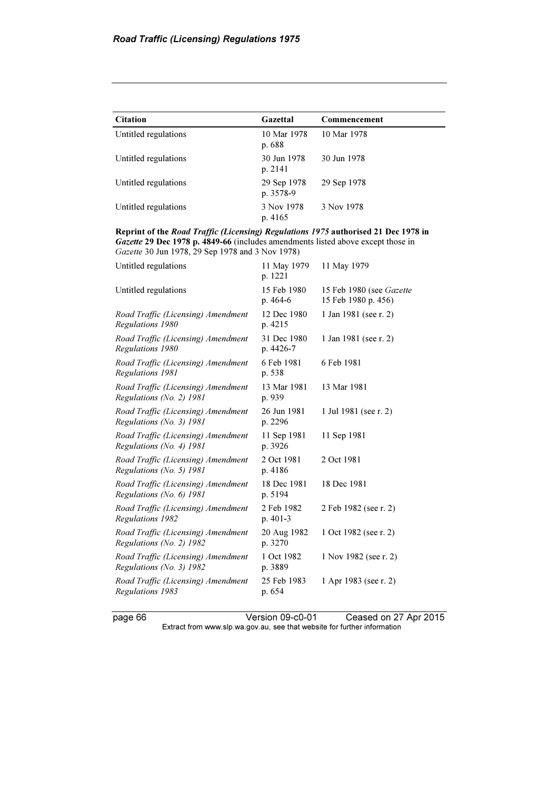| <b>Citation</b>      | Gazettal                 | Commencement |
|----------------------|--------------------------|--------------|
| Untitled regulations | 10 Mar 1978<br>p. 688    | 10 Mar 1978  |
| Untitled regulations | 30 Jun 1978<br>p. 2141   | 30 Jun 1978  |
| Untitled regulations | 29 Sep 1978<br>p. 3578-9 | 29 Sep 1978  |
| Untitled regulations | 3 Nov 1978<br>p. 4165    | 3 Nov 1978   |

Reprint of the Road Traffic (Licensing) Regulations 1975 authorised 21 Dec 1978 in Gazette 29 Dec 1978 p. 4849-66 (includes amendments listed above except those in Gazette 30 Jun 1978, 29 Sep 1978 and 3 Nov 1978)

| Untitled regulations                                           | 11 May 1979<br>p. 1221   | 11 May 1979                                     |
|----------------------------------------------------------------|--------------------------|-------------------------------------------------|
| Untitled regulations                                           | 15 Feb 1980<br>p. 464-6  | 15 Feb 1980 (see Gazette<br>15 Feb 1980 p. 456) |
| Road Traffic (Licensing) Amendment<br>Regulations 1980         | 12 Dec 1980<br>p. 4215   | 1 Jan 1981 (see r. 2)                           |
| Road Traffic (Licensing) Amendment<br>Regulations 1980         | 31 Dec 1980<br>p. 4426-7 | 1 Jan 1981 (see r. 2)                           |
| Road Traffic (Licensing) Amendment<br>Regulations 1981         | 6 Feb 1981<br>p. 538     | 6 Feb 1981                                      |
| Road Traffic (Licensing) Amendment<br>Regulations (No. 2) 1981 | 13 Mar 1981<br>p. 939    | 13 Mar 1981                                     |
| Road Traffic (Licensing) Amendment<br>Regulations (No. 3) 1981 | 26 Jun 1981<br>p. 2296   | 1 Jul 1981 (see r. 2)                           |
| Road Traffic (Licensing) Amendment<br>Regulations (No. 4) 1981 | 11 Sep 1981<br>p. 3926   | 11 Sep 1981                                     |
| Road Traffic (Licensing) Amendment<br>Regulations (No. 5) 1981 | 2 Oct 1981<br>p. 4186    | 2 Oct 1981                                      |
| Road Traffic (Licensing) Amendment<br>Regulations (No. 6) 1981 | 18 Dec 1981<br>p. 5194   | 18 Dec 1981                                     |
| Road Traffic (Licensing) Amendment<br>Regulations 1982         | 2 Feb 1982<br>p. 401-3   | 2 Feb 1982 (see r. 2)                           |
| Road Traffic (Licensing) Amendment<br>Regulations (No. 2) 1982 | 20 Aug 1982<br>p. 3270   | 1 Oct 1982 (see r. 2)                           |
| Road Traffic (Licensing) Amendment<br>Regulations (No. 3) 1982 | 1 Oct 1982<br>p. 3889    | 1 Nov 1982 (see r. 2)                           |
| Road Traffic (Licensing) Amendment<br>Regulations 1983         | 25 Feb 1983<br>p. 654    | 1 Apr 1983 (see r. 2)                           |
|                                                                |                          |                                                 |

page 66 Version 09-c0-01 Ceased on 27 Apr 2015 Extract from www.slp.wa.gov.au, see that website for further information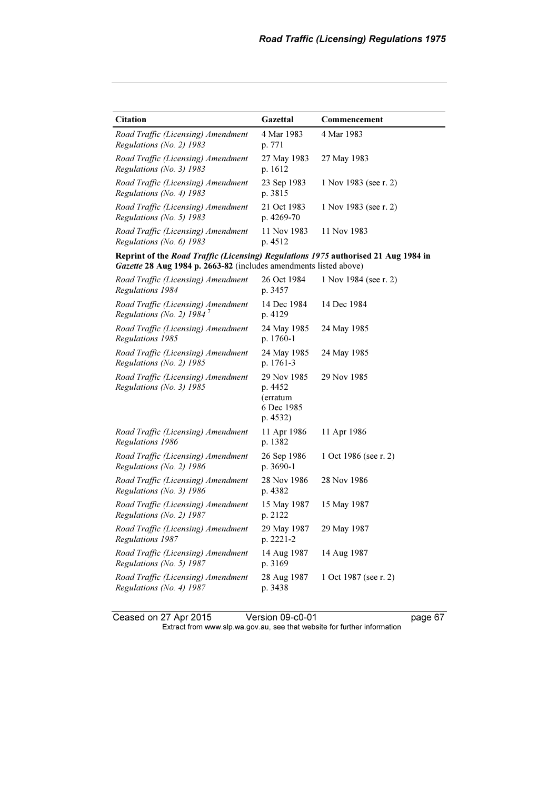| Citation                                                                                                                                                | Gazettal                                                     | Commencement          |
|---------------------------------------------------------------------------------------------------------------------------------------------------------|--------------------------------------------------------------|-----------------------|
| Road Traffic (Licensing) Amendment<br>Regulations (No. 2) 1983                                                                                          | 4 Mar 1983<br>p. 771                                         | 4 Mar 1983            |
| Road Traffic (Licensing) Amendment<br>Regulations (No. 3) 1983                                                                                          | 27 May 1983<br>p. 1612                                       | 27 May 1983           |
| Road Traffic (Licensing) Amendment<br>Regulations (No. 4) 1983                                                                                          | 23 Sep 1983<br>p. 3815                                       | 1 Nov 1983 (see r. 2) |
| Road Traffic (Licensing) Amendment<br>Regulations (No. 5) 1983                                                                                          | 21 Oct 1983<br>p. 4269-70                                    | 1 Nov 1983 (see r. 2) |
| Road Traffic (Licensing) Amendment<br>Regulations (No. 6) 1983                                                                                          | 11 Nov 1983<br>p. 4512                                       | 11 Nov 1983           |
| Reprint of the Road Traffic (Licensing) Regulations 1975 authorised 21 Aug 1984 in<br>Gazette 28 Aug 1984 p. 2663-82 (includes amendments listed above) |                                                              |                       |
| Road Traffic (Licensing) Amendment<br>Regulations 1984                                                                                                  | 26 Oct 1984<br>p. 3457                                       | 1 Nov 1984 (see r. 2) |
| Road Traffic (Licensing) Amendment<br>Regulations (No. 2) $19847$                                                                                       | 14 Dec 1984<br>p. 4129                                       | 14 Dec 1984           |
| Road Traffic (Licensing) Amendment<br>Regulations 1985                                                                                                  | 24 May 1985<br>p. 1760-1                                     | 24 May 1985           |
| Road Traffic (Licensing) Amendment<br>Regulations (No. 2) 1985                                                                                          | 24 May 1985<br>p. 1761-3                                     | 24 May 1985           |
| Road Traffic (Licensing) Amendment<br>Regulations (No. 3) 1985                                                                                          | 29 Nov 1985<br>p. 4452<br>(erratum<br>6 Dec 1985<br>p. 4532) | 29 Nov 1985           |
| Road Traffic (Licensing) Amendment<br>Regulations 1986                                                                                                  | 11 Apr 1986<br>p. 1382                                       | 11 Apr 1986           |
| Road Traffic (Licensing) Amendment<br>Regulations (No. 2) 1986                                                                                          | 26 Sep 1986<br>p. 3690-1                                     | 1 Oct 1986 (see r. 2) |
| Road Traffic (Licensing) Amendment<br>Regulations (No. 3) 1986                                                                                          | 28 Nov 1986<br>p. 4382                                       | 28 Nov 1986           |
| Road Traffic (Licensing) Amendment<br>Regulations (No. 2) 1987                                                                                          | 15 May 1987<br>p. 2122                                       | 15 May 1987           |
| Road Traffic (Licensing) Amendment<br>Regulations 1987                                                                                                  | 29 May 1987<br>p. 2221-2                                     | 29 May 1987           |
| Road Traffic (Licensing) Amendment<br>Regulations (No. 5) 1987                                                                                          | 14 Aug 1987<br>p. 3169                                       | 14 Aug 1987           |
| Road Traffic (Licensing) Amendment<br>Regulations (No. 4) 1987                                                                                          | 28 Aug 1987<br>p. 3438                                       | 1 Oct 1987 (see r. 2) |

Ceased on 27 Apr 2015 Version 09-c0-01 page 67  $\mathbf{F}$  from which was the set that we besite for further information  $\mathbf{F}$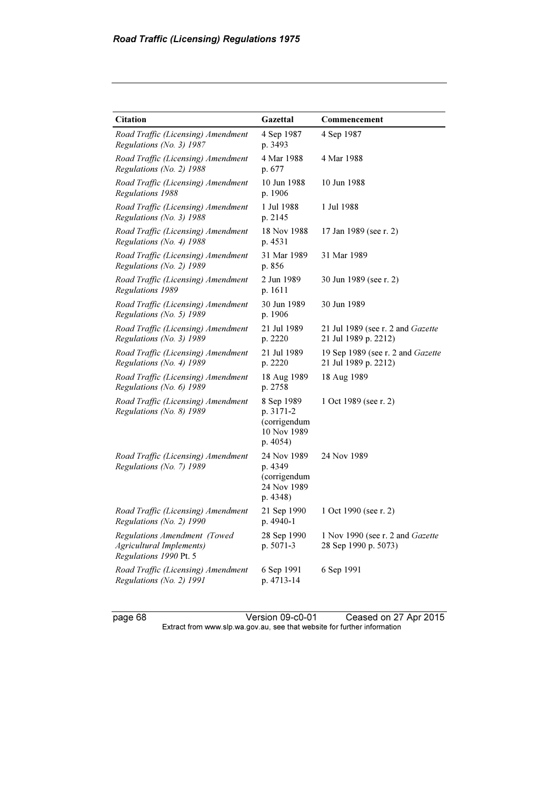| <b>Citation</b>                                                                           | Gazettal                                                           | Commencement                                                    |
|-------------------------------------------------------------------------------------------|--------------------------------------------------------------------|-----------------------------------------------------------------|
| Road Traffic (Licensing) Amendment<br>Regulations (No. 3) 1987                            | 4 Sep 1987<br>p. 3493                                              | 4 Sep 1987                                                      |
| Road Traffic (Licensing) Amendment<br>Regulations (No. 2) 1988                            | 4 Mar 1988<br>p. 677                                               | 4 Mar 1988                                                      |
| Road Traffic (Licensing) Amendment<br>Regulations 1988                                    | 10 Jun 1988<br>p. 1906                                             | 10 Jun 1988                                                     |
| Road Traffic (Licensing) Amendment<br>Regulations (No. 3) 1988                            | 1 Jul 1988<br>p. 2145                                              | 1 Jul 1988                                                      |
| Road Traffic (Licensing) Amendment<br>Regulations (No. 4) 1988                            | 18 Nov 1988<br>p. 4531                                             | 17 Jan 1989 (see r. 2)                                          |
| Road Traffic (Licensing) Amendment<br>Regulations (No. 2) $1989$                          | 31 Mar 1989<br>p. 856                                              | 31 Mar 1989                                                     |
| Road Traffic (Licensing) Amendment<br>Regulations 1989                                    | 2 Jun 1989<br>p. 1611                                              | 30 Jun 1989 (see r. 2)                                          |
| Road Traffic (Licensing) Amendment<br>Regulations (No. 5) 1989                            | 30 Jun 1989<br>p. 1906                                             | 30 Jun 1989                                                     |
| Road Traffic (Licensing) Amendment<br>Regulations (No. 3) 1989                            | 21 Jul 1989<br>p. 2220                                             | 21 Jul 1989 (see r. 2 and Gazette<br>21 Jul 1989 p. 2212)       |
| Road Traffic (Licensing) Amendment<br>Regulations (No. 4) 1989                            | 21 Jul 1989<br>p. 2220                                             | 19 Sep 1989 (see r. 2 and Gazette<br>21 Jul 1989 p. 2212)       |
| Road Traffic (Licensing) Amendment<br>Regulations (No. 6) 1989                            | 18 Aug 1989<br>p. 2758                                             | 18 Aug 1989                                                     |
| Road Traffic (Licensing) Amendment<br>Regulations (No. 8) 1989                            | 8 Sep 1989<br>p. 3171-2<br>(corrigendum<br>10 Nov 1989<br>p. 4054) | 1 Oct 1989 (see r. 2)                                           |
| Road Traffic (Licensing) Amendment<br>Regulations (No. 7) 1989                            | 24 Nov 1989<br>p. 4349<br>(corrigendum<br>24 Nov 1989<br>p. 4348)  | 24 Nov 1989                                                     |
| Road Traffic (Licensing) Amendment<br>Regulations (No. 2) 1990                            | 21 Sep 1990<br>p. 4940-1                                           | 1 Oct 1990 (see r. 2)                                           |
| Regulations Amendment (Towed<br><b>Agricultural Implements)</b><br>Regulations 1990 Pt. 5 | 28 Sep 1990<br>p. 5071-3                                           | 1 Nov 1990 (see r. 2 and <i>Gazette</i><br>28 Sep 1990 p. 5073) |
| Road Traffic (Licensing) Amendment<br>Regulations (No. 2) 1991                            | 6 Sep 1991<br>p. 4713-14                                           | 6 Sep 1991                                                      |

page 68 Version 09-c0-01 Ceased on 27 Apr 2015 Extract from www.slp.wa.gov.au, see that website for further information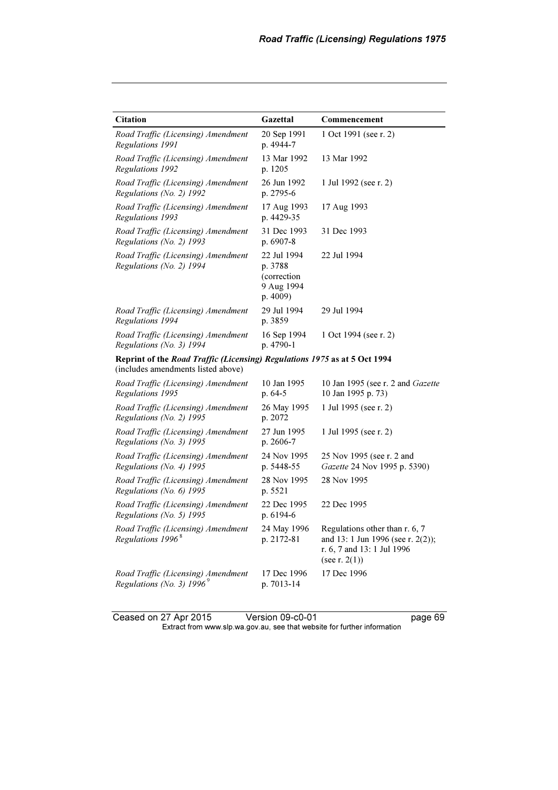| <b>Citation</b>                                                                                                 | Gazettal                                                        | Commencement                                                                                                          |
|-----------------------------------------------------------------------------------------------------------------|-----------------------------------------------------------------|-----------------------------------------------------------------------------------------------------------------------|
| Road Traffic (Licensing) Amendment<br>Regulations 1991                                                          | 20 Sep 1991<br>p. 4944-7                                        | 1 Oct 1991 (see r. 2)                                                                                                 |
| Road Traffic (Licensing) Amendment<br>Regulations 1992                                                          | 13 Mar 1992<br>p. 1205                                          | 13 Mar 1992                                                                                                           |
| Road Traffic (Licensing) Amendment<br>Regulations (No. 2) 1992                                                  | 26 Jun 1992<br>p. 2795-6                                        | 1 Jul 1992 (see r. 2)                                                                                                 |
| Road Traffic (Licensing) Amendment<br>Regulations 1993                                                          | 17 Aug 1993<br>p. 4429-35                                       | 17 Aug 1993                                                                                                           |
| Road Traffic (Licensing) Amendment<br>Regulations (No. 2) 1993                                                  | 31 Dec 1993<br>p. $6907-8$                                      | 31 Dec 1993                                                                                                           |
| Road Traffic (Licensing) Amendment<br>Regulations (No. 2) $1994$                                                | 22 Jul 1994<br>p. 3788<br>(correction<br>9 Aug 1994<br>p. 4009) | 22 Jul 1994                                                                                                           |
| Road Traffic (Licensing) Amendment<br>Regulations 1994                                                          | 29 Jul 1994<br>p. 3859                                          | 29 Jul 1994                                                                                                           |
| Road Traffic (Licensing) Amendment<br>Regulations (No. 3) 1994                                                  | 16 Sep 1994<br>p. 4790-1                                        | 1 Oct 1994 (see r. 2)                                                                                                 |
| Reprint of the Road Traffic (Licensing) Regulations 1975 as at 5 Oct 1994<br>(includes amendments listed above) |                                                                 |                                                                                                                       |
| Road Traffic (Licensing) Amendment<br>Regulations 1995                                                          | 10 Jan 1995<br>p. 64-5                                          | 10 Jan 1995 (see r. 2 and <i>Gazette</i><br>10 Jan 1995 p. 73)                                                        |
| Road Traffic (Licensing) Amendment<br>Regulations (No. 2) 1995                                                  | 26 May 1995<br>p. 2072                                          | 1 Jul 1995 (see r. 2)                                                                                                 |
| Road Traffic (Licensing) Amendment<br>Regulations (No. 3) 1995                                                  | 27 Jun 1995<br>p. 2606-7                                        | 1 Jul 1995 (see r. 2)                                                                                                 |
| Road Traffic (Licensing) Amendment<br>Regulations (No. 4) 1995                                                  | 24 Nov 1995<br>p. 5448-55                                       | 25 Nov 1995 (see r. 2 and<br>Gazette 24 Nov 1995 p. 5390)                                                             |
| Road Traffic (Licensing) Amendment<br>Regulations (No. 6) $1995$                                                | 28 Nov 1995<br>p. 5521                                          | 28 Nov 1995                                                                                                           |
| Road Traffic (Licensing) Amendment<br>Regulations (No. 5) 1995                                                  | 22 Dec 1995<br>p. 6194-6                                        | 22 Dec 1995                                                                                                           |
| Road Traffic (Licensing) Amendment<br>Regulations 1996 <sup>8</sup>                                             | 24 May 1996<br>p. 2172-81                                       | Regulations other than r. 6, 7<br>and 13: 1 Jun 1996 (see r. 2(2));<br>r. 6, 7 and 13: 1 Jul 1996<br>(see r. $2(1)$ ) |
| Road Traffic (Licensing) Amendment<br>Regulations (No. 3) $1996^9$                                              | 17 Dec 1996<br>p. 7013-14                                       | 17 Dec 1996                                                                                                           |

Ceased on 27 Apr 2015 Version 09-c0-01 page 69  $\mathbf{F}$  from which was the set that we besite for further information  $\mathbf{F}$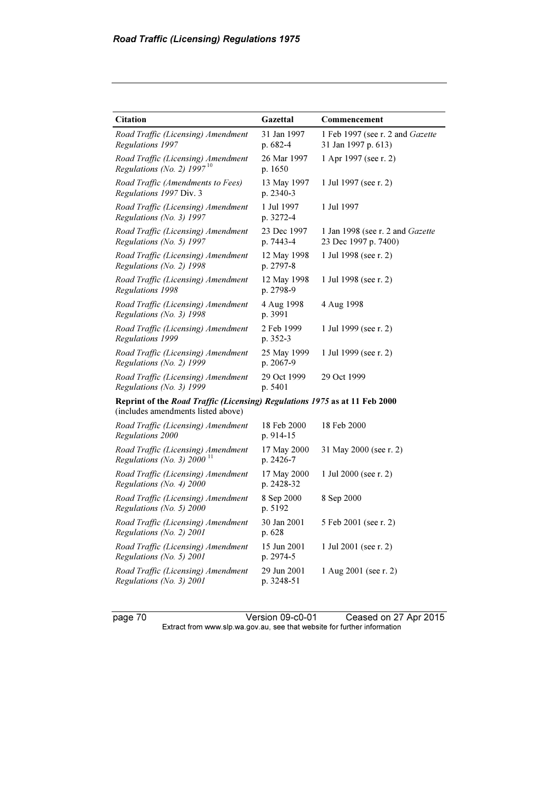| <b>Citation</b>                                                                                                  | Gazettal                   | Commencement                                                    |
|------------------------------------------------------------------------------------------------------------------|----------------------------|-----------------------------------------------------------------|
| Road Traffic (Licensing) Amendment<br>Regulations 1997                                                           | 31 Jan 1997<br>$p.682-4$   | 1 Feb 1997 (see r. 2 and Gazette<br>31 Jan 1997 p. 613)         |
| Road Traffic (Licensing) Amendment<br>Regulations (No. 2) $1997^{10}$                                            | 26 Mar 1997<br>p. 1650     | 1 Apr 1997 (see r. 2)                                           |
| Road Traffic (Amendments to Fees)<br>Regulations 1997 Div. 3                                                     | 13 May 1997<br>p. $2340-3$ | 1 Jul 1997 (see r. 2)                                           |
| Road Traffic (Licensing) Amendment<br>Regulations (No. 3) 1997                                                   | 1 Jul 1997<br>p. 3272-4    | 1 Jul 1997                                                      |
| Road Traffic (Licensing) Amendment<br>Regulations (No. 5) 1997                                                   | 23 Dec 1997<br>p. 7443-4   | 1 Jan 1998 (see r. 2 and <i>Gazette</i><br>23 Dec 1997 p. 7400) |
| Road Traffic (Licensing) Amendment<br>Regulations (No. 2) 1998                                                   | 12 May 1998<br>p. 2797-8   | 1 Jul 1998 (see r. 2)                                           |
| Road Traffic (Licensing) Amendment<br>Regulations 1998                                                           | 12 May 1998<br>p. 2798-9   | 1 Jul 1998 (see r. 2)                                           |
| Road Traffic (Licensing) Amendment<br>Regulations (No. 3) $1998$                                                 | 4 Aug 1998<br>p. 3991      | 4 Aug 1998                                                      |
| Road Traffic (Licensing) Amendment<br>Regulations 1999                                                           | 2 Feb 1999<br>p. 352-3     | 1 Jul 1999 (see r. 2)                                           |
| Road Traffic (Licensing) Amendment<br>Regulations (No. 2) 1999                                                   | 25 May 1999<br>p. 2067-9   | 1 Jul 1999 (see r. 2)                                           |
| Road Traffic (Licensing) Amendment<br>Regulations (No. 3) 1999                                                   | 29 Oct 1999<br>p. 5401     | 29 Oct 1999                                                     |
| Reprint of the Road Traffic (Licensing) Regulations 1975 as at 11 Feb 2000<br>(includes amendments listed above) |                            |                                                                 |
| Road Traffic (Licensing) Amendment<br>Regulations 2000                                                           | 18 Feb 2000<br>p. 914-15   | 18 Feb 2000                                                     |
| Road Traffic (Licensing) Amendment<br>Regulations (No. 3) 2000 <sup>11</sup>                                     | 17 May 2000<br>p. 2426-7   | 31 May 2000 (see r. 2)                                          |
| Road Traffic (Licensing) Amendment<br>Regulations (No. 4) 2000                                                   | 17 May 2000<br>p. 2428-32  | 1 Jul 2000 (see r. 2)                                           |
| Road Traffic (Licensing) Amendment<br>Regulations (No. 5) 2000                                                   | 8 Sep 2000<br>p. 5192      | 8 Sep 2000                                                      |
| Road Traffic (Licensing) Amendment<br>Regulations (No. 2) 2001                                                   | 30 Jan 2001<br>p. 628      | 5 Feb 2001 (see r. 2)                                           |
| Road Traffic (Licensing) Amendment<br>Regulations (No. 5) $2001$                                                 | 15 Jun 2001<br>p. 2974-5   | 1 Jul 2001 (see r. 2)                                           |
| Road Traffic (Licensing) Amendment<br>Regulations (No. 3) 2001                                                   | 29 Jun 2001<br>p. 3248-51  | 1 Aug 2001 (see r. 2)                                           |

page 70 Version 09-c0-01 Ceased on 27 Apr 2015 Extract from www.slp.wa.gov.au, see that website for further information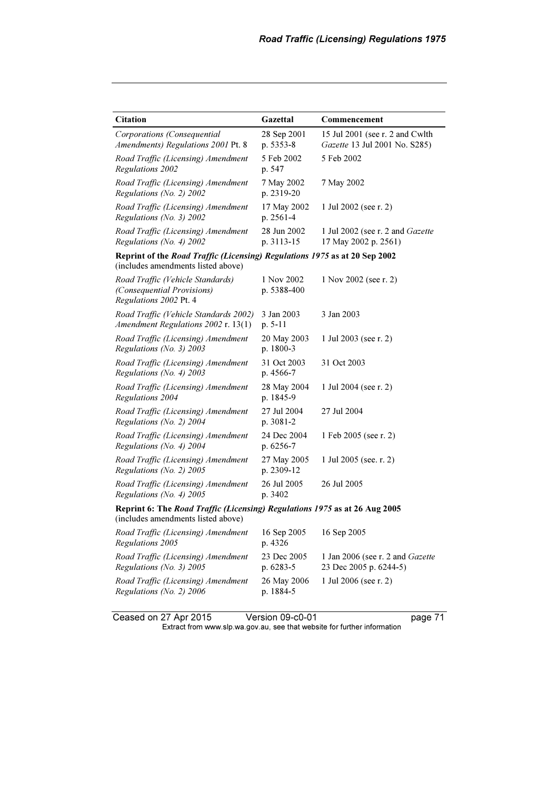| <b>Citation</b>                                                                                                  | Gazettal                  | Commencement                                                     |  |
|------------------------------------------------------------------------------------------------------------------|---------------------------|------------------------------------------------------------------|--|
| Corporations (Consequential<br>Amendments) Regulations 2001 Pt. 8                                                | 28 Sep 2001<br>p. 5353-8  | 15 Jul 2001 (see r. 2 and Cwlth<br>Gazette 13 Jul 2001 No. S285) |  |
| Road Traffic (Licensing) Amendment<br>Regulations 2002                                                           | 5 Feb 2002<br>p. 547      | 5 Feb 2002                                                       |  |
| Road Traffic (Licensing) Amendment<br>Regulations (No. 2) 2002                                                   | 7 May 2002<br>p. 2319-20  | 7 May 2002                                                       |  |
| Road Traffic (Licensing) Amendment<br>Regulations (No. 3) $2002$                                                 | 17 May 2002<br>p. 2561-4  | 1 Jul 2002 (see r. 2)                                            |  |
| Road Traffic (Licensing) Amendment<br>Regulations (No. 4) 2002                                                   | 28 Jun 2002<br>p. 3113-15 | 1 Jul 2002 (see r. 2 and <i>Gazette</i><br>17 May 2002 p. 2561)  |  |
| Reprint of the Road Traffic (Licensing) Regulations 1975 as at 20 Sep 2002<br>(includes amendments listed above) |                           |                                                                  |  |
| Road Traffic (Vehicle Standards)<br>(Consequential Provisions)<br>Regulations 2002 Pt. 4                         | 1 Nov 2002<br>p. 5388-400 | 1 Nov 2002 (see r. 2)                                            |  |
| Road Traffic (Vehicle Standards 2002)<br>Amendment Regulations 2002 r. 13(1)                                     | 3 Jan 2003<br>$p. 5-11$   | 3 Jan 2003                                                       |  |
| Road Traffic (Licensing) Amendment<br>Regulations (No. 3) 2003                                                   | 20 May 2003<br>p. 1800-3  | 1 Jul 2003 (see r. 2)                                            |  |
| Road Traffic (Licensing) Amendment<br>Regulations (No. 4) 2003                                                   | 31 Oct 2003<br>p. 4566-7  | 31 Oct 2003                                                      |  |
| Road Traffic (Licensing) Amendment<br>Regulations 2004                                                           | 28 May 2004<br>p. 1845-9  | 1 Jul 2004 (see r. 2)                                            |  |
| Road Traffic (Licensing) Amendment<br>Regulations (No. 2) 2004                                                   | 27 Jul 2004<br>p. 3081-2  | 27 Jul 2004                                                      |  |
| Road Traffic (Licensing) Amendment<br>Regulations (No. 4) 2004                                                   | 24 Dec 2004<br>p. 6256-7  | 1 Feb 2005 (see r. 2)                                            |  |
| Road Traffic (Licensing) Amendment<br>Regulations (No. 2) 2005                                                   | 27 May 2005<br>p. 2309-12 | 1 Jul 2005 (see. r. 2)                                           |  |
| Road Traffic (Licensing) Amendment<br>Regulations (No. 4) 2005                                                   | 26 Jul 2005<br>p. 3402    | 26 Jul 2005                                                      |  |
| Reprint 6: The Road Traffic (Licensing) Regulations 1975 as at 26 Aug 2005<br>(includes amendments listed above) |                           |                                                                  |  |
| Road Traffic (Licensing) Amendment<br>Regulations 2005                                                           | 16 Sep 2005<br>p. 4326    | 16 Sep 2005                                                      |  |
| Road Traffic (Licensing) Amendment<br>Regulations (No. 3) 2005                                                   | 23 Dec 2005<br>p. 6283-5  | 1 Jan 2006 (see r. 2 and Gazette<br>23 Dec 2005 p. 6244-5)       |  |
| Road Traffic (Licensing) Amendment<br>Regulations (No. 2) 2006                                                   | 26 May 2006<br>p. 1884-5  | 1 Jul 2006 (see r. 2)                                            |  |

Ceased on 27 Apr 2015 Version 09-c0-01 page 71  $\mathbf{F}$  from which was the set that we besite for further information  $\mathbf{F}$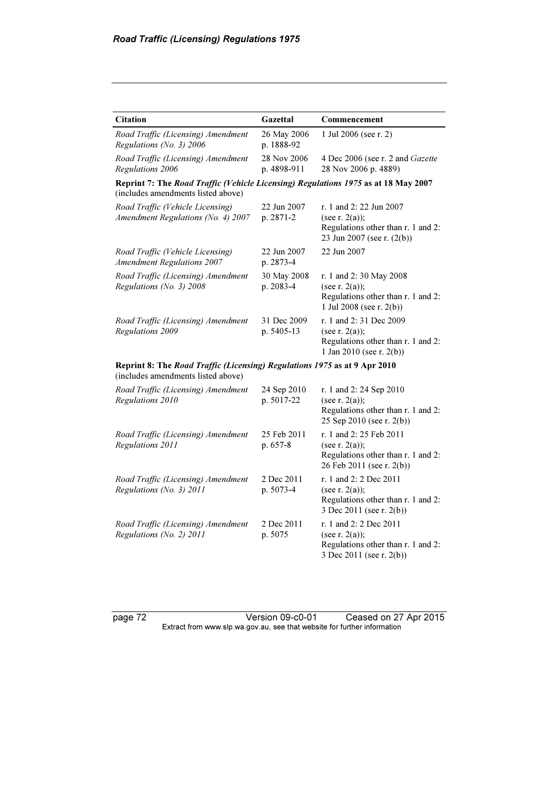| <b>Citation</b>                                                                                                          | Gazettal                   | Commencement                                                                                                     |  |
|--------------------------------------------------------------------------------------------------------------------------|----------------------------|------------------------------------------------------------------------------------------------------------------|--|
| Road Traffic (Licensing) Amendment<br>Regulations (No. 3) 2006                                                           | 26 May 2006<br>p. 1888-92  | 1 Jul 2006 (see r. 2)                                                                                            |  |
| Road Traffic (Licensing) Amendment<br>Regulations 2006                                                                   | 28 Nov 2006<br>p. 4898-911 | 4 Dec 2006 (see r. 2 and Gazette<br>28 Nov 2006 p. 4889)                                                         |  |
| Reprint 7: The Road Traffic (Vehicle Licensing) Regulations 1975 as at 18 May 2007<br>(includes amendments listed above) |                            |                                                                                                                  |  |
| Road Traffic (Vehicle Licensing)<br>Amendment Regulations (No. 4) 2007                                                   | 22 Jun 2007<br>p. 2871-2   | r. 1 and 2: 22 Jun 2007<br>(see r. $2(a)$ );<br>Regulations other than r. 1 and 2:<br>23 Jun 2007 (see r. (2(b)) |  |
| Road Traffic (Vehicle Licensing)<br><b>Amendment Regulations 2007</b>                                                    | 22 Jun 2007<br>p. 2873-4   | 22 Jun 2007                                                                                                      |  |
| Road Traffic (Licensing) Amendment<br>Regulations (No. 3) 2008                                                           | 30 May 2008<br>p. 2083-4   | r. 1 and 2:30 May 2008<br>(see r. $2(a)$ );<br>Regulations other than r. 1 and 2:<br>1 Jul 2008 (see r. $2(b)$ ) |  |
| Road Traffic (Licensing) Amendment<br>Regulations 2009                                                                   | 31 Dec 2009<br>p. 5405-13  | r. 1 and 2:31 Dec 2009<br>(see r. $2(a)$ );<br>Regulations other than r. 1 and 2:<br>1 Jan 2010 (see r. $2(b)$ ) |  |
| Reprint 8: The Road Traffic (Licensing) Regulations 1975 as at 9 Apr 2010<br>(includes amendments listed above)          |                            |                                                                                                                  |  |
| Road Traffic (Licensing) Amendment<br>Regulations 2010                                                                   | 24 Sep 2010<br>p. 5017-22  | r. 1 and 2:24 Sep 2010<br>(see r. $2(a)$ );<br>Regulations other than r. 1 and 2:<br>25 Sep 2010 (see r. 2(b))   |  |
| Road Traffic (Licensing) Amendment<br>Regulations 2011                                                                   | 25 Feb 2011<br>p. 657-8    | r. 1 and 2:25 Feb 2011<br>(see $r. 2(a)$ );<br>Regulations other than r. 1 and 2:<br>26 Feb 2011 (see r. 2(b))   |  |
| Road Traffic (Licensing) Amendment<br>Regulations (No. 3) 2011                                                           | 2 Dec 2011<br>p. 5073-4    | r. 1 and 2: 2 Dec 2011<br>(see r. $2(a)$ );<br>Regulations other than r. 1 and 2:<br>3 Dec 2011 (see r. 2(b))    |  |
| Road Traffic (Licensing) Amendment<br>Regulations (No. 2) 2011                                                           | 2 Dec 2011<br>p. 5075      | r. 1 and 2: 2 Dec 2011<br>(see r. $2(a)$ );<br>Regulations other than r. 1 and 2:<br>3 Dec 2011 (see r. 2(b))    |  |

page 72 Version 09-c0-01 Ceased on 27 Apr 2015 Extract from www.slp.wa.gov.au, see that website for further information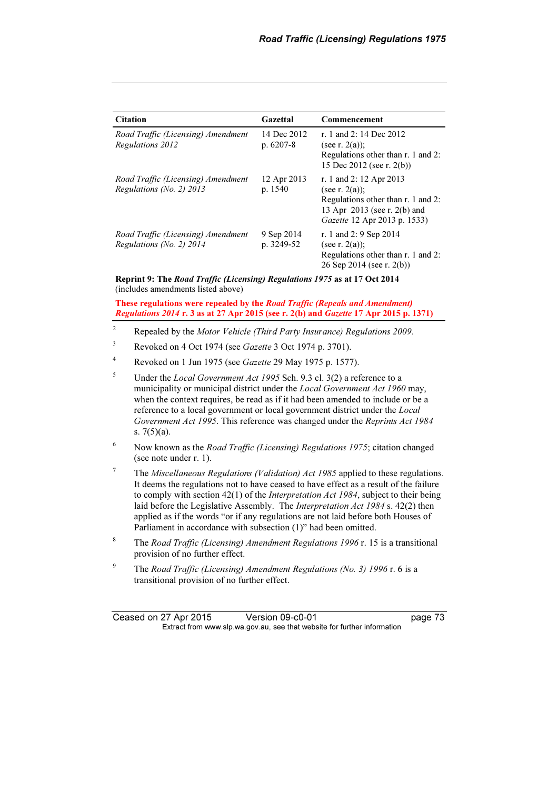| <b>Citation</b>                                                | Gazettal                  | Commencement                                                                                                                                              |
|----------------------------------------------------------------|---------------------------|-----------------------------------------------------------------------------------------------------------------------------------------------------------|
| Road Traffic (Licensing) Amendment<br>Regulations 2012         | 14 Dec 2012<br>$p.6207-8$ | r. 1 and 2: 14 Dec 2012<br>(see r. $2(a)$ ):<br>Regulations other than r. 1 and 2:<br>15 Dec 2012 (see r. $2(b)$ )                                        |
| Road Traffic (Licensing) Amendment<br>Regulations (No. 2) 2013 | 12 Apr 2013<br>p. 1540    | r. 1 and 2: 12 Apr 2013<br>(see r. $2(a)$ );<br>Regulations other than r. 1 and 2:<br>13 Apr 2013 (see r. 2(b) and<br><i>Gazette</i> 12 Apr 2013 p. 1533) |
| Road Traffic (Licensing) Amendment<br>Regulations (No. 2) 2014 | 9 Sep 2014<br>p. 3249-52  | r. 1 and 2: 9 Sep 2014<br>(see r. $2(a)$ );<br>Regulations other than r. 1 and 2:<br>26 Sep 2014 (see r. $2(b)$ )                                         |

Reprint 9: The Road Traffic (Licensing) Regulations 1975 as at 17 Oct 2014 (includes amendments listed above)

These regulations were repealed by the Road Traffic (Repeals and Amendment) Regulations 2014 r. 3 as at 27 Apr 2015 (see r. 2(b) and Gazette 17 Apr 2015 p. 1371)

- $\overline{2}$ Repealed by the Motor Vehicle (Third Party Insurance) Regulations 2009.
- 3 Revoked on 4 Oct 1974 (see Gazette 3 Oct 1974 p. 3701).
- 4 Revoked on 1 Jun 1975 (see Gazette 29 May 1975 p. 1577).
- 5 Under the Local Government Act 1995 Sch. 9.3 cl. 3(2) a reference to a municipality or municipal district under the *Local Government Act 1960* may, when the context requires, be read as if it had been amended to include or be a reference to a local government or local government district under the Local Government Act 1995. This reference was changed under the Reprints Act 1984 s. 7(5)(a).
- 6 Now known as the Road Traffic (Licensing) Regulations 1975; citation changed (see note under r. 1).
- 7 The Miscellaneous Regulations (Validation) Act 1985 applied to these regulations. It deems the regulations not to have ceased to have effect as a result of the failure to comply with section 42(1) of the Interpretation Act 1984, subject to their being laid before the Legislative Assembly. The Interpretation Act 1984 s. 42(2) then applied as if the words "or if any regulations are not laid before both Houses of Parliament in accordance with subsection (1)" had been omitted.
- 8 The Road Traffic (Licensing) Amendment Regulations 1996 r. 15 is a transitional provision of no further effect.
- <sup>9</sup> The Road Traffic (Licensing) Amendment Regulations (No. 3) 1996 r. 6 is a transitional provision of no further effect.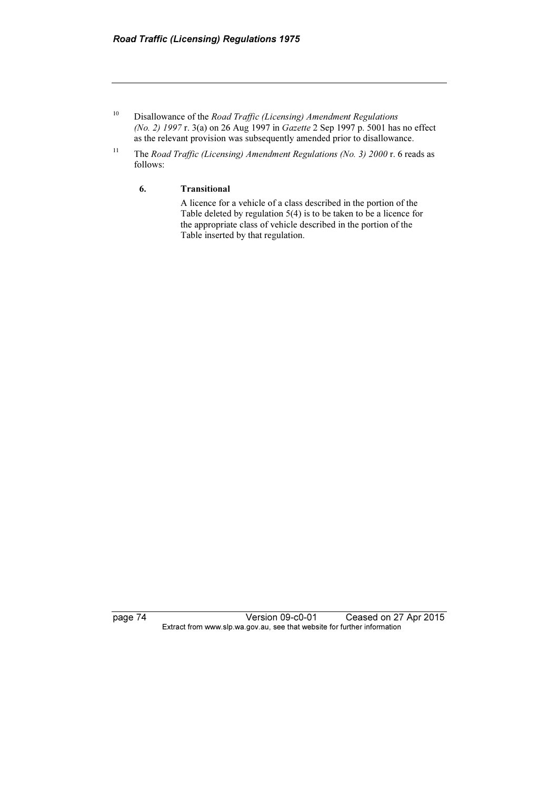- $10$  Disallowance of the *Road Traffic (Licensing) Amendment Regulations* (No. 2) 1997 r. 3(a) on 26 Aug 1997 in Gazette 2 Sep 1997 p. 5001 has no effect as the relevant provision was subsequently amended prior to disallowance.
- <sup>11</sup> The Road Traffic (Licensing) Amendment Regulations (No. 3) 2000 r. 6 reads as follows:

## 6. Transitional

 A licence for a vehicle of a class described in the portion of the Table deleted by regulation 5(4) is to be taken to be a licence for the appropriate class of vehicle described in the portion of the Table inserted by that regulation.

page 74 Version 09-c0-01 Ceased on 27 Apr 2015 Extract from www.slp.wa.gov.au, see that website for further information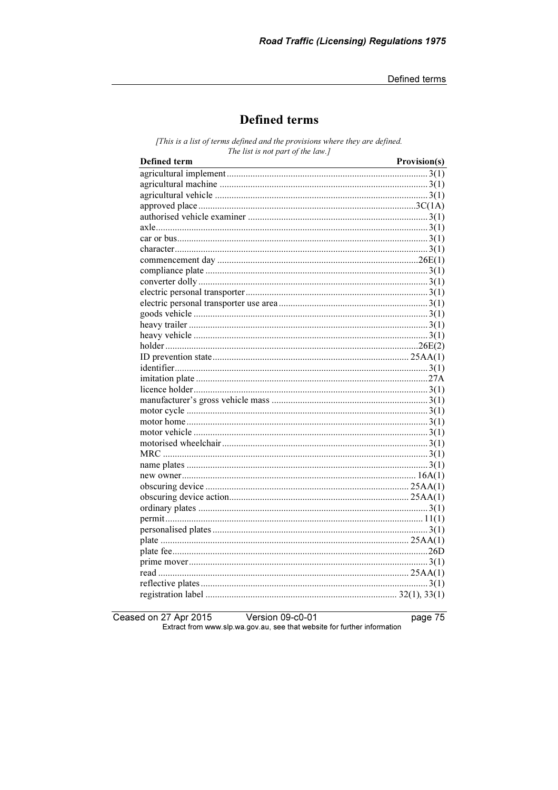Defined terms

## **Defined terms**

[This is a list of terms defined and the provisions where they are defined. The list is not part of the law.]

| Defined term | Provision(s) |
|--------------|--------------|
|              |              |
|              |              |
|              |              |
|              |              |
|              |              |
|              |              |
|              |              |
|              |              |
|              |              |
|              |              |
|              |              |
|              |              |
|              |              |
|              |              |
|              |              |
|              |              |
|              |              |
|              |              |
|              |              |
|              |              |
|              |              |
|              |              |
|              |              |
|              |              |
|              |              |
|              |              |
|              |              |
|              |              |
|              |              |
|              |              |
|              |              |
|              |              |
|              |              |
|              |              |
|              |              |
|              |              |
|              |              |
|              |              |
|              |              |
|              |              |
|              |              |

Ceased on 27 Apr 2015 Version 09-c0-01 Extract from www.slp.wa.gov.au, see that website for further information

page 75